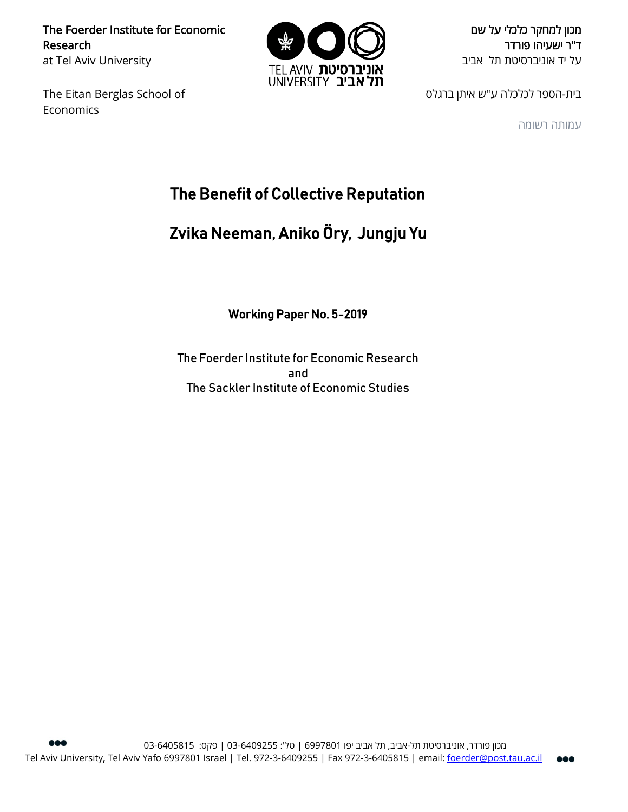The Foerder Institute for Economic Research at Tel Aviv University

The Eitan Berglas School of Economics



מכון למחקר כלכלי על שם ד"ר ישעיהו פורדר על יד אוניברסיטת תל אביב

בית-הספר לכלכלה ע"ש איתן ברגלס

עמותה רשומה

# The Benefit of Collective Reputation

# Zvika Neeman, Aniko Öry, Jungju Yu

Working Paper No. 5-2019

The Foerder Institute for Economic Research and The Sackler Institute of Economic Studies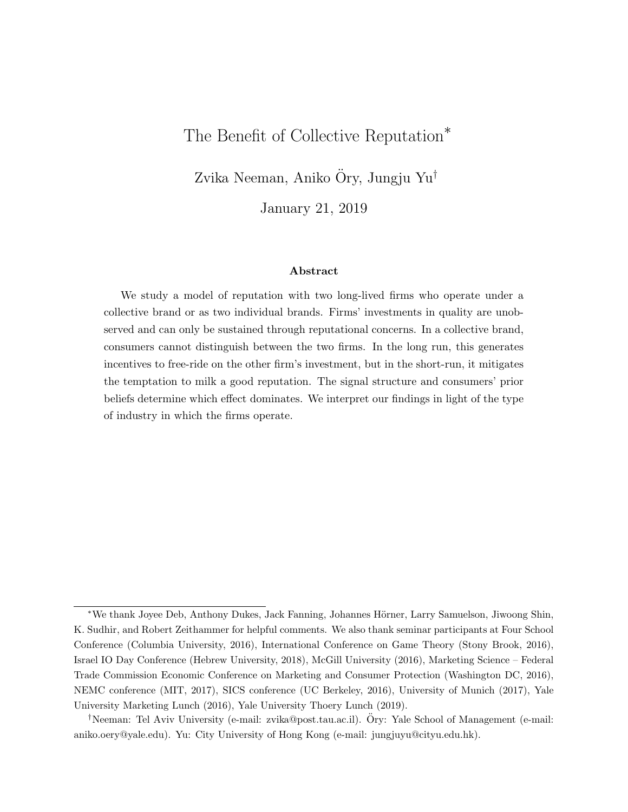## <span id="page-1-0"></span>The Benefit of Collective Reputation<sup>\*</sup>

Zvika Neeman, Aniko Öry, Jungju Yu<sup>†</sup>

January 21, 2019

#### Abstract

We study a model of reputation with two long-lived firms who operate under a collective brand or as two individual brands. Firms' investments in quality are unobserved and can only be sustained through reputational concerns. In a collective brand, consumers cannot distinguish between the two firms. In the long run, this generates incentives to free-ride on the other firm's investment, but in the short-run, it mitigates the temptation to milk a good reputation. The signal structure and consumers' prior beliefs determine which effect dominates. We interpret our findings in light of the type of industry in which the firms operate.

<sup>∗</sup>We thank Joyee Deb, Anthony Dukes, Jack Fanning, Johannes H¨orner, Larry Samuelson, Jiwoong Shin, K. Sudhir, and Robert Zeithammer for helpful comments. We also thank seminar participants at Four School Conference (Columbia University, 2016), International Conference on Game Theory (Stony Brook, 2016), Israel IO Day Conference (Hebrew University, 2018), McGill University (2016), Marketing Science – Federal Trade Commission Economic Conference on Marketing and Consumer Protection (Washington DC, 2016), NEMC conference (MIT, 2017), SICS conference (UC Berkeley, 2016), University of Munich (2017), Yale University Marketing Lunch (2016), Yale University Thoery Lunch (2019).

<sup>†</sup>Neeman: Tel Aviv University (e-mail: zvika@post.tau.ac.il). Ory: Yale School of Management (e-mail: ¨ aniko.oery@yale.edu). Yu: City University of Hong Kong (e-mail: jungjuyu@cityu.edu.hk).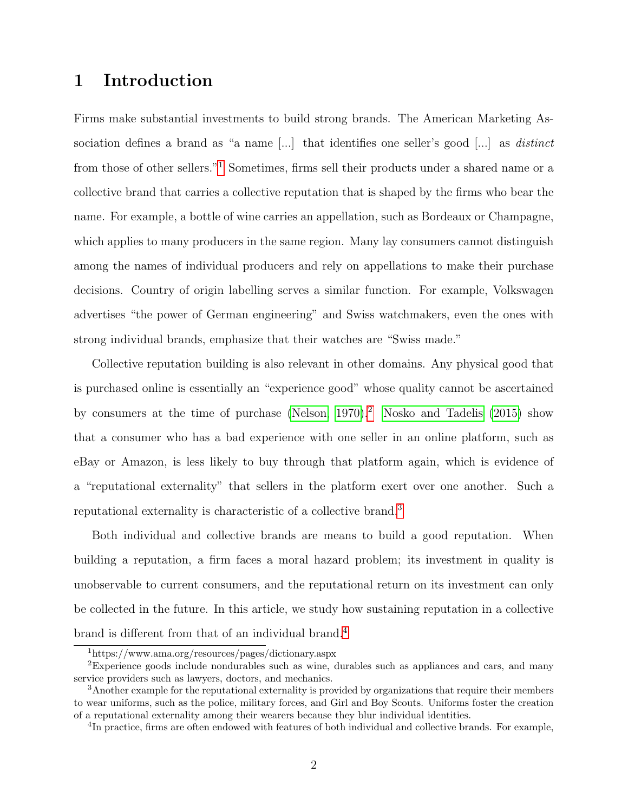# 1 Introduction

Firms make substantial investments to build strong brands. The American Marketing Association defines a brand as "a name [...] that identifies one seller's good [...] as *distinct* from those of other sellers."[1](#page-1-0) Sometimes, firms sell their products under a shared name or a collective brand that carries a collective reputation that is shaped by the firms who bear the name. For example, a bottle of wine carries an appellation, such as Bordeaux or Champagne, which applies to many producers in the same region. Many lay consumers cannot distinguish among the names of individual producers and rely on appellations to make their purchase decisions. Country of origin labelling serves a similar function. For example, Volkswagen advertises "the power of German engineering" and Swiss watchmakers, even the ones with strong individual brands, emphasize that their watches are "Swiss made."

Collective reputation building is also relevant in other domains. Any physical good that is purchased online is essentially an "experience good" whose quality cannot be ascertained by consumers at the time of purchase (Nelson,  $1970$ ).<sup>[2](#page-1-0)</sup> [Nosko and Tadelis](#page-27-1) [\(2015\)](#page-27-1) show that a consumer who has a bad experience with one seller in an online platform, such as eBay or Amazon, is less likely to buy through that platform again, which is evidence of a "reputational externality" that sellers in the platform exert over one another. Such a reputational externality is characteristic of a collective brand.[3](#page-1-0)

Both individual and collective brands are means to build a good reputation. When building a reputation, a firm faces a moral hazard problem; its investment in quality is unobservable to current consumers, and the reputational return on its investment can only be collected in the future. In this article, we study how sustaining reputation in a collective brand is different from that of an individual brand.[4](#page-1-0)

<sup>1</sup>https://www.ama.org/resources/pages/dictionary.aspx

<sup>2</sup>Experience goods include nondurables such as wine, durables such as appliances and cars, and many service providers such as lawyers, doctors, and mechanics.

<sup>&</sup>lt;sup>3</sup>Another example for the reputational externality is provided by organizations that require their members to wear uniforms, such as the police, military forces, and Girl and Boy Scouts. Uniforms foster the creation of a reputational externality among their wearers because they blur individual identities.

<sup>&</sup>lt;sup>4</sup>In practice, firms are often endowed with features of both individual and collective brands. For example,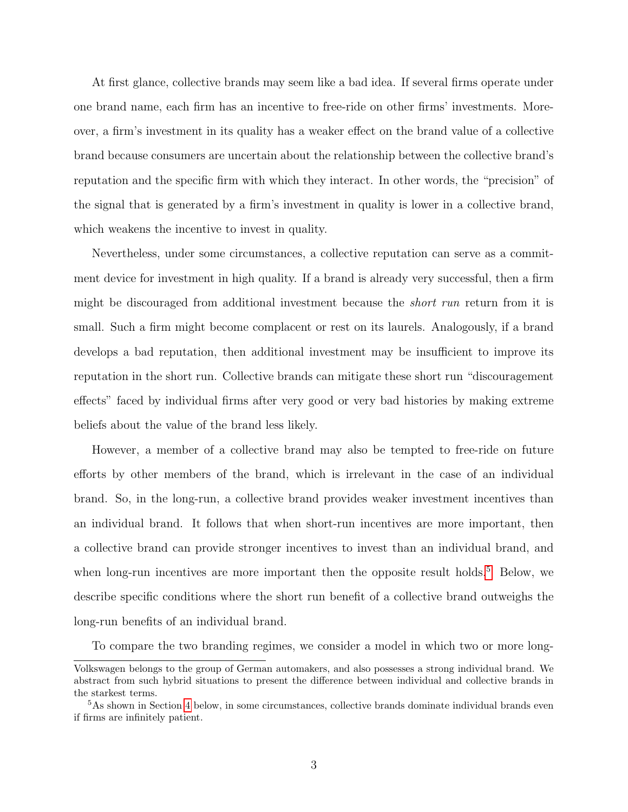At first glance, collective brands may seem like a bad idea. If several firms operate under one brand name, each firm has an incentive to free-ride on other firms' investments. Moreover, a firm's investment in its quality has a weaker effect on the brand value of a collective brand because consumers are uncertain about the relationship between the collective brand's reputation and the specific firm with which they interact. In other words, the "precision" of the signal that is generated by a firm's investment in quality is lower in a collective brand, which weakens the incentive to invest in quality.

Nevertheless, under some circumstances, a collective reputation can serve as a commitment device for investment in high quality. If a brand is already very successful, then a firm might be discouraged from additional investment because the short run return from it is small. Such a firm might become complacent or rest on its laurels. Analogously, if a brand develops a bad reputation, then additional investment may be insufficient to improve its reputation in the short run. Collective brands can mitigate these short run "discouragement effects" faced by individual firms after very good or very bad histories by making extreme beliefs about the value of the brand less likely.

However, a member of a collective brand may also be tempted to free-ride on future efforts by other members of the brand, which is irrelevant in the case of an individual brand. So, in the long-run, a collective brand provides weaker investment incentives than an individual brand. It follows that when short-run incentives are more important, then a collective brand can provide stronger incentives to invest than an individual brand, and when long-run incentives are more important then the opposite result holds.<sup>[5](#page-1-0)</sup> Below, we describe specific conditions where the short run benefit of a collective brand outweighs the long-run benefits of an individual brand.

To compare the two branding regimes, we consider a model in which two or more long-

Volkswagen belongs to the group of German automakers, and also possesses a strong individual brand. We abstract from such hybrid situations to present the difference between individual and collective brands in the starkest terms.

<sup>5</sup>As shown in Section [4](#page-12-0) below, in some circumstances, collective brands dominate individual brands even if firms are infinitely patient.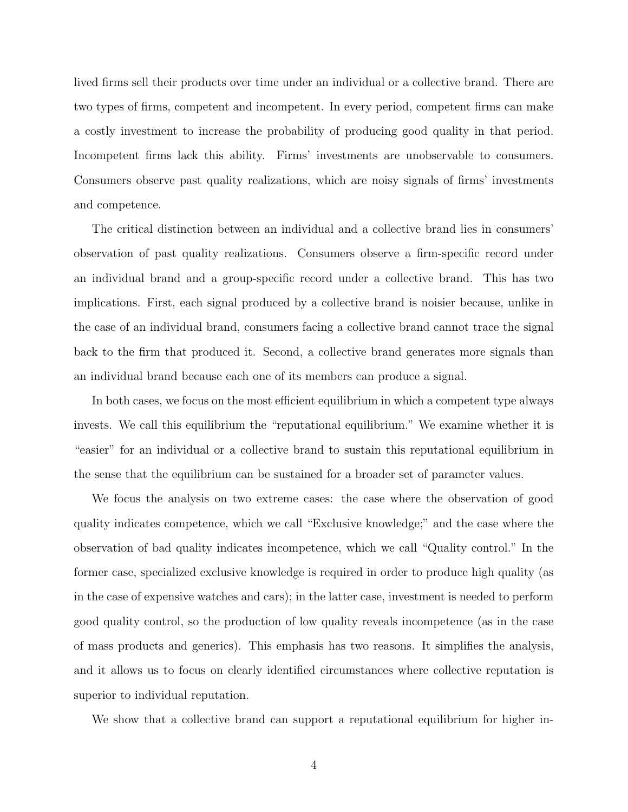lived firms sell their products over time under an individual or a collective brand. There are two types of firms, competent and incompetent. In every period, competent firms can make a costly investment to increase the probability of producing good quality in that period. Incompetent firms lack this ability. Firms' investments are unobservable to consumers. Consumers observe past quality realizations, which are noisy signals of firms' investments and competence.

The critical distinction between an individual and a collective brand lies in consumers' observation of past quality realizations. Consumers observe a firm-specific record under an individual brand and a group-specific record under a collective brand. This has two implications. First, each signal produced by a collective brand is noisier because, unlike in the case of an individual brand, consumers facing a collective brand cannot trace the signal back to the firm that produced it. Second, a collective brand generates more signals than an individual brand because each one of its members can produce a signal.

In both cases, we focus on the most efficient equilibrium in which a competent type always invests. We call this equilibrium the "reputational equilibrium." We examine whether it is "easier" for an individual or a collective brand to sustain this reputational equilibrium in the sense that the equilibrium can be sustained for a broader set of parameter values.

We focus the analysis on two extreme cases: the case where the observation of good quality indicates competence, which we call "Exclusive knowledge;" and the case where the observation of bad quality indicates incompetence, which we call "Quality control." In the former case, specialized exclusive knowledge is required in order to produce high quality (as in the case of expensive watches and cars); in the latter case, investment is needed to perform good quality control, so the production of low quality reveals incompetence (as in the case of mass products and generics). This emphasis has two reasons. It simplifies the analysis, and it allows us to focus on clearly identified circumstances where collective reputation is superior to individual reputation.

We show that a collective brand can support a reputational equilibrium for higher in-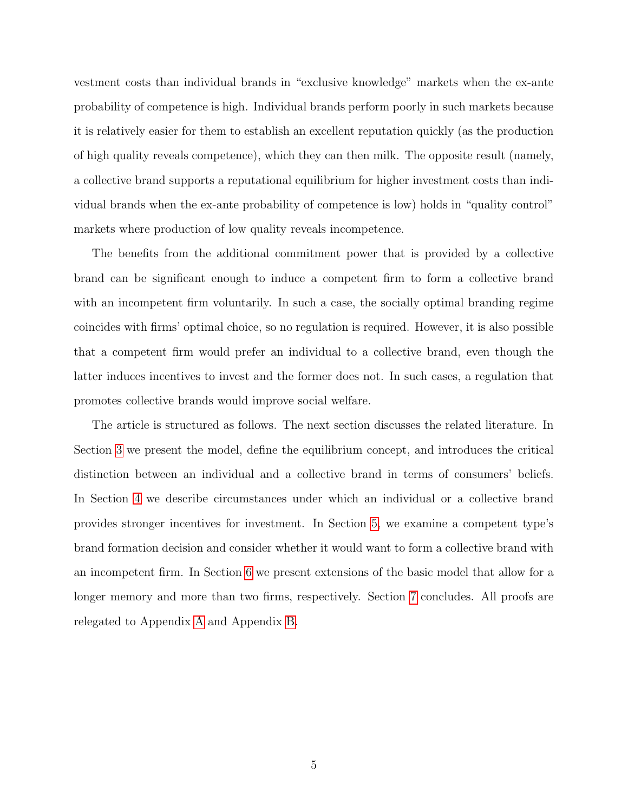vestment costs than individual brands in "exclusive knowledge" markets when the ex-ante probability of competence is high. Individual brands perform poorly in such markets because it is relatively easier for them to establish an excellent reputation quickly (as the production of high quality reveals competence), which they can then milk. The opposite result (namely, a collective brand supports a reputational equilibrium for higher investment costs than individual brands when the ex-ante probability of competence is low) holds in "quality control" markets where production of low quality reveals incompetence.

The benefits from the additional commitment power that is provided by a collective brand can be significant enough to induce a competent firm to form a collective brand with an incompetent firm voluntarily. In such a case, the socially optimal branding regime coincides with firms' optimal choice, so no regulation is required. However, it is also possible that a competent firm would prefer an individual to a collective brand, even though the latter induces incentives to invest and the former does not. In such cases, a regulation that promotes collective brands would improve social welfare.

The article is structured as follows. The next section discusses the related literature. In Section [3](#page-9-0) we present the model, define the equilibrium concept, and introduces the critical distinction between an individual and a collective brand in terms of consumers' beliefs. In Section [4](#page-12-0) we describe circumstances under which an individual or a collective brand provides stronger incentives for investment. In Section [5,](#page-20-0) we examine a competent type's brand formation decision and consider whether it would want to form a collective brand with an incompetent firm. In Section [6](#page-23-0) we present extensions of the basic model that allow for a longer memory and more than two firms, respectively. Section [7](#page-25-0) concludes. All proofs are relegated to Appendix [A](#page-28-0) and Appendix [B.](#page-46-0)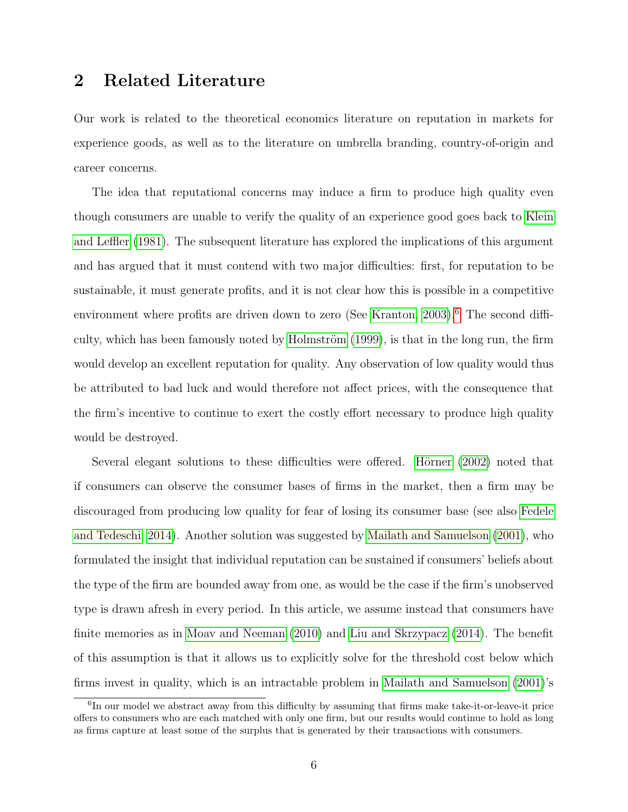# 2 Related Literature

Our work is related to the theoretical economics literature on reputation in markets for experience goods, as well as to the literature on umbrella branding, country-of-origin and career concerns.

The idea that reputational concerns may induce a firm to produce high quality even though consumers are unable to verify the quality of an experience good goes back to [Klein](#page-26-0) [and Leffler](#page-26-0) [\(1981\)](#page-26-0). The subsequent literature has explored the implications of this argument and has argued that it must contend with two major difficulties: first, for reputation to be sustainable, it must generate profits, and it is not clear how this is possible in a competitive environment where profits are driven down to zero (See [Kranton, 2003\)](#page-26-1).<sup>[6](#page-1-0)</sup> The second difficulty, which has been famously noted by Holmström  $(1999)$ , is that in the long run, the firm would develop an excellent reputation for quality. Any observation of low quality would thus be attributed to bad luck and would therefore not affect prices, with the consequence that the firm's incentive to continue to exert the costly effort necessary to produce high quality would be destroyed.

Several elegant solutions to these difficulties were offered. Hörner [\(2002\)](#page-26-3) noted that if consumers can observe the consumer bases of firms in the market, then a firm may be discouraged from producing low quality for fear of losing its consumer base (see also [Fedele](#page-26-4) [and Tedeschi, 2014\)](#page-26-4). Another solution was suggested by [Mailath and Samuelson](#page-27-2) [\(2001\)](#page-27-2), who formulated the insight that individual reputation can be sustained if consumers' beliefs about the type of the firm are bounded away from one, as would be the case if the firm's unobserved type is drawn afresh in every period. In this article, we assume instead that consumers have finite memories as in [Moav and Neeman](#page-27-3) [\(2010\)](#page-27-3) and [Liu and Skrzypacz](#page-27-4) [\(2014\)](#page-27-4). The benefit of this assumption is that it allows us to explicitly solve for the threshold cost below which firms invest in quality, which is an intractable problem in [Mailath and Samuelson](#page-27-2) [\(2001\)](#page-27-2)'s

<sup>&</sup>lt;sup>6</sup>In our model we abstract away from this difficulty by assuming that firms make take-it-or-leave-it price offers to consumers who are each matched with only one firm, but our results would continue to hold as long as firms capture at least some of the surplus that is generated by their transactions with consumers.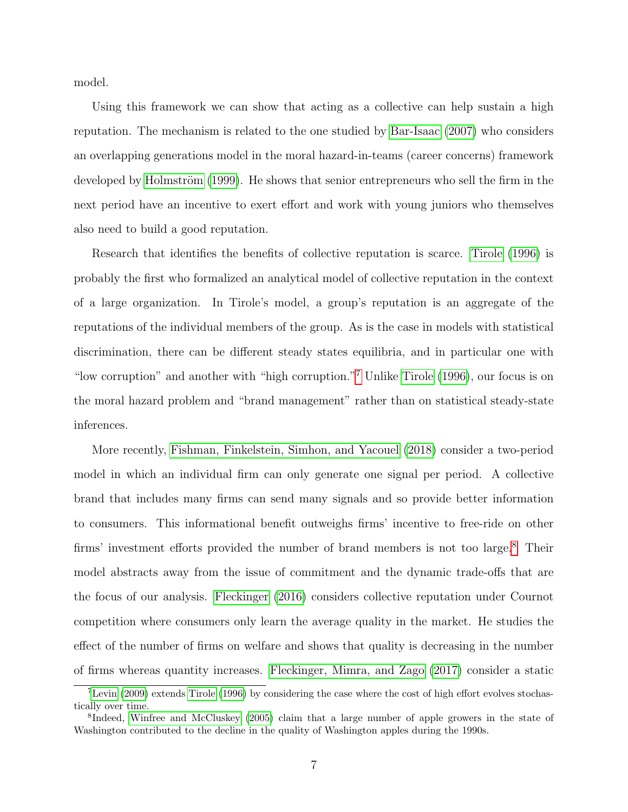model.

Using this framework we can show that acting as a collective can help sustain a high reputation. The mechanism is related to the one studied by [Bar-Isaac](#page-26-5) [\(2007\)](#page-26-5) who considers an overlapping generations model in the moral hazard-in-teams (career concerns) framework developed by Holmström [\(1999\)](#page-26-2). He shows that senior entrepreneurs who sell the firm in the next period have an incentive to exert effort and work with young juniors who themselves also need to build a good reputation.

Research that identifies the benefits of collective reputation is scarce. [Tirole](#page-27-5) [\(1996\)](#page-27-5) is probably the first who formalized an analytical model of collective reputation in the context of a large organization. In Tirole's model, a group's reputation is an aggregate of the reputations of the individual members of the group. As is the case in models with statistical discrimination, there can be different steady states equilibria, and in particular one with "low corruption" and another with "high corruption."[7](#page-1-0) Unlike [Tirole](#page-27-5) [\(1996\)](#page-27-5), our focus is on the moral hazard problem and "brand management" rather than on statistical steady-state inferences.

More recently, [Fishman, Finkelstein, Simhon, and Yacouel](#page-26-6) [\(2018\)](#page-26-6) consider a two-period model in which an individual firm can only generate one signal per period. A collective brand that includes many firms can send many signals and so provide better information to consumers. This informational benefit outweighs firms' incentive to free-ride on other firms' investment efforts provided the number of brand members is not too large.<sup>[8](#page-1-0)</sup> Their model abstracts away from the issue of commitment and the dynamic trade-offs that are the focus of our analysis. [Fleckinger](#page-26-7) [\(2016\)](#page-26-7) considers collective reputation under Cournot competition where consumers only learn the average quality in the market. He studies the effect of the number of firms on welfare and shows that quality is decreasing in the number of firms whereas quantity increases. [Fleckinger, Mimra, and Zago](#page-26-8) [\(2017\)](#page-26-8) consider a static

<sup>7</sup>[Levin](#page-27-6) [\(2009\)](#page-27-6) extends [Tirole](#page-27-5) [\(1996\)](#page-27-5) by considering the case where the cost of high effort evolves stochastically over time.

<sup>&</sup>lt;sup>8</sup>Indeed, [Winfree and McCluskey](#page-27-7) [\(2005\)](#page-27-7) claim that a large number of apple growers in the state of Washington contributed to the decline in the quality of Washington apples during the 1990s.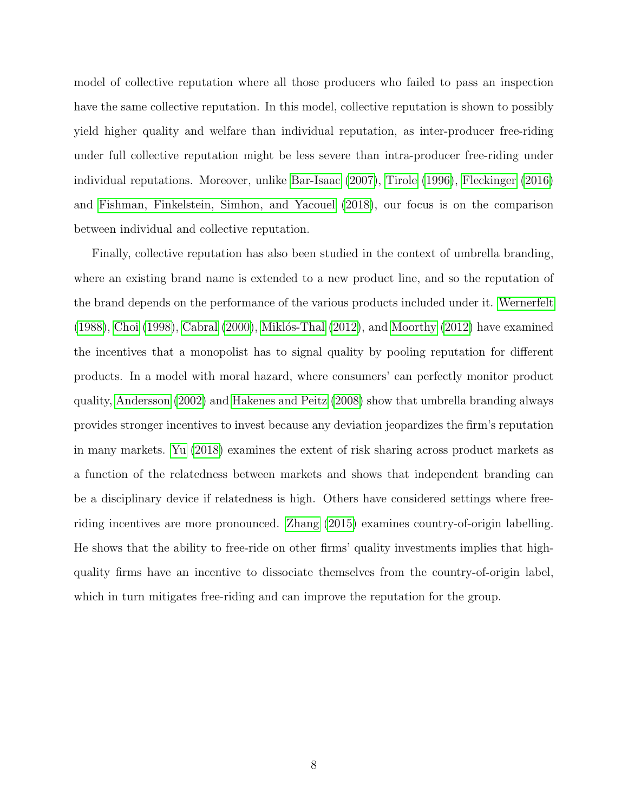model of collective reputation where all those producers who failed to pass an inspection have the same collective reputation. In this model, collective reputation is shown to possibly yield higher quality and welfare than individual reputation, as inter-producer free-riding under full collective reputation might be less severe than intra-producer free-riding under individual reputations. Moreover, unlike [Bar-Isaac](#page-26-5) [\(2007\)](#page-26-5), [Tirole](#page-27-5) [\(1996\)](#page-27-5), [Fleckinger](#page-26-7) [\(2016\)](#page-26-7) and [Fishman, Finkelstein, Simhon, and Yacouel](#page-26-6) [\(2018\)](#page-26-6), our focus is on the comparison between individual and collective reputation.

Finally, collective reputation has also been studied in the context of umbrella branding, where an existing brand name is extended to a new product line, and so the reputation of the brand depends on the performance of the various products included under it. [Wernerfelt](#page-27-8)  $(1988)$ , [Choi](#page-26-9)  $(1998)$ , [Cabral](#page-26-10)  $(2000)$ , Miklós-Thal  $(2012)$ , and [Moorthy](#page-27-10)  $(2012)$  have examined the incentives that a monopolist has to signal quality by pooling reputation for different products. In a model with moral hazard, where consumers' can perfectly monitor product quality, [Andersson](#page-26-11) [\(2002\)](#page-26-11) and [Hakenes and Peitz](#page-26-12) [\(2008\)](#page-26-12) show that umbrella branding always provides stronger incentives to invest because any deviation jeopardizes the firm's reputation in many markets. [Yu](#page-27-11) [\(2018\)](#page-27-11) examines the extent of risk sharing across product markets as a function of the relatedness between markets and shows that independent branding can be a disciplinary device if relatedness is high. Others have considered settings where freeriding incentives are more pronounced. [Zhang](#page-27-12) [\(2015\)](#page-27-12) examines country-of-origin labelling. He shows that the ability to free-ride on other firms' quality investments implies that highquality firms have an incentive to dissociate themselves from the country-of-origin label, which in turn mitigates free-riding and can improve the reputation for the group.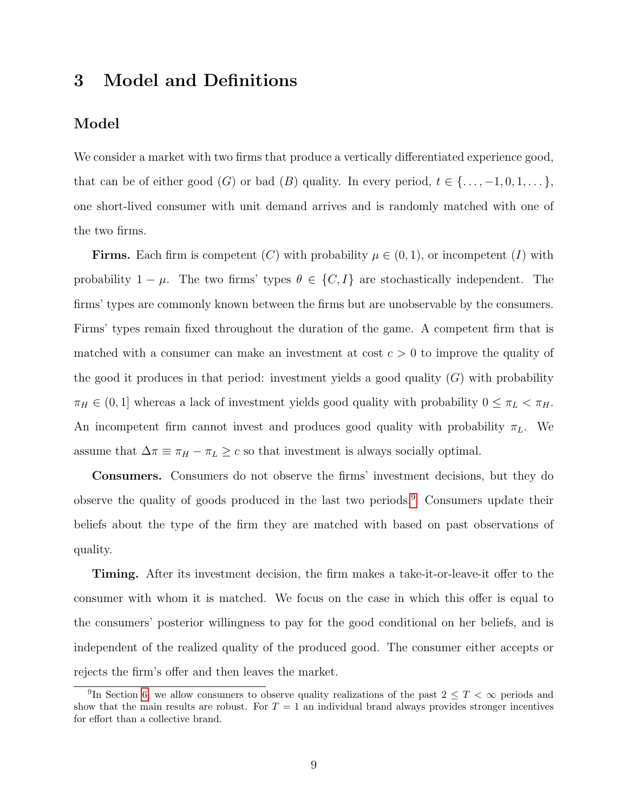# <span id="page-9-0"></span>3 Model and Definitions

## Model

We consider a market with two firms that produce a vertically differentiated experience good, that can be of either good  $(G)$  or bad  $(B)$  quality. In every period,  $t \in \{\ldots, -1, 0, 1, \ldots\}$ , one short-lived consumer with unit demand arrives and is randomly matched with one of the two firms.

**Firms.** Each firm is competent (C) with probability  $\mu \in (0,1)$ , or incompetent (I) with probability  $1 - \mu$ . The two firms' types  $\theta \in \{C, I\}$  are stochastically independent. The firms' types are commonly known between the firms but are unobservable by the consumers. Firms' types remain fixed throughout the duration of the game. A competent firm that is matched with a consumer can make an investment at cost  $c > 0$  to improve the quality of the good it produces in that period: investment yields a good quality  $(G)$  with probability  $\pi_H \in (0, 1]$  whereas a lack of investment yields good quality with probability  $0 \leq \pi_L < \pi_H$ . An incompetent firm cannot invest and produces good quality with probability  $\pi_L$ . We assume that  $\Delta \pi \equiv \pi_H - \pi_L \geq c$  so that investment is always socially optimal.

Consumers. Consumers do not observe the firms' investment decisions, but they do observe the quality of goods produced in the last two periods.[9](#page-1-0) Consumers update their beliefs about the type of the firm they are matched with based on past observations of quality.

Timing. After its investment decision, the firm makes a take-it-or-leave-it offer to the consumer with whom it is matched. We focus on the case in which this offer is equal to the consumers' posterior willingness to pay for the good conditional on her beliefs, and is independent of the realized quality of the produced good. The consumer either accepts or rejects the firm's offer and then leaves the market.

<sup>&</sup>lt;sup>9</sup>In Section [6,](#page-23-1) we allow consumers to observe quality realizations of the past  $2 \leq T < \infty$  periods and show that the main results are robust. For  $T = 1$  an individual brand always provides stronger incentives for effort than a collective brand.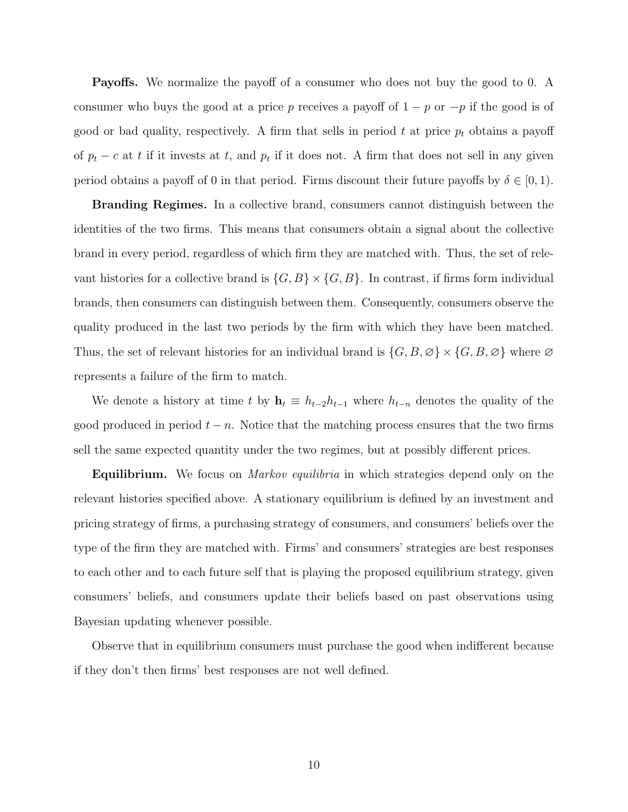Payoffs. We normalize the payoff of a consumer who does not buy the good to 0. A consumer who buys the good at a price p receives a payoff of  $1 - p$  or  $-p$  if the good is of good or bad quality, respectively. A firm that sells in period t at price  $p_t$  obtains a payoff of  $p_t - c$  at t if it invests at t, and  $p_t$  if it does not. A firm that does not sell in any given period obtains a payoff of 0 in that period. Firms discount their future payoffs by  $\delta \in [0,1)$ .

**Branding Regimes.** In a collective brand, consumers cannot distinguish between the identities of the two firms. This means that consumers obtain a signal about the collective brand in every period, regardless of which firm they are matched with. Thus, the set of relevant histories for a collective brand is  $\{G, B\} \times \{G, B\}$ . In contrast, if firms form individual brands, then consumers can distinguish between them. Consequently, consumers observe the quality produced in the last two periods by the firm with which they have been matched. Thus, the set of relevant histories for an individual brand is  $\{G, B, \emptyset\} \times \{G, B, \emptyset\}$  where  $\emptyset$ represents a failure of the firm to match.

We denote a history at time t by  $\mathbf{h}_t \equiv h_{t-2}h_{t-1}$  where  $h_{t-n}$  denotes the quality of the good produced in period  $t - n$ . Notice that the matching process ensures that the two firms sell the same expected quantity under the two regimes, but at possibly different prices.

**Equilibrium.** We focus on *Markov equilibria* in which strategies depend only on the relevant histories specified above. A stationary equilibrium is defined by an investment and pricing strategy of firms, a purchasing strategy of consumers, and consumers' beliefs over the type of the firm they are matched with. Firms' and consumers' strategies are best responses to each other and to each future self that is playing the proposed equilibrium strategy, given consumers' beliefs, and consumers update their beliefs based on past observations using Bayesian updating whenever possible.

Observe that in equilibrium consumers must purchase the good when indifferent because if they don't then firms' best responses are not well defined.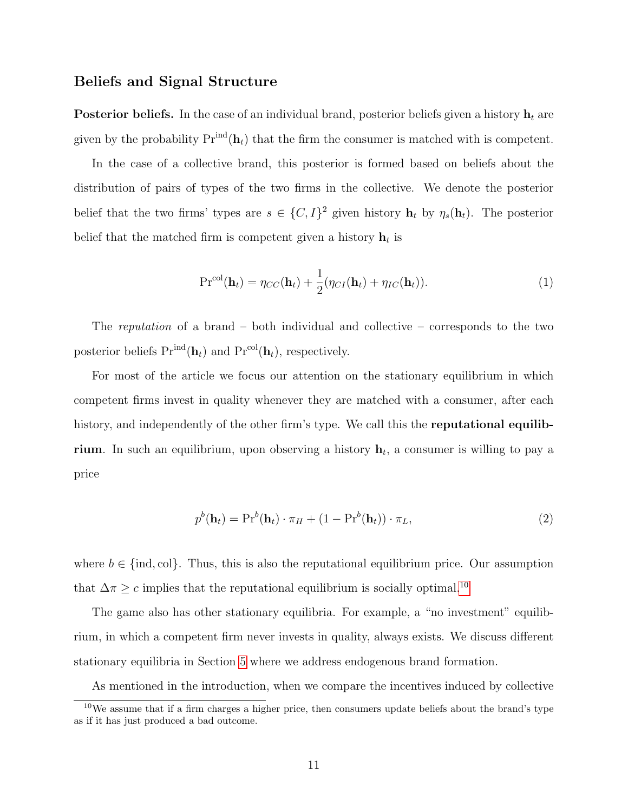## Beliefs and Signal Structure

**Posterior beliefs.** In the case of an individual brand, posterior beliefs given a history  $h_t$  are given by the probability  $Pr^{ind}(\mathbf{h}_t)$  that the firm the consumer is matched with is competent.

In the case of a collective brand, this posterior is formed based on beliefs about the distribution of pairs of types of the two firms in the collective. We denote the posterior belief that the two firms' types are  $s \in \{C, I\}^2$  given history  $\mathbf{h}_t$  by  $\eta_s(\mathbf{h}_t)$ . The posterior belief that the matched firm is competent given a history  $\mathbf{h}_t$  is

$$
\mathrm{Pr}^{\mathrm{col}}(\mathbf{h}_t) = \eta_{CC}(\mathbf{h}_t) + \frac{1}{2}(\eta_{CI}(\mathbf{h}_t) + \eta_{IC}(\mathbf{h}_t)).
$$
\n(1)

The *reputation* of a brand – both individual and collective – corresponds to the two posterior beliefs  $Pr^{ind}(\mathbf{h}_t)$  and  $Pr^{col}(\mathbf{h}_t)$ , respectively.

For most of the article we focus our attention on the stationary equilibrium in which competent firms invest in quality whenever they are matched with a consumer, after each history, and independently of the other firm's type. We call this the **reputational equilib**rium. In such an equilibrium, upon observing a history  $h_t$ , a consumer is willing to pay a price

<span id="page-11-0"></span>
$$
p^{b}(\mathbf{h}_{t}) = \mathbf{Pr}^{b}(\mathbf{h}_{t}) \cdot \pi_{H} + (1 - \mathbf{Pr}^{b}(\mathbf{h}_{t})) \cdot \pi_{L}, \qquad (2)
$$

where  $b \in \{\text{ind}, \text{col}\}\.$  Thus, this is also the reputational equilibrium price. Our assumption that  $\Delta \pi \geq c$  implies that the reputational equilibrium is socially optimal.<sup>[10](#page-1-0)</sup>

The game also has other stationary equilibria. For example, a "no investment" equilibrium, in which a competent firm never invests in quality, always exists. We discuss different stationary equilibria in Section [5](#page-20-0) where we address endogenous brand formation.

As mentioned in the introduction, when we compare the incentives induced by collective

<sup>10</sup>We assume that if a firm charges a higher price, then consumers update beliefs about the brand's type as if it has just produced a bad outcome.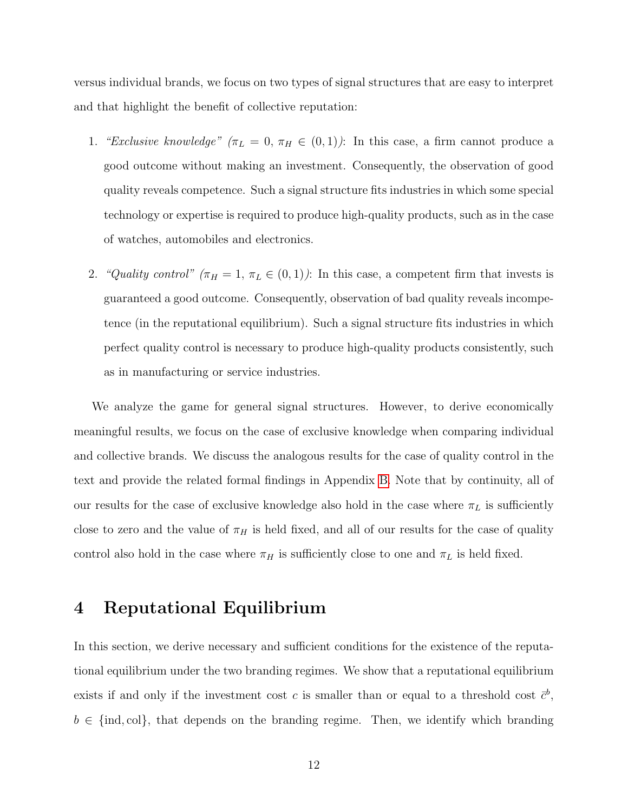versus individual brands, we focus on two types of signal structures that are easy to interpret and that highlight the benefit of collective reputation:

- 1. "Exclusive knowledge"  $(\pi_L = 0, \pi_H \in (0, 1))$ : In this case, a firm cannot produce a good outcome without making an investment. Consequently, the observation of good quality reveals competence. Such a signal structure fits industries in which some special technology or expertise is required to produce high-quality products, such as in the case of watches, automobiles and electronics.
- 2. "Quality control" ( $\pi_H = 1$ ,  $\pi_L \in (0, 1)$ ): In this case, a competent firm that invests is guaranteed a good outcome. Consequently, observation of bad quality reveals incompetence (in the reputational equilibrium). Such a signal structure fits industries in which perfect quality control is necessary to produce high-quality products consistently, such as in manufacturing or service industries.

We analyze the game for general signal structures. However, to derive economically meaningful results, we focus on the case of exclusive knowledge when comparing individual and collective brands. We discuss the analogous results for the case of quality control in the text and provide the related formal findings in Appendix [B.](#page-46-0) Note that by continuity, all of our results for the case of exclusive knowledge also hold in the case where  $\pi_L$  is sufficiently close to zero and the value of  $\pi_H$  is held fixed, and all of our results for the case of quality control also hold in the case where  $\pi_H$  is sufficiently close to one and  $\pi_L$  is held fixed.

## <span id="page-12-0"></span>4 Reputational Equilibrium

In this section, we derive necessary and sufficient conditions for the existence of the reputational equilibrium under the two branding regimes. We show that a reputational equilibrium exists if and only if the investment cost c is smaller than or equal to a threshold cost  $\bar{c}^b$ ,  $b \in \{\text{ind}, \text{col}\},\$  that depends on the branding regime. Then, we identify which branding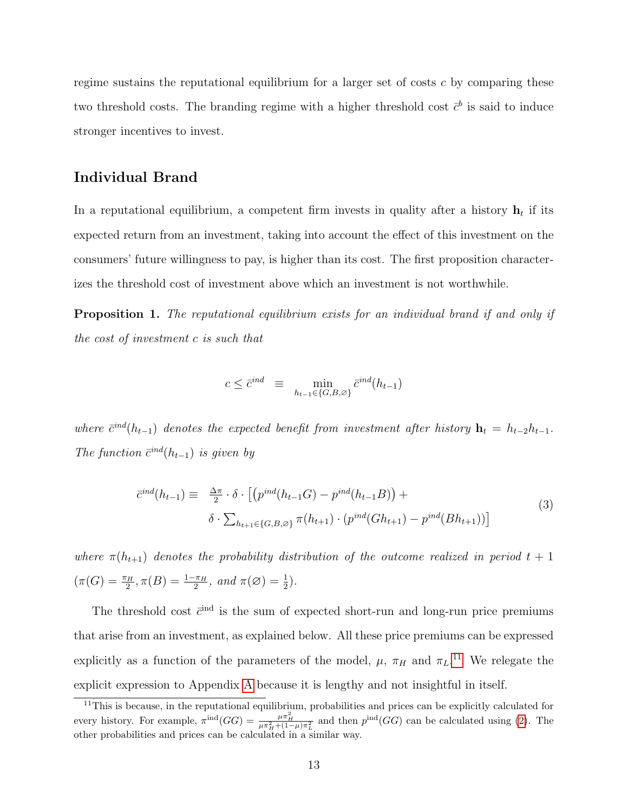regime sustains the reputational equilibrium for a larger set of costs  $c$  by comparing these two threshold costs. The branding regime with a higher threshold cost  $\bar{c}^b$  is said to induce stronger incentives to invest.

## Individual Brand

In a reputational equilibrium, a competent firm invests in quality after a history  $\mathbf{h}_t$  if its expected return from an investment, taking into account the effect of this investment on the consumers' future willingness to pay, is higher than its cost. The first proposition characterizes the threshold cost of investment above which an investment is not worthwhile.

<span id="page-13-0"></span>Proposition 1. The reputational equilibrium exists for an individual brand if and only if the cost of investment c is such that

$$
c \leq \bar{c}^{ind} \equiv \min_{h_{t-1} \in \{G, B, \varnothing\}} \bar{c}^{ind}(h_{t-1})
$$

where  $\bar{c}^{ind}(h_{t-1})$  denotes the expected benefit from investment after history  $\mathbf{h}_t = h_{t-2}h_{t-1}$ . The function  $\bar{c}^{ind}(h_{t-1})$  is given by

<span id="page-13-1"></span>
$$
\bar{c}^{ind}(h_{t-1}) \equiv \frac{\Delta \pi}{2} \cdot \delta \cdot \left[ \left( p^{ind}(h_{t-1}G) - p^{ind}(h_{t-1}B) \right) + \delta \cdot \sum_{h_{t+1} \in \{G, B, \varnothing\}} \pi(h_{t+1}) \cdot \left( p^{ind}(Gh_{t+1}) - p^{ind}(Bh_{t+1}) \right) \right]
$$
\n(3)

where  $\pi(h_{t+1})$  denotes the probability distribution of the outcome realized in period  $t + 1$  $(\pi(G) = \frac{\pi_H}{2}, \pi(B) = \frac{1-\pi_H}{2}, \text{ and } \pi(\emptyset) = \frac{1}{2}).$ 

The threshold cost  $\bar{c}^{\text{ind}}$  is the sum of expected short-run and long-run price premiums that arise from an investment, as explained below. All these price premiums can be expressed explicitly as a function of the parameters of the model,  $\mu$ ,  $\pi_H$  and  $\pi_L$ <sup>[11](#page-1-0)</sup>. We relegate the explicit expression to Appendix [A](#page-28-0) because it is lengthy and not insightful in itself.

 $11$ This is because, in the reputational equilibrium, probabilities and prices can be explicitly calculated for every history. For example,  $\pi^{\text{ind}}(GG) = \frac{\mu \pi_H^2}{\mu \pi_H^2 + (1-\mu)\pi_L^2}$  and then  $p^{\text{ind}}(GG)$  can be calculated using [\(2\)](#page-11-0). The other probabilities and prices can be calculated in a similar way.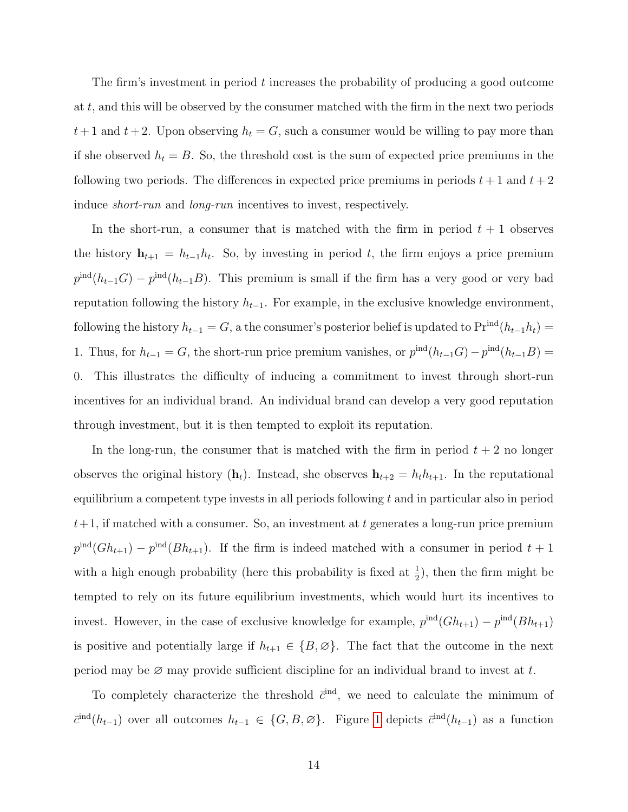The firm's investment in period t increases the probability of producing a good outcome at t, and this will be observed by the consumer matched with the firm in the next two periods  $t+1$  and  $t+2$ . Upon observing  $h_t = G$ , such a consumer would be willing to pay more than if she observed  $h_t = B$ . So, the threshold cost is the sum of expected price premiums in the following two periods. The differences in expected price premiums in periods  $t + 1$  and  $t + 2$ induce short-run and long-run incentives to invest, respectively.

In the short-run, a consumer that is matched with the firm in period  $t + 1$  observes the history  $\mathbf{h}_{t+1} = h_{t-1}h_t$ . So, by investing in period t, the firm enjoys a price premium  $p^{\text{ind}}(h_{t-1}G) - p^{\text{ind}}(h_{t-1}B)$ . This premium is small if the firm has a very good or very bad reputation following the history  $h_{t-1}$ . For example, in the exclusive knowledge environment, following the history  $h_{t-1} = G$ , a the consumer's posterior belief is updated to  $\Pr^{\text{ind}}(h_{t-1}h_t) =$ 1. Thus, for  $h_{t-1} = G$ , the short-run price premium vanishes, or  $p^{\text{ind}}(h_{t-1}G) - p^{\text{ind}}(h_{t-1}B) =$ 0. This illustrates the difficulty of inducing a commitment to invest through short-run incentives for an individual brand. An individual brand can develop a very good reputation through investment, but it is then tempted to exploit its reputation.

In the long-run, the consumer that is matched with the firm in period  $t + 2$  no longer observes the original history  $(h_t)$ . Instead, she observes  $h_{t+2} = h_t h_{t+1}$ . In the reputational equilibrium a competent type invests in all periods following  $t$  and in particular also in period  $t+1$ , if matched with a consumer. So, an investment at t generates a long-run price premium  $p^{\text{ind}}(G h_{t+1}) - p^{\text{ind}}(B h_{t+1})$ . If the firm is indeed matched with a consumer in period  $t+1$ with a high enough probability (here this probability is fixed at  $\frac{1}{2}$ ), then the firm might be tempted to rely on its future equilibrium investments, which would hurt its incentives to invest. However, in the case of exclusive knowledge for example,  $p^{\text{ind}}(G h_{t+1}) - p^{\text{ind}}(B h_{t+1})$ is positive and potentially large if  $h_{t+1} \in \{B, \emptyset\}$ . The fact that the outcome in the next period may be  $\varnothing$  may provide sufficient discipline for an individual brand to invest at t.

To completely characterize the threshold  $\bar{c}^{\text{ind}}$ , we need to calculate the minimum of  $\bar{c}^{\text{ind}}(h_{t-1})$  over all outcomes  $h_{t-1} \in \{G, B, \emptyset\}$ . Figure [1](#page-60-0) depicts  $\bar{c}^{\text{ind}}(h_{t-1})$  as a function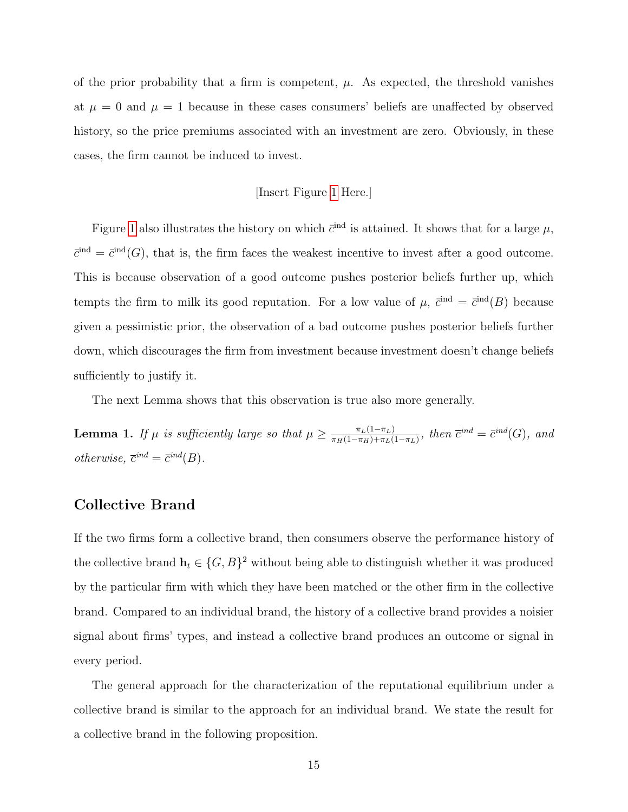of the prior probability that a firm is competent,  $\mu$ . As expected, the threshold vanishes at  $\mu = 0$  and  $\mu = 1$  because in these cases consumers' beliefs are unaffected by observed history, so the price premiums associated with an investment are zero. Obviously, in these cases, the firm cannot be induced to invest.

#### [Insert Figure [1](#page-60-0) Here.]

Figure [1](#page-60-0) also illustrates the history on which  $\bar{c}^{\text{ind}}$  is attained. It shows that for a large  $\mu$ ,  $\bar{c}^{\text{ind}} = \bar{c}^{\text{ind}}(G)$ , that is, the firm faces the weakest incentive to invest after a good outcome. This is because observation of a good outcome pushes posterior beliefs further up, which tempts the firm to milk its good reputation. For a low value of  $\mu$ ,  $\bar{c}^{\text{ind}} = \bar{c}^{\text{ind}}(B)$  because given a pessimistic prior, the observation of a bad outcome pushes posterior beliefs further down, which discourages the firm from investment because investment doesn't change beliefs sufficiently to justify it.

The next Lemma shows that this observation is true also more generally.

<span id="page-15-0"></span>**Lemma 1.** If  $\mu$  is sufficiently large so that  $\mu \geq \frac{\pi_L(1-\pi_L)}{\pi_L(1-\pi_L)+\pi_L(1-\pi_L)}$  $\frac{\pi_L(1-\pi_L)}{\pi_H(1-\pi_H)+\pi_L(1-\pi_L)}, \text{ then } \overline{c}^{ind} = \overline{c}^{ind}(G), \text{ and}$ otherwise,  $\bar{c}^{ind} = \bar{c}^{ind}(B)$ .

## Collective Brand

If the two firms form a collective brand, then consumers observe the performance history of the collective brand  $\mathbf{h}_t \in \{G, B\}^2$  without being able to distinguish whether it was produced by the particular firm with which they have been matched or the other firm in the collective brand. Compared to an individual brand, the history of a collective brand provides a noisier signal about firms' types, and instead a collective brand produces an outcome or signal in every period.

<span id="page-15-1"></span>The general approach for the characterization of the reputational equilibrium under a collective brand is similar to the approach for an individual brand. We state the result for a collective brand in the following proposition.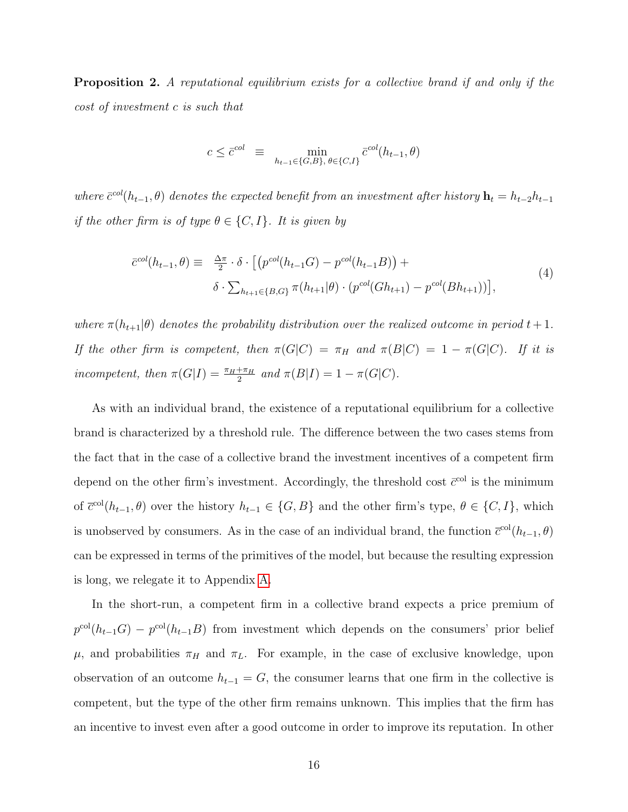Proposition 2. A reputational equilibrium exists for a collective brand if and only if the cost of investment c is such that

$$
c \le \bar{c}^{col} \equiv \min_{h_{t-1} \in \{G, B\}, \ \theta \in \{C, I\}} \bar{c}^{col}(h_{t-1}, \theta)
$$

where  $\bar{c}^{col}(h_{t-1},\theta)$  denotes the expected benefit from an investment after history  $\mathbf{h}_t = h_{t-2}h_{t-1}$ if the other firm is of type  $\theta \in \{C, I\}$ . It is given by

<span id="page-16-0"></span>
$$
\bar{c}^{col}(h_{t-1}, \theta) \equiv \frac{\Delta \pi}{2} \cdot \delta \cdot \left[ \left( p^{col}(h_{t-1}G) - p^{col}(h_{t-1}B) \right) + \delta \cdot \sum_{h_{t+1} \in \{B, G\}} \pi(h_{t+1}|\theta) \cdot \left( p^{col}(Gh_{t+1}) - p^{col}(Bh_{t+1}) \right) \right],
$$
\n(4)

where  $\pi(h_{t+1}|\theta)$  denotes the probability distribution over the realized outcome in period  $t+1$ . If the other firm is competent, then  $\pi(G|C) = \pi_H$  and  $\pi(B|C) = 1 - \pi(G|C)$ . If it is incompetent, then  $\pi(G|I) = \frac{\pi_H + \pi_H}{2}$  and  $\pi(B|I) = 1 - \pi(G|C)$ .

As with an individual brand, the existence of a reputational equilibrium for a collective brand is characterized by a threshold rule. The difference between the two cases stems from the fact that in the case of a collective brand the investment incentives of a competent firm depend on the other firm's investment. Accordingly, the threshold cost  $\bar{c}^{\text{col}}$  is the minimum of  $\bar{c}^{\text{col}}(h_{t-1}, \theta)$  over the history  $h_{t-1} \in \{G, B\}$  and the other firm's type,  $\theta \in \{C, I\}$ , which is unobserved by consumers. As in the case of an individual brand, the function  $\bar{c}^{col}(h_{t-1}, \theta)$ can be expressed in terms of the primitives of the model, but because the resulting expression is long, we relegate it to Appendix [A.](#page-28-0)

In the short-run, a competent firm in a collective brand expects a price premium of  $p^{\text{col}}(h_{t-1}G) - p^{\text{col}}(h_{t-1}B)$  from investment which depends on the consumers' prior belief  $\mu$ , and probabilities  $\pi_H$  and  $\pi_L$ . For example, in the case of exclusive knowledge, upon observation of an outcome  $h_{t-1} = G$ , the consumer learns that one firm in the collective is competent, but the type of the other firm remains unknown. This implies that the firm has an incentive to invest even after a good outcome in order to improve its reputation. In other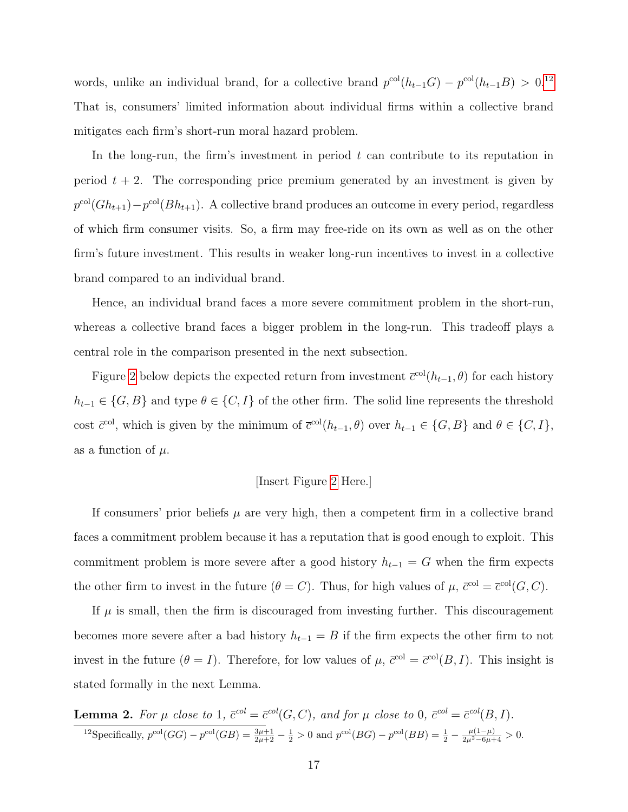words, unlike an individual brand, for a collective brand  $p^{\text{col}}(h_{t-1}G) - p^{\text{col}}(h_{t-1}B) > 0.12$  $p^{\text{col}}(h_{t-1}G) - p^{\text{col}}(h_{t-1}B) > 0.12$ That is, consumers' limited information about individual firms within a collective brand mitigates each firm's short-run moral hazard problem.

In the long-run, the firm's investment in period  $t$  can contribute to its reputation in period  $t + 2$ . The corresponding price premium generated by an investment is given by  $p^{\text{col}}(G h_{t+1}) - p^{\text{col}}(B h_{t+1})$ . A collective brand produces an outcome in every period, regardless of which firm consumer visits. So, a firm may free-ride on its own as well as on the other firm's future investment. This results in weaker long-run incentives to invest in a collective brand compared to an individual brand.

Hence, an individual brand faces a more severe commitment problem in the short-run, whereas a collective brand faces a bigger problem in the long-run. This tradeoff plays a central role in the comparison presented in the next subsection.

Figure [2](#page-61-0) below depicts the expected return from investment  $\bar{c}^{col}(h_{t-1}, \theta)$  for each history  $h_{t-1} \in \{G, B\}$  and type  $\theta \in \{C, I\}$  of the other firm. The solid line represents the threshold cost  $\bar{c}^{\text{col}}$ , which is given by the minimum of  $\bar{c}^{\text{col}}(h_{t-1}, \theta)$  over  $h_{t-1} \in \{G, B\}$  and  $\theta \in \{C, I\}$ , as a function of  $\mu$ .

#### [Insert Figure [2](#page-61-0) Here.]

If consumers' prior beliefs  $\mu$  are very high, then a competent firm in a collective brand faces a commitment problem because it has a reputation that is good enough to exploit. This commitment problem is more severe after a good history  $h_{t-1} = G$  when the firm expects the other firm to invest in the future  $(\theta = C)$ . Thus, for high values of  $\mu$ ,  $\bar{c}^{\text{col}} = \bar{c}^{\text{col}}(G, C)$ .

If  $\mu$  is small, then the firm is discouraged from investing further. This discouragement becomes more severe after a bad history  $h_{t-1} = B$  if the firm expects the other firm to not invest in the future  $(\theta = I)$ . Therefore, for low values of  $\mu$ ,  $\bar{c}^{\text{col}} = \bar{c}^{\text{col}}(B, I)$ . This insight is stated formally in the next Lemma.

<span id="page-17-0"></span>**Lemma 2.** For 
$$
\mu
$$
 close to 1,  $\bar{c}^{col} = \bar{c}^{col}(G, C)$ , and for  $\mu$  close to 0,  $\bar{c}^{col} = \bar{c}^{col}(B, I)$ .  
\n<sup>12</sup>Specifically,  $p^{col}(GG) - p^{col}(GB) = \frac{3\mu + 1}{2\mu + 2} - \frac{1}{2} > 0$  and  $p^{col}(BG) - p^{col}(BB) = \frac{1}{2} - \frac{\mu(1-\mu)}{2\mu^2 - 6\mu + 4} > 0$ .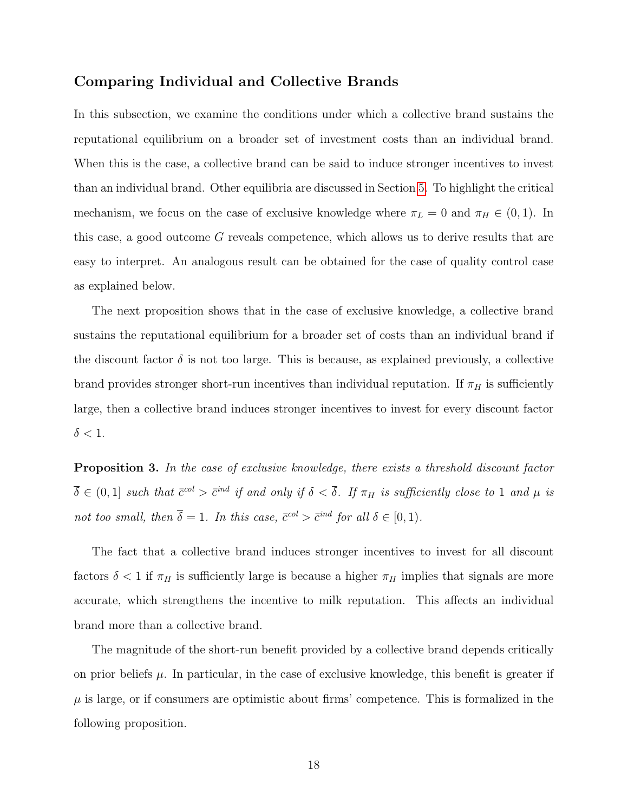## Comparing Individual and Collective Brands

In this subsection, we examine the conditions under which a collective brand sustains the reputational equilibrium on a broader set of investment costs than an individual brand. When this is the case, a collective brand can be said to induce stronger incentives to invest than an individual brand. Other equilibria are discussed in Section [5.](#page-20-0) To highlight the critical mechanism, we focus on the case of exclusive knowledge where  $\pi_L = 0$  and  $\pi_H \in (0, 1)$ . In this case, a good outcome G reveals competence, which allows us to derive results that are easy to interpret. An analogous result can be obtained for the case of quality control case as explained below.

The next proposition shows that in the case of exclusive knowledge, a collective brand sustains the reputational equilibrium for a broader set of costs than an individual brand if the discount factor  $\delta$  is not too large. This is because, as explained previously, a collective brand provides stronger short-run incentives than individual reputation. If  $\pi_H$  is sufficiently large, then a collective brand induces stronger incentives to invest for every discount factor  $\delta < 1$ .

<span id="page-18-0"></span>**Proposition 3.** In the case of exclusive knowledge, there exists a threshold discount factor  $\overline{\delta} \in (0,1]$  such that  $\overline{c}^{col} > \overline{c}^{ind}$  if and only if  $\delta < \overline{\delta}$ . If  $\pi_H$  is sufficiently close to 1 and  $\mu$  is not too small, then  $\overline{\delta} = 1$ . In this case,  $\overline{c}^{col} > \overline{c}^{ind}$  for all  $\delta \in [0,1)$ .

The fact that a collective brand induces stronger incentives to invest for all discount factors  $\delta$  < 1 if  $\pi_H$  is sufficiently large is because a higher  $\pi_H$  implies that signals are more accurate, which strengthens the incentive to milk reputation. This affects an individual brand more than a collective brand.

<span id="page-18-1"></span>The magnitude of the short-run benefit provided by a collective brand depends critically on prior beliefs  $\mu$ . In particular, in the case of exclusive knowledge, this benefit is greater if  $\mu$  is large, or if consumers are optimistic about firms' competence. This is formalized in the following proposition.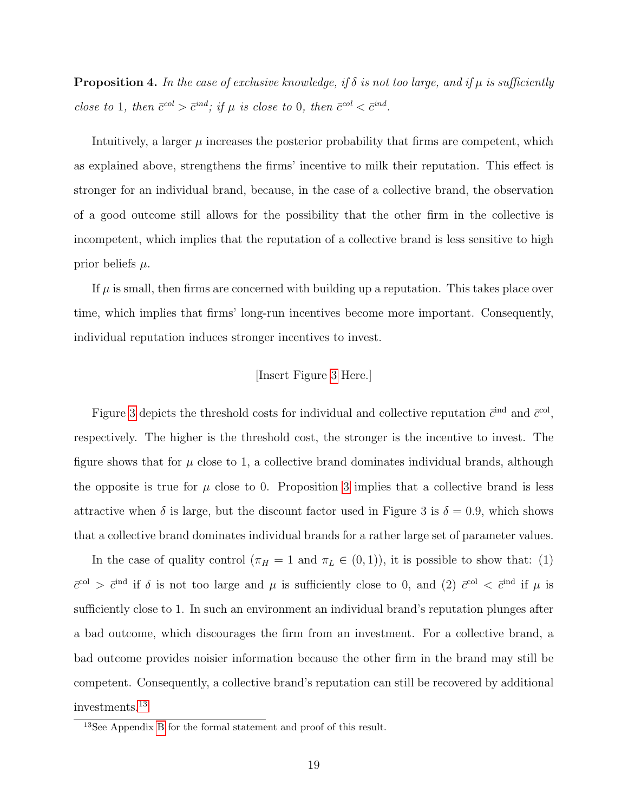**Proposition 4.** In the case of exclusive knowledge, if  $\delta$  is not too large, and if  $\mu$  is sufficiently close to 1, then  $\bar{c}^{col} > \bar{c}^{ind}$ ; if  $\mu$  is close to 0, then  $\bar{c}^{col} < \bar{c}^{ind}$ .

Intuitively, a larger  $\mu$  increases the posterior probability that firms are competent, which as explained above, strengthens the firms' incentive to milk their reputation. This effect is stronger for an individual brand, because, in the case of a collective brand, the observation of a good outcome still allows for the possibility that the other firm in the collective is incompetent, which implies that the reputation of a collective brand is less sensitive to high prior beliefs  $\mu$ .

If  $\mu$  is small, then firms are concerned with building up a reputation. This takes place over time, which implies that firms' long-run incentives become more important. Consequently, individual reputation induces stronger incentives to invest.

## [Insert Figure [3](#page-61-1) Here.]

Figure [3](#page-61-1) depicts the threshold costs for individual and collective reputation  $\bar{c}^{\text{ind}}$  and  $\bar{c}^{\text{col}}$ , respectively. The higher is the threshold cost, the stronger is the incentive to invest. The figure shows that for  $\mu$  close to 1, a collective brand dominates individual brands, although the opposite is true for  $\mu$  close to 0. Proposition [3](#page-18-0) implies that a collective brand is less attractive when  $\delta$  is large, but the discount factor used in Figure 3 is  $\delta = 0.9$ , which shows that a collective brand dominates individual brands for a rather large set of parameter values.

In the case of quality control  $(\pi_H = 1 \text{ and } \pi_L \in (0,1)),$  it is possible to show that: (1)  $\bar{c}^{\text{col}} > \bar{c}^{\text{ind}}$  if  $\delta$  is not too large and  $\mu$  is sufficiently close to 0, and (2)  $\bar{c}^{\text{col}} < \bar{c}^{\text{ind}}$  if  $\mu$  is sufficiently close to 1. In such an environment an individual brand's reputation plunges after a bad outcome, which discourages the firm from an investment. For a collective brand, a bad outcome provides noisier information because the other firm in the brand may still be competent. Consequently, a collective brand's reputation can still be recovered by additional investments.[13](#page-1-0)

<sup>13</sup>See Appendix [B](#page-46-0) for the formal statement and proof of this result.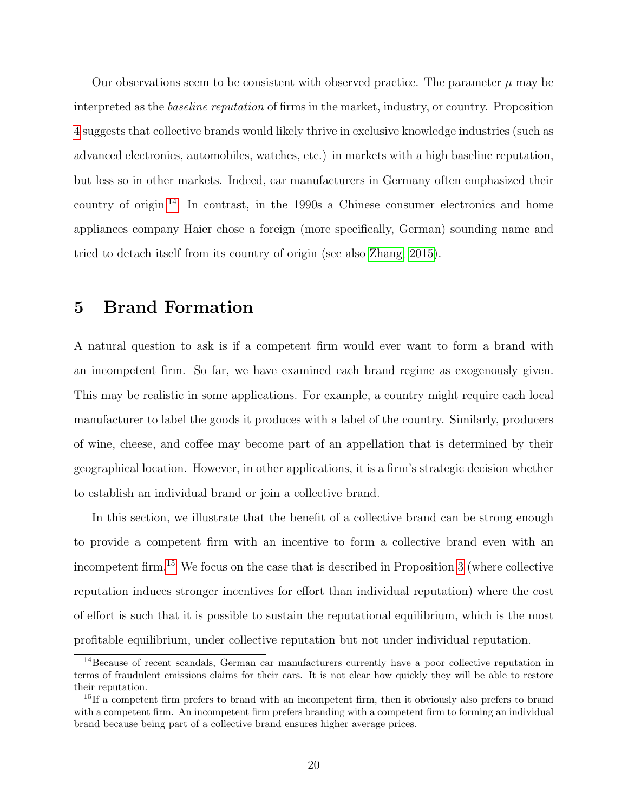Our observations seem to be consistent with observed practice. The parameter  $\mu$  may be interpreted as the baseline reputation of firms in the market, industry, or country. Proposition [4](#page-18-1) suggests that collective brands would likely thrive in exclusive knowledge industries (such as advanced electronics, automobiles, watches, etc.) in markets with a high baseline reputation, but less so in other markets. Indeed, car manufacturers in Germany often emphasized their country of origin.<sup>[14](#page-1-0)</sup> In contrast, in the 1990s a Chinese consumer electronics and home appliances company Haier chose a foreign (more specifically, German) sounding name and tried to detach itself from its country of origin (see also [Zhang, 2015\)](#page-27-12).

## <span id="page-20-0"></span>5 Brand Formation

A natural question to ask is if a competent firm would ever want to form a brand with an incompetent firm. So far, we have examined each brand regime as exogenously given. This may be realistic in some applications. For example, a country might require each local manufacturer to label the goods it produces with a label of the country. Similarly, producers of wine, cheese, and coffee may become part of an appellation that is determined by their geographical location. However, in other applications, it is a firm's strategic decision whether to establish an individual brand or join a collective brand.

In this section, we illustrate that the benefit of a collective brand can be strong enough to provide a competent firm with an incentive to form a collective brand even with an incompetent firm.[15](#page-1-0) We focus on the case that is described in Proposition [3](#page-18-0) (where collective reputation induces stronger incentives for effort than individual reputation) where the cost of effort is such that it is possible to sustain the reputational equilibrium, which is the most profitable equilibrium, under collective reputation but not under individual reputation.

<sup>&</sup>lt;sup>14</sup>Because of recent scandals, German car manufacturers currently have a poor collective reputation in terms of fraudulent emissions claims for their cars. It is not clear how quickly they will be able to restore their reputation.

 $15$ If a competent firm prefers to brand with an incompetent firm, then it obviously also prefers to brand with a competent firm. An incompetent firm prefers branding with a competent firm to forming an individual brand because being part of a collective brand ensures higher average prices.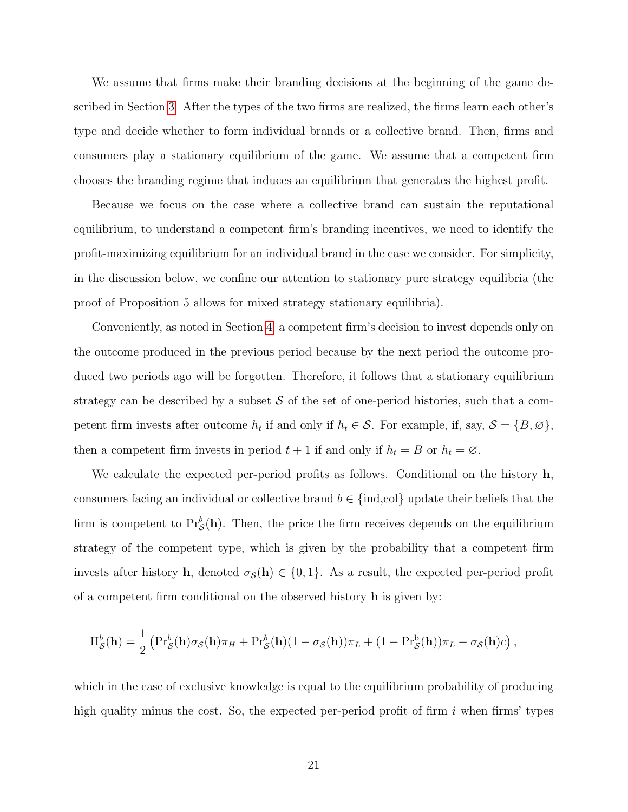We assume that firms make their branding decisions at the beginning of the game described in Section [3.](#page-9-0) After the types of the two firms are realized, the firms learn each other's type and decide whether to form individual brands or a collective brand. Then, firms and consumers play a stationary equilibrium of the game. We assume that a competent firm chooses the branding regime that induces an equilibrium that generates the highest profit.

Because we focus on the case where a collective brand can sustain the reputational equilibrium, to understand a competent firm's branding incentives, we need to identify the profit-maximizing equilibrium for an individual brand in the case we consider. For simplicity, in the discussion below, we confine our attention to stationary pure strategy equilibria (the proof of Proposition 5 allows for mixed strategy stationary equilibria).

Conveniently, as noted in Section [4,](#page-12-0) a competent firm's decision to invest depends only on the outcome produced in the previous period because by the next period the outcome produced two periods ago will be forgotten. Therefore, it follows that a stationary equilibrium strategy can be described by a subset  $S$  of the set of one-period histories, such that a competent firm invests after outcome  $h_t$  if and only if  $h_t \in \mathcal{S}$ . For example, if, say,  $\mathcal{S} = \{B, \emptyset\}$ , then a competent firm invests in period  $t + 1$  if and only if  $h_t = B$  or  $h_t = \emptyset$ .

We calculate the expected per-period profits as follows. Conditional on the history  $\mathbf{h}$ , consumers facing an individual or collective brand  $b \in \{\text{ind,col}\}\$  update their beliefs that the firm is competent to  $Pr_{\mathcal{S}}^{b}(\mathbf{h})$ . Then, the price the firm receives depends on the equilibrium strategy of the competent type, which is given by the probability that a competent firm invests after history **h**, denoted  $\sigma_{\mathcal{S}}(\mathbf{h}) \in \{0,1\}$ . As a result, the expected per-period profit of a competent firm conditional on the observed history h is given by:

$$
\Pi_{\mathcal{S}}^{b}(\mathbf{h}) = \frac{1}{2} \left( \Pr_{\mathcal{S}}^{b}(\mathbf{h}) \sigma_{\mathcal{S}}(\mathbf{h}) \pi_{H} + \Pr_{\mathcal{S}}^{b}(\mathbf{h}) (1 - \sigma_{\mathcal{S}}(\mathbf{h})) \pi_{L} + (1 - \Pr_{\mathcal{S}}^{b}(\mathbf{h})) \pi_{L} - \sigma_{\mathcal{S}}(\mathbf{h}) c \right),
$$

which in the case of exclusive knowledge is equal to the equilibrium probability of producing high quality minus the cost. So, the expected per-period profit of firm  $i$  when firms' types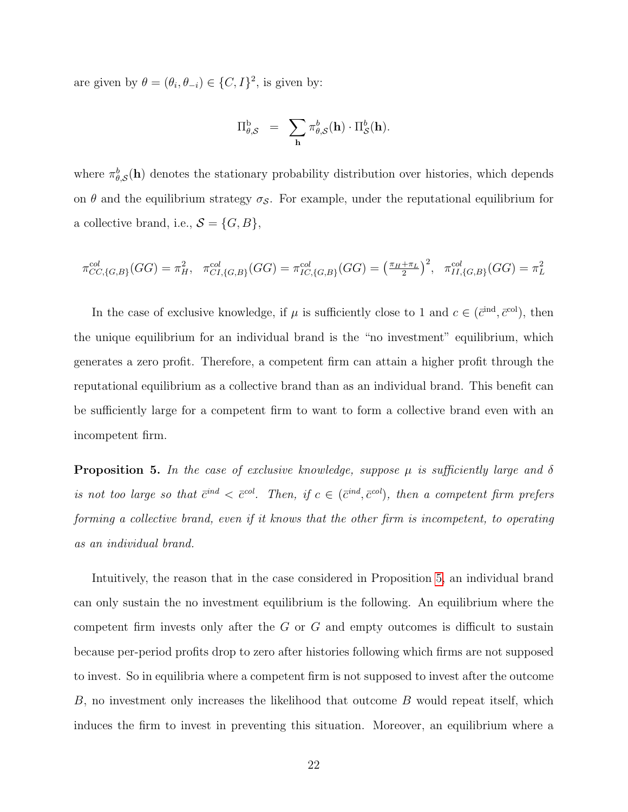are given by  $\theta = (\theta_i, \theta_{-i}) \in \{C, I\}^2$ , is given by:

$$
\Pi^{\text{b}}_{\theta, \mathcal{S}} = \sum_{\mathbf{h}} \pi^b_{\theta, \mathcal{S}}(\mathbf{h}) \cdot \Pi^b_{\mathcal{S}}(\mathbf{h}).
$$

where  $\pi_{\theta,\mathcal{S}}^{b}(\mathbf{h})$  denotes the stationary probability distribution over histories, which depends on  $\theta$  and the equilibrium strategy  $\sigma_{\mathcal{S}}$ . For example, under the reputational equilibrium for a collective brand, i.e.,  $S = \{G, B\}$ ,

$$
\pi_{CC,\{G,B\}}^{col}(GG) = \pi_H^2, \quad \pi_{CI,\{G,B\}}^{col}(GG) = \pi_{IC,\{G,B\}}^{col}(GG) = \left(\frac{\pi_H + \pi_L}{2}\right)^2, \quad \pi_{II,\{G,B\}}^{col}(GG) = \pi_L^2
$$

In the case of exclusive knowledge, if  $\mu$  is sufficiently close to 1 and  $c \in (\bar{c}^{\text{ind}}, \bar{c}^{\text{col}})$ , then the unique equilibrium for an individual brand is the "no investment" equilibrium, which generates a zero profit. Therefore, a competent firm can attain a higher profit through the reputational equilibrium as a collective brand than as an individual brand. This benefit can be sufficiently large for a competent firm to want to form a collective brand even with an incompetent firm.

<span id="page-22-0"></span>**Proposition 5.** In the case of exclusive knowledge, suppose  $\mu$  is sufficiently large and  $\delta$ is not too large so that  $\bar{c}^{ind} < \bar{c}^{col}$ . Then, if  $c \in (\bar{c}^{ind}, \bar{c}^{col})$ , then a competent firm prefers forming a collective brand, even if it knows that the other firm is incompetent, to operating as an individual brand.

Intuitively, the reason that in the case considered in Proposition [5,](#page-22-0) an individual brand can only sustain the no investment equilibrium is the following. An equilibrium where the competent firm invests only after the G or G and empty outcomes is difficult to sustain because per-period profits drop to zero after histories following which firms are not supposed to invest. So in equilibria where a competent firm is not supposed to invest after the outcome B, no investment only increases the likelihood that outcome B would repeat itself, which induces the firm to invest in preventing this situation. Moreover, an equilibrium where a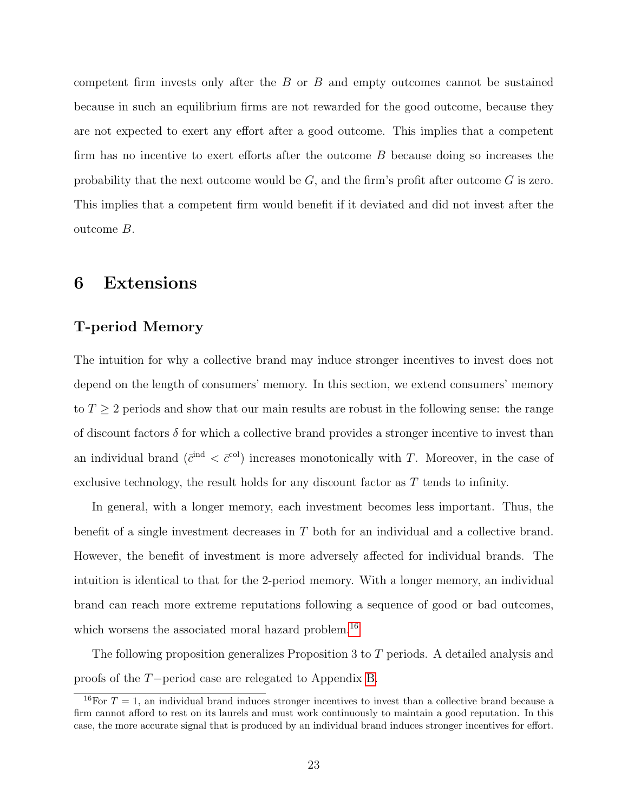competent firm invests only after the B or B and empty outcomes cannot be sustained because in such an equilibrium firms are not rewarded for the good outcome, because they are not expected to exert any effort after a good outcome. This implies that a competent firm has no incentive to exert efforts after the outcome B because doing so increases the probability that the next outcome would be  $G$ , and the firm's profit after outcome  $G$  is zero. This implies that a competent firm would benefit if it deviated and did not invest after the outcome B.

# <span id="page-23-0"></span>6 Extensions

## <span id="page-23-1"></span>T-period Memory

The intuition for why a collective brand may induce stronger incentives to invest does not depend on the length of consumers' memory. In this section, we extend consumers' memory to  $T \geq 2$  periods and show that our main results are robust in the following sense: the range of discount factors  $\delta$  for which a collective brand provides a stronger incentive to invest than an individual brand  $(\bar{c}^{\text{ind}} < \bar{c}^{\text{col}})$  increases monotonically with T. Moreover, in the case of exclusive technology, the result holds for any discount factor as T tends to infinity.

In general, with a longer memory, each investment becomes less important. Thus, the benefit of a single investment decreases in T both for an individual and a collective brand. However, the benefit of investment is more adversely affected for individual brands. The intuition is identical to that for the 2-period memory. With a longer memory, an individual brand can reach more extreme reputations following a sequence of good or bad outcomes, which worsens the associated moral hazard problem.<sup>[16](#page-1-0)</sup>

The following proposition generalizes Proposition 3 to T periods. A detailed analysis and proofs of the T−period case are relegated to Appendix [B.](#page-46-0)

<span id="page-23-2"></span><sup>&</sup>lt;sup>16</sup>For  $T = 1$ , an individual brand induces stronger incentives to invest than a collective brand because a firm cannot afford to rest on its laurels and must work continuously to maintain a good reputation. In this case, the more accurate signal that is produced by an individual brand induces stronger incentives for effort.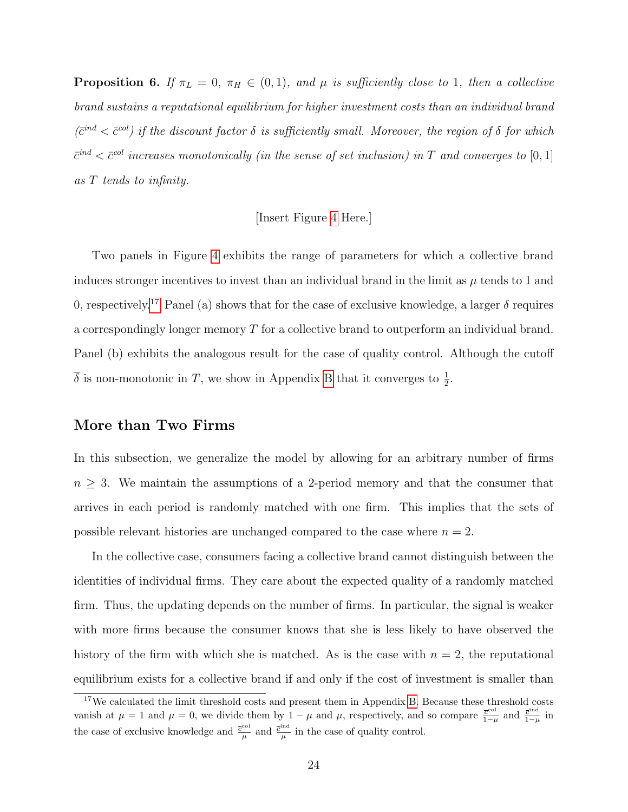**Proposition 6.** If  $\pi_L = 0$ ,  $\pi_H \in (0, 1)$ , and  $\mu$  is sufficiently close to 1, then a collective brand sustains a reputational equilibrium for higher investment costs than an individual brand  $(\bar{c}^{ind} < \bar{c}^{col})$  if the discount factor  $\delta$  is sufficiently small. Moreover, the region of  $\delta$  for which  $\bar{c}^{ind} < \bar{c}^{col}$  increases monotonically (in the sense of set inclusion) in T and converges to [0,1] as T tends to infinity.

#### [Insert Figure [4](#page-62-0) Here.]

Two panels in Figure [4](#page-62-0) exhibits the range of parameters for which a collective brand induces stronger incentives to invest than an individual brand in the limit as  $\mu$  tends to 1 and 0, respectively.<sup>[17](#page-1-0)</sup> Panel (a) shows that for the case of exclusive knowledge, a larger  $\delta$  requires a correspondingly longer memory T for a collective brand to outperform an individual brand. Panel (b) exhibits the analogous result for the case of quality control. Although the cutoff  $\overline{\delta}$  is non-monotonic in T, we show in Appendix [B](#page-46-0) that it converges to  $\frac{1}{2}$ .

## More than Two Firms

In this subsection, we generalize the model by allowing for an arbitrary number of firms  $n \geq 3$ . We maintain the assumptions of a 2-period memory and that the consumer that arrives in each period is randomly matched with one firm. This implies that the sets of possible relevant histories are unchanged compared to the case where  $n = 2$ .

In the collective case, consumers facing a collective brand cannot distinguish between the identities of individual firms. They care about the expected quality of a randomly matched firm. Thus, the updating depends on the number of firms. In particular, the signal is weaker with more firms because the consumer knows that she is less likely to have observed the history of the firm with which she is matched. As is the case with  $n = 2$ , the reputational equilibrium exists for a collective brand if and only if the cost of investment is smaller than

<sup>&</sup>lt;sup>17</sup>We calculated the limit threshold costs and present them in Appendix [B.](#page-46-0) Because these threshold costs vanish at  $\mu = 1$  and  $\mu = 0$ , we divide them by  $1 - \mu$  and  $\mu$ , respectively, and so compare  $\frac{\bar{c}^{\text{col}}}{1 - \mu}$  $\frac{\overline{c}^{\text{col}}}{1-\mu}$  and  $\frac{\overline{c}^{\text{ind}}}{1-\mu}$  $\frac{c^{n\alpha}}{1-\mu}$  in the case of exclusive knowledge and  $\frac{\bar{c}^{\text{col}}}{u}$  $\frac{c^{1}}{\mu}$  and  $\frac{\overline{c}^{\text{ind}}}{\mu}$  $\frac{m}{\mu}$  in the case of quality control.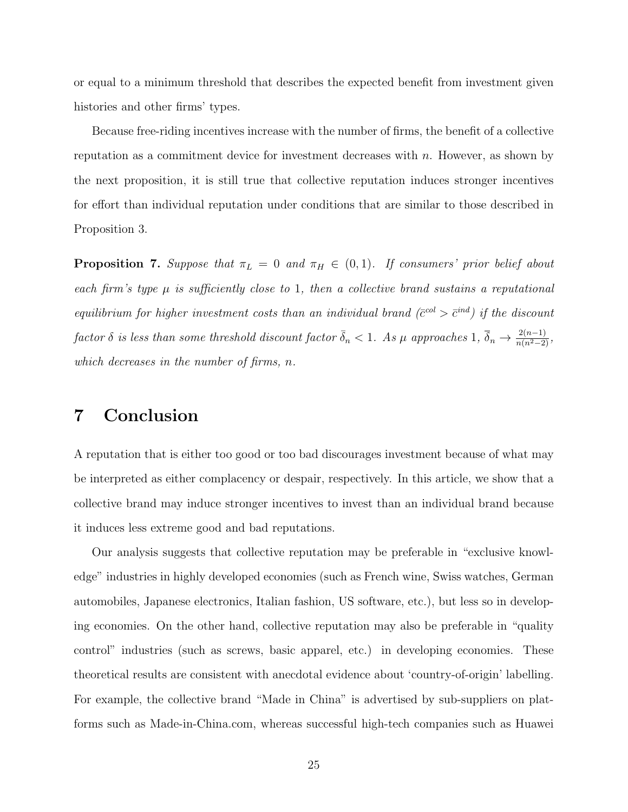or equal to a minimum threshold that describes the expected benefit from investment given histories and other firms' types.

Because free-riding incentives increase with the number of firms, the benefit of a collective reputation as a commitment device for investment decreases with  $n$ . However, as shown by the next proposition, it is still true that collective reputation induces stronger incentives for effort than individual reputation under conditions that are similar to those described in Proposition 3.

<span id="page-25-1"></span>**Proposition 7.** Suppose that  $\pi_L = 0$  and  $\pi_H \in (0,1)$ . If consumers' prior belief about each firm's type  $\mu$  is sufficiently close to 1, then a collective brand sustains a reputational equilibrium for higher investment costs than an individual brand ( $\bar{c}^{col} > \bar{c}^{ind}$ ) if the discount factor  $\delta$  is less than some threshold discount factor  $\bar{\delta}_n < 1$ . As  $\mu$  approaches  $1$ ,  $\bar{\delta}_n \to \frac{2(n-1)}{n(n^2-2)}$ , which decreases in the number of firms, n.

# <span id="page-25-0"></span>7 Conclusion

A reputation that is either too good or too bad discourages investment because of what may be interpreted as either complacency or despair, respectively. In this article, we show that a collective brand may induce stronger incentives to invest than an individual brand because it induces less extreme good and bad reputations.

Our analysis suggests that collective reputation may be preferable in "exclusive knowledge" industries in highly developed economies (such as French wine, Swiss watches, German automobiles, Japanese electronics, Italian fashion, US software, etc.), but less so in developing economies. On the other hand, collective reputation may also be preferable in "quality control" industries (such as screws, basic apparel, etc.) in developing economies. These theoretical results are consistent with anecdotal evidence about 'country-of-origin' labelling. For example, the collective brand "Made in China" is advertised by sub-suppliers on platforms such as Made-in-China.com, whereas successful high-tech companies such as Huawei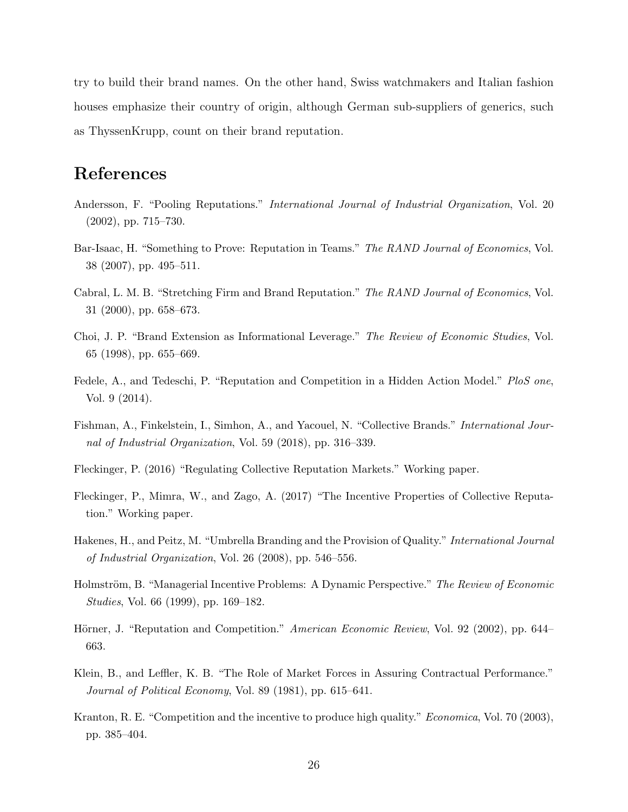try to build their brand names. On the other hand, Swiss watchmakers and Italian fashion houses emphasize their country of origin, although German sub-suppliers of generics, such as ThyssenKrupp, count on their brand reputation.

# References

- <span id="page-26-11"></span>Andersson, F. "Pooling Reputations." International Journal of Industrial Organization, Vol. 20 (2002), pp. 715–730.
- <span id="page-26-5"></span>Bar-Isaac, H. "Something to Prove: Reputation in Teams." The RAND Journal of Economics, Vol. 38 (2007), pp. 495–511.
- <span id="page-26-10"></span>Cabral, L. M. B. "Stretching Firm and Brand Reputation." The RAND Journal of Economics, Vol. 31 (2000), pp. 658–673.
- <span id="page-26-9"></span>Choi, J. P. "Brand Extension as Informational Leverage." The Review of Economic Studies, Vol. 65 (1998), pp. 655–669.
- <span id="page-26-4"></span>Fedele, A., and Tedeschi, P. "Reputation and Competition in a Hidden Action Model." PloS one, Vol. 9 (2014).
- <span id="page-26-6"></span>Fishman, A., Finkelstein, I., Simhon, A., and Yacouel, N. "Collective Brands." International Journal of Industrial Organization, Vol. 59 (2018), pp. 316–339.
- <span id="page-26-7"></span>Fleckinger, P. (2016) "Regulating Collective Reputation Markets." Working paper.
- <span id="page-26-8"></span>Fleckinger, P., Mimra, W., and Zago, A. (2017) "The Incentive Properties of Collective Reputation." Working paper.
- <span id="page-26-12"></span>Hakenes, H., and Peitz, M. "Umbrella Branding and the Provision of Quality." International Journal of Industrial Organization, Vol. 26 (2008), pp. 546–556.
- <span id="page-26-2"></span>Holmström, B. "Managerial Incentive Problems: A Dynamic Perspective." The Review of Economic Studies, Vol. 66 (1999), pp. 169–182.
- <span id="page-26-3"></span>Hörner, J. "Reputation and Competition." American Economic Review, Vol. 92 (2002), pp. 644– 663.
- <span id="page-26-0"></span>Klein, B., and Leffler, K. B. "The Role of Market Forces in Assuring Contractual Performance." Journal of Political Economy, Vol. 89 (1981), pp. 615–641.
- <span id="page-26-1"></span>Kranton, R. E. "Competition and the incentive to produce high quality." *Economica*, Vol. 70 (2003), pp. 385–404.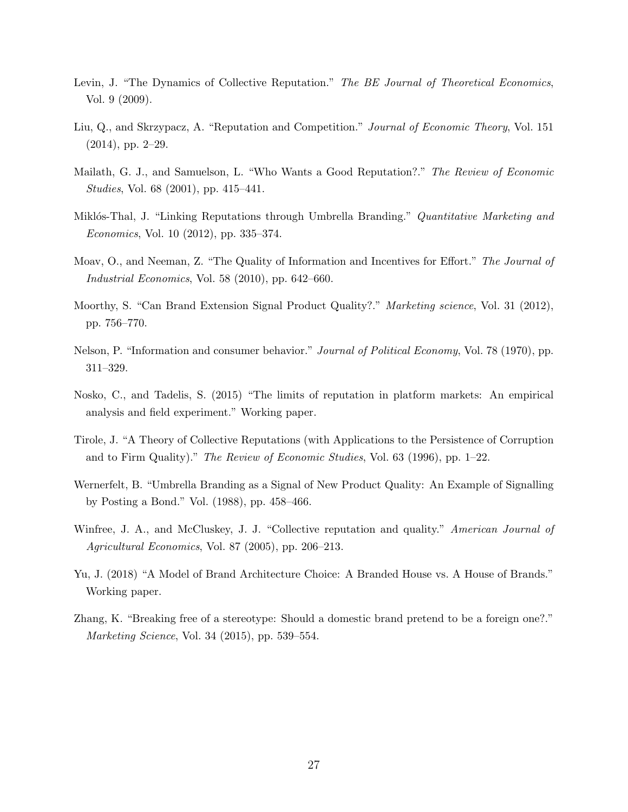- <span id="page-27-6"></span>Levin, J. "The Dynamics of Collective Reputation." The BE Journal of Theoretical Economics, Vol. 9 (2009).
- <span id="page-27-4"></span>Liu, Q., and Skrzypacz, A. "Reputation and Competition." *Journal of Economic Theory*, Vol. 151 (2014), pp. 2–29.
- <span id="page-27-2"></span>Mailath, G. J., and Samuelson, L. "Who Wants a Good Reputation?." The Review of Economic Studies, Vol. 68 (2001), pp. 415–441.
- <span id="page-27-9"></span>Miklós-Thal, J. "Linking Reputations through Umbrella Branding." Quantitative Marketing and Economics, Vol. 10 (2012), pp. 335–374.
- <span id="page-27-3"></span>Moav, O., and Neeman, Z. "The Quality of Information and Incentives for Effort." The Journal of Industrial Economics, Vol. 58 (2010), pp. 642–660.
- <span id="page-27-10"></span>Moorthy, S. "Can Brand Extension Signal Product Quality?." Marketing science, Vol. 31 (2012), pp. 756–770.
- <span id="page-27-0"></span>Nelson, P. "Information and consumer behavior." Journal of Political Economy, Vol. 78 (1970), pp. 311–329.
- <span id="page-27-1"></span>Nosko, C., and Tadelis, S. (2015) "The limits of reputation in platform markets: An empirical analysis and field experiment." Working paper.
- <span id="page-27-5"></span>Tirole, J. "A Theory of Collective Reputations (with Applications to the Persistence of Corruption and to Firm Quality)." The Review of Economic Studies, Vol. 63 (1996), pp. 1–22.
- <span id="page-27-8"></span>Wernerfelt, B. "Umbrella Branding as a Signal of New Product Quality: An Example of Signalling by Posting a Bond." Vol. (1988), pp. 458–466.
- <span id="page-27-7"></span>Winfree, J. A., and McCluskey, J. J. "Collective reputation and quality." American Journal of Agricultural Economics, Vol. 87 (2005), pp. 206–213.
- <span id="page-27-11"></span>Yu, J. (2018) "A Model of Brand Architecture Choice: A Branded House vs. A House of Brands." Working paper.
- <span id="page-27-12"></span>Zhang, K. "Breaking free of a stereotype: Should a domestic brand pretend to be a foreign one?." Marketing Science, Vol. 34 (2015), pp. 539–554.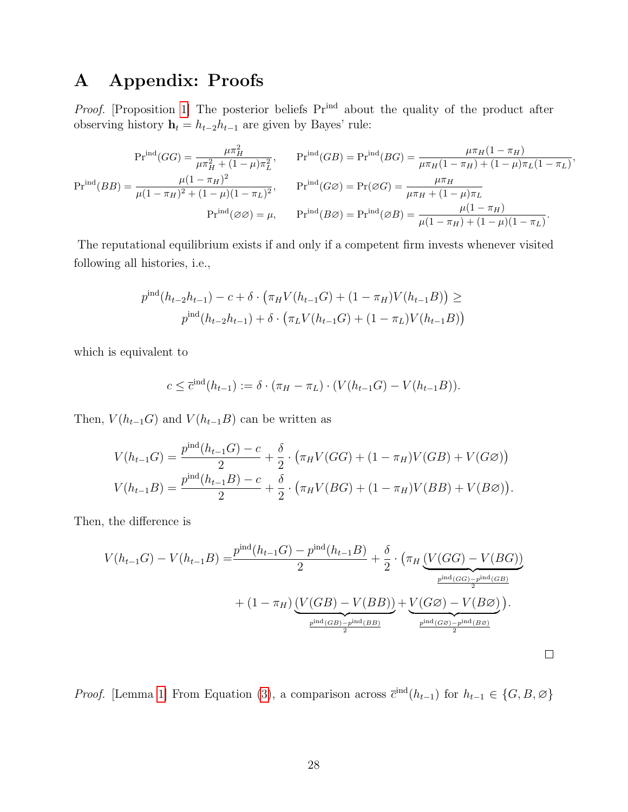# <span id="page-28-0"></span>A Appendix: Proofs

Proof. [Proposition [1\]](#page-13-0) The posterior beliefs  $Pr^{ind}$  about the quality of the product after observing history  $\mathbf{h}_t = h_{t-2}h_{t-1}$  are given by Bayes' rule:

$$
\Pr^{\text{ind}}(GG) = \frac{\mu \pi_H^2}{\mu \pi_H^2 + (1 - \mu)\pi_L^2}, \qquad \Pr^{\text{ind}}(GB) = \Pr^{\text{ind}}(BG) = \frac{\mu \pi_H (1 - \pi_H)}{\mu \pi_H (1 - \pi_H) + (1 - \mu)\pi_L (1 - \pi_L)},
$$

$$
\Pr^{\text{ind}}(BB) = \frac{\mu(1 - \pi_H)^2}{\mu(1 - \pi_H)^2 + (1 - \mu)(1 - \pi_L)^2}, \qquad \Pr^{\text{ind}}(G\varnothing) = \Pr(\varnothing G) = \frac{\mu \pi_H}{\mu \pi_H + (1 - \mu)\pi_L}
$$

$$
\Pr^{\text{ind}}(\varnothing \varnothing) = \mu, \qquad \Pr^{\text{ind}}(B\varnothing) = \Pr^{\text{ind}}(\varnothing B) = \frac{\mu(1 - \pi_H)}{\mu(1 - \pi_H) + (1 - \mu)(1 - \pi_L)}.
$$

The reputational equilibrium exists if and only if a competent firm invests whenever visited following all histories, i.e.,

$$
p^{\text{ind}}(h_{t-2}h_{t-1}) - c + \delta \cdot (\pi_H V(h_{t-1}G) + (1 - \pi_H)V(h_{t-1}B)) \ge
$$
  

$$
p^{\text{ind}}(h_{t-2}h_{t-1}) + \delta \cdot (\pi_L V(h_{t-1}G) + (1 - \pi_L)V(h_{t-1}B))
$$

which is equivalent to

$$
c \leq \overline{c}^{\text{ind}}(h_{t-1}) := \delta \cdot (\pi_H - \pi_L) \cdot (V(h_{t-1}G) - V(h_{t-1}B)).
$$

Then,  $V(h_{t-1}G)$  and  $V(h_{t-1}B)$  can be written as

$$
V(h_{t-1}G) = \frac{p^{\text{ind}}(h_{t-1}G) - c}{2} + \frac{\delta}{2} \cdot (\pi_H V(GG) + (1 - \pi_H)V(GB) + V(G\emptyset))
$$
  

$$
V(h_{t-1}B) = \frac{p^{\text{ind}}(h_{t-1}B) - c}{2} + \frac{\delta}{2} \cdot (\pi_H V(BG) + (1 - \pi_H)V(BB) + V(B\emptyset)).
$$

Then, the difference is

$$
V(h_{t-1}G) - V(h_{t-1}B) = \frac{p^{\text{ind}}(h_{t-1}G) - p^{\text{ind}}(h_{t-1}B)}{2} + \frac{\delta}{2} \cdot (\pi_H \underbrace{(V(GG) - V(BG))}_{\frac{p^{\text{ind}}(GG) - p^{\text{ind}}(GB)}{2}} + (1 - \pi_H) \underbrace{(V(GB) - V(BB))}_{\frac{p^{\text{ind}}(GB) - p^{\text{ind}}(BB)}{2}} + \underbrace{V(G\varnothing) - V(B\varnothing)}_{\frac{p^{\text{ind}}(GB) - p^{\text{ind}}(BB)}{2}}).
$$

 $\Box$ 

*Proof.* [Lemma [1\]](#page-15-0) From Equation [\(3\)](#page-13-1), a comparison across  $\bar{c}^{\text{ind}}(h_{t-1})$  for  $h_{t-1} \in \{G, B, \emptyset\}$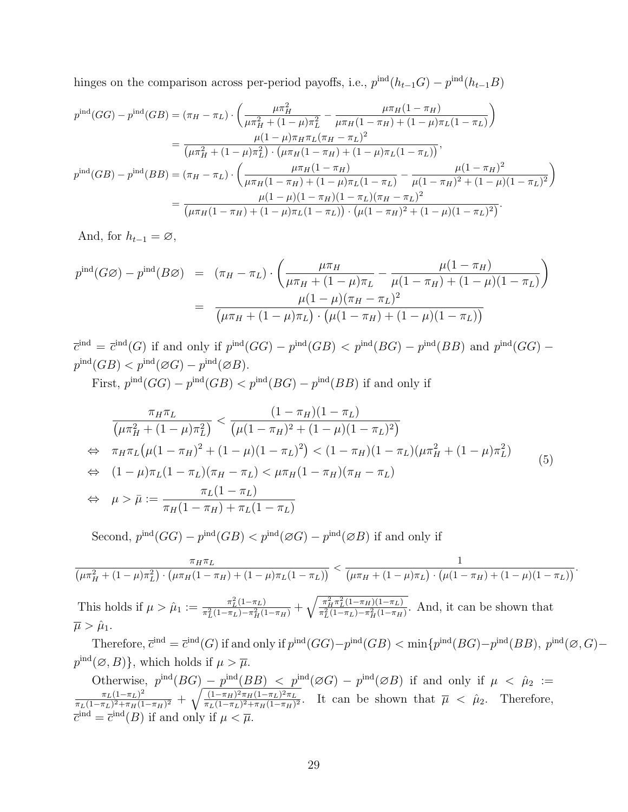hinges on the comparison across per-period payoffs, i.e.,  $p^{\text{ind}}(h_{t-1}G) - p^{\text{ind}}(h_{t-1}B)$ 

$$
p^{\text{ind}}(GG) - p^{\text{ind}}(GB) = (\pi_H - \pi_L) \cdot \left( \frac{\mu \pi_H^2}{\mu \pi_H^2 + (1 - \mu) \pi_L^2} - \frac{\mu \pi_H (1 - \pi_H)}{\mu \pi_H (1 - \pi_H) + (1 - \mu) \pi_L (1 - \pi_L)} \right)
$$
  
\n
$$
= \frac{\mu (1 - \mu) \pi_H \pi_L (\pi_H - \pi_L)^2}{(\mu \pi_H^2 + (1 - \mu) \pi_L^2) \cdot (\mu \pi_H (1 - \pi_H) + (1 - \mu) \pi_L (1 - \pi_L))},
$$
  
\n
$$
p^{\text{ind}}(GB) - p^{\text{ind}}(BB) = (\pi_H - \pi_L) \cdot \left( \frac{\mu \pi_H (1 - \pi_H)}{\mu \pi_H (1 - \pi_H) + (1 - \mu) \pi_L (1 - \pi_L)} - \frac{\mu (1 - \pi_H)^2}{\mu (1 - \pi_H)^2 + (1 - \mu) (1 - \pi_L)^2} \right)
$$
  
\n
$$
= \frac{\mu (1 - \mu) (1 - \pi_H)(1 - \pi_L) (\pi_H - \pi_L)^2}{(\mu \pi_H (1 - \pi_H) + (1 - \mu) \pi_L (1 - \pi_L)) \cdot (\mu (1 - \pi_H)^2 + (1 - \mu) (1 - \pi_L)^2)}.
$$

And, for  $h_{t-1} = \emptyset$ ,

$$
p^{\text{ind}}(G\varnothing) - p^{\text{ind}}(B\varnothing) = (\pi_H - \pi_L) \cdot \left( \frac{\mu \pi_H}{\mu \pi_H + (1 - \mu)\pi_L} - \frac{\mu(1 - \pi_H)}{\mu(1 - \pi_H) + (1 - \mu)(1 - \pi_L)} \right)
$$
  
= 
$$
\frac{\mu(1 - \mu)(\pi_H - \pi_L)^2}{(\mu \pi_H + (1 - \mu)\pi_L) \cdot (\mu(1 - \pi_H) + (1 - \mu)(1 - \pi_L))}
$$

 $\overline{c}^{\text{ind}} = \overline{c}^{\text{ind}}(G)$  if and only if  $p^{\text{ind}}(GG) - p^{\text{ind}}(GB) < p^{\text{ind}}(BG) - p^{\text{ind}}(BB)$  and  $p^{\text{ind}}(GG) - p^{\text{ind}}(GG)$  $p^{\text{ind}}(GB) < p^{\text{ind}}(\varnothing G) - p^{\text{ind}}(\varnothing B).$ 

First,  $p^{\text{ind}}(GG) - p^{\text{ind}}(GB) < p^{\text{ind}}(BG) - p^{\text{ind}}(BB)$  if and only if

$$
\frac{\pi_H \pi_L}{\left(\mu \pi_H^2 + (1 - \mu)\pi_L^2\right)} < \frac{(1 - \pi_H)(1 - \pi_L)}{\left(\mu(1 - \pi_H)^2 + (1 - \mu)(1 - \pi_L)^2\right)} \\
\Leftrightarrow \pi_H \pi_L \left(\mu(1 - \pi_H)^2 + (1 - \mu)(1 - \pi_L)^2\right) < (1 - \pi_H)(1 - \pi_L)(\mu \pi_H^2 + (1 - \mu)\pi_L^2) \\
\Leftrightarrow (1 - \mu)\pi_L(1 - \pi_L)(\pi_H - \pi_L) < \mu \pi_H(1 - \pi_H)(\pi_H - \pi_L) \\
\Leftrightarrow \mu > \bar{\mu} := \frac{\pi_L(1 - \pi_L)}{\pi_H(1 - \pi_H) + \pi_L(1 - \pi_L)}\n\tag{5}
$$

Second,  $p^{\text{ind}}(GG) - p^{\text{ind}}(GB) < p^{\text{ind}}(\varnothing G) - p^{\text{ind}}(\varnothing B)$  if and only if

$$
\frac{\pi_H \pi_L}{(\mu \pi_H^2 + (1 - \mu)\pi_L^2) \cdot (\mu \pi_H (1 - \pi_H) + (1 - \mu)\pi_L (1 - \pi_L))} < \frac{1}{(\mu \pi_H + (1 - \mu)\pi_L) \cdot (\mu(1 - \pi_H) + (1 - \mu)(1 - \pi_L))}.
$$

This holds if  $\mu > \hat{\mu}_1 := \frac{\pi_L^2 (1 - \pi_L)}{\pi_L^2 (1 - \pi_L) - \pi_L^2 (1 - \pi_L)}$  $\frac{\pi_L^2(1-\pi_L)}{\pi_L^2(1-\pi_L)-\pi_H^2(1-\pi_H)} + \sqrt{\frac{\pi_H^2\pi_L^2(1-\pi_H)(1-\pi_L)}{\pi_L^2(1-\pi_L)-\pi_H^2(1-\pi_H)}}$  $\frac{\pi_{\overline{H}}^{\pi_{\overline{L}}(1-\pi_{\overline{H}})(1-\pi_{\overline{L}})}{\pi_{\perp}^2(1-\pi_{\overline{L}})-\pi_{\overline{H}}^2(1-\pi_{\overline{H}})}$ . And, it can be shown that  $\overline{\mu} > \hat{\mu}_1.$ 

Therefore,  $\overline{c}^{\text{ind}} = \overline{c}^{\text{ind}}(G)$  if and only if  $p^{\text{ind}}(GG) - p^{\text{ind}}(GB) < \min\{p^{\text{ind}}(BG) - p^{\text{ind}}(BB), p^{\text{ind}}(\emptyset, G) - p^{\text{ind}}(BB)\}$  $p^{\text{ind}}(\emptyset, B)$ , which holds if  $\mu > \overline{\mu}$ .

Otherwise,  $p^{\text{ind}}(BG) - p^{\text{ind}}(BB)$  <  $p^{\text{ind}}(\varnothing G) - p^{\text{ind}}(\varnothing B)$  if and only if  $\mu < \hat{\mu}_2$  :=  $\pi_L(1-\pi_L)^2$  $\frac{\pi_L (1-\pi_L)^2}{\pi_L (1-\pi_L)^2+\pi_H (1-\pi_H)^2} \, + \, \sqrt{\frac{(1-\pi_H)^2 \pi_H (1-\pi_L)^2 \pi_L}{\pi_L (1-\pi_L)^2+\pi_H (1-\pi_H)}}$  $\frac{(1-\pi_H)^2 \pi_H (1-\pi_L)^2 \pi_L}{\pi_L (1-\pi_L)^2 + \pi_H (1-\pi_H)^2}$ . It can be shown that  $\overline{\mu} < \hat{\mu}_2$ . Therefore,  $\overline{c}^{\text{ind}} = \overline{c}^{\text{ind}}(B)$  if and only if  $\mu < \overline{\mu}$ .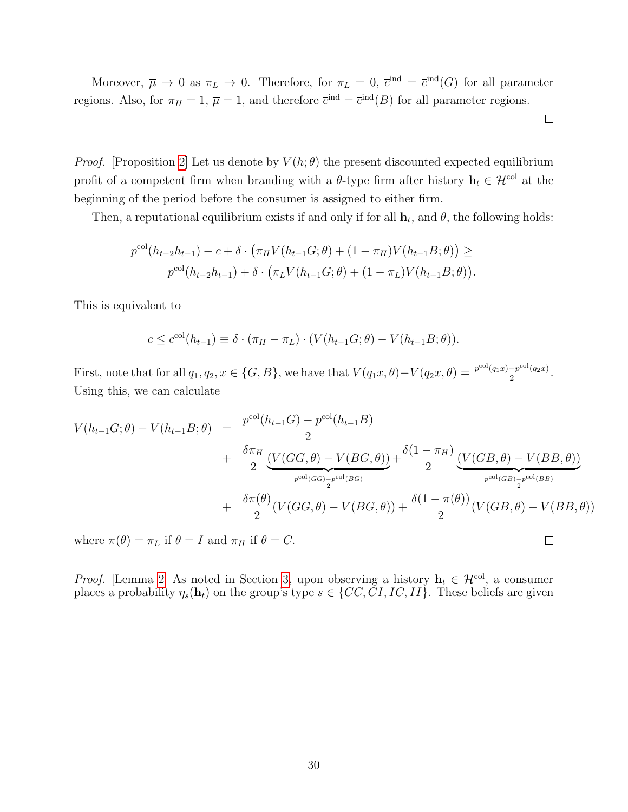Moreover,  $\overline{\mu} \to 0$  as  $\pi_L \to 0$ . Therefore, for  $\pi_L = 0$ ,  $\overline{c}^{\text{ind}} = \overline{c}^{\text{ind}}(G)$  for all parameter regions. Also, for  $\pi_H = 1$ ,  $\overline{\mu} = 1$ , and therefore  $\overline{c}^{\text{ind}} = \overline{c}^{\text{ind}}(B)$  for all parameter regions.

 $\Box$ 

 $\Box$ 

*Proof.* [Proposition [2\]](#page-15-1) Let us denote by  $V(h; \theta)$  the present discounted expected equilibrium profit of a competent firm when branding with a  $\theta$ -type firm after history  $\mathbf{h}_t \in \mathcal{H}^{\text{col}}$  at the beginning of the period before the consumer is assigned to either firm.

Then, a reputational equilibrium exists if and only if for all  $\mathbf{h}_t$ , and  $\theta$ , the following holds:

$$
p^{\text{col}}(h_{t-2}h_{t-1}) - c + \delta \cdot (\pi_H V(h_{t-1}G; \theta) + (1 - \pi_H) V(h_{t-1}B; \theta)) \ge
$$
  

$$
p^{\text{col}}(h_{t-2}h_{t-1}) + \delta \cdot (\pi_L V(h_{t-1}G; \theta) + (1 - \pi_L) V(h_{t-1}B; \theta)).
$$

This is equivalent to

$$
c \leq \overline{c}^{\text{col}}(h_{t-1}) \equiv \delta \cdot (\pi_H - \pi_L) \cdot (V(h_{t-1}G; \theta) - V(h_{t-1}B; \theta)).
$$

First, note that for all  $q_1, q_2, x \in \{G, B\}$ , we have that  $V(q_1x, \theta) - V(q_2x, \theta) = \frac{p^{\text{col}}(q_1x) - p^{\text{col}}(q_2x)}{2}$  $\frac{-p^{\cos}(q_2x)}{2}$ . Using this, we can calculate

$$
V(h_{t-1}G; \theta) - V(h_{t-1}B; \theta) = \frac{p^{\text{col}}(h_{t-1}G) - p^{\text{col}}(h_{t-1}B)}{2} + \frac{\delta \pi_{H}}{2} \underbrace{(V(GG, \theta) - V(BG, \theta))}_{p^{\text{col}(GG)} - p^{\text{col}(BG)}} + \frac{\delta(1 - \pi_{H})}{2} \underbrace{(V(GB, \theta) - V(BB, \theta))}_{p^{\text{col}(GB)} - p^{\text{col}(BB)}} \\ + \frac{\delta \pi(\theta)}{2} (V(GG, \theta) - V(BG, \theta)) + \frac{\delta(1 - \pi(\theta))}{2} (V(GB, \theta) - V(BB, \theta))
$$

where  $\pi(\theta) = \pi_L$  if  $\theta = I$  and  $\pi_H$  if  $\theta = C$ .

*Proof.* [Lemma [2\]](#page-17-0) As noted in Section [3,](#page-9-0) upon observing a history  $\mathbf{h}_t \in \mathcal{H}^{\text{col}}$ , a consumer places a probability  $\eta_s(\mathbf{h}_t)$  on the group's type  $s \in \{CC, CI, IC, II\}$ . These beliefs are given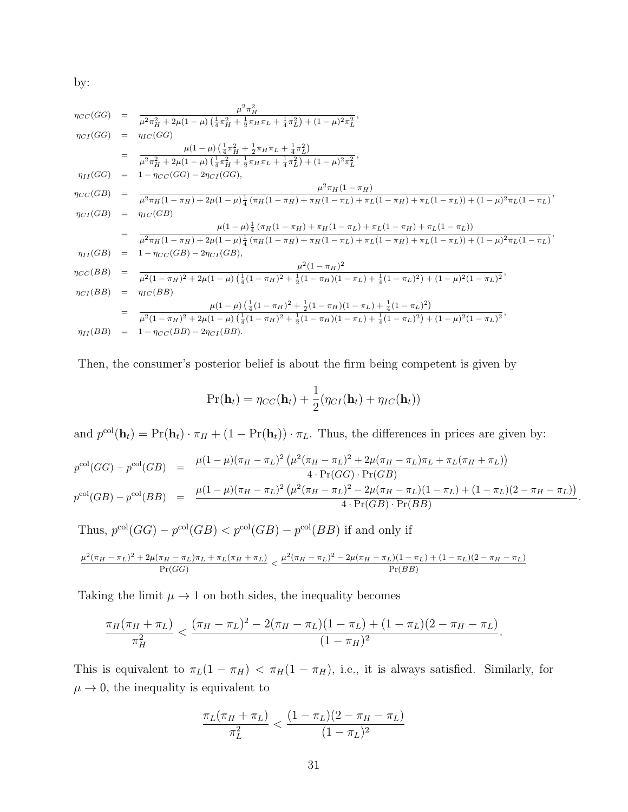by:

$$
\eta_{CC}(GG) = \frac{\mu^2 \pi_H^2}{\mu^2 \pi_H^2 + 2\mu (1 - \mu) \left(\frac{1}{4} \pi_H^2 + \frac{1}{2} \pi_H \pi_L + \frac{1}{4} \pi_L^2\right) + (1 - \mu)^2 \pi_L^2},
$$
\n
$$
\eta_{CI}(GG) = \eta_{IC}(GG)
$$
\n
$$
= \frac{\mu (1 - \mu) \left(\frac{1}{4} \pi_H^2 + \frac{1}{2} \pi_H \pi_L + \frac{1}{4} \pi_L^2\right)}{\mu^2 \pi_H^2 + 2\mu (1 - \mu) \left(\frac{1}{4} \pi_H^2 + \frac{1}{2} \pi_H \pi_L + \frac{1}{4} \pi_L^2\right) + (1 - \mu)^2 \pi_L^2},
$$
\n
$$
\eta_{IC}(GB) = 1 - \eta_{CC}(GG) - 2\eta_{CI}(GG),
$$
\n
$$
\mu^2 \pi_H (1 - \pi_H)
$$
\n
$$
\eta_{CC}(GB) = \frac{\mu^2 \pi_H (1 - \pi_H)}{\mu^2 \pi_H (1 - \pi_H) + 2\mu (1 - \mu) \frac{1}{4} (\pi_H (1 - \pi_H) + \pi_H (1 - \pi_L) + \pi_L (1 - \pi_H) + \pi_L (1 - \pi_L)) + (1 - \mu)^2 \pi_L (1 - \pi_L)},
$$
\n
$$
\eta_{CI}(GB) = \eta_{IC}(GB)
$$
\n
$$
= \frac{\mu (1 - \mu) \frac{1}{4} (\pi_H (1 - \pi_H) + \pi_H (1 - \pi_L) + \pi_L (1 - \pi_H) + \pi_L (1 - \pi_L))}{\mu^2 \pi_H (1 - \pi_H) + 2\mu (1 - \mu) \frac{1}{4} (\pi_H (1 - \pi_H) + \pi_H (1 - \pi_L) + \pi_L (1 - \pi_H) + \pi_L (1 - \pi_L)) + (1 - \mu)^2 \pi_L (1 - \pi_L)},
$$
\n
$$
\eta_{II}(GB) = 1 - \eta_{CC}(GB) - 2\eta_{CI}(GB),
$$
\n
$$
\mu^2 (1 - \pi_H)^2
$$
\n
$$
\eta_{CI}(BB) = \frac{\mu (1 - \mu) \left(\frac{1}{4} (1 - \pi_H)^2 + \frac{1}{2} (1 - \pi_H)(1 - \pi_L)
$$

Then, the consumer's posterior belief is about the firm being competent is given by

$$
Pr(\mathbf{h}_t) = \eta_{CC}(\mathbf{h}_t) + \frac{1}{2}(\eta_{CI}(\mathbf{h}_t) + \eta_{IC}(\mathbf{h}_t))
$$

and  $p^{\text{col}}(\mathbf{h}_t) = \Pr(\mathbf{h}_t) \cdot \pi_H + (1 - \Pr(\mathbf{h}_t)) \cdot \pi_L$ . Thus, the differences in prices are given by:

$$
p^{\text{col}}(GG) - p^{\text{col}}(GB) = \frac{\mu(1-\mu)(\pi_H - \pi_L)^2 (\mu^2(\pi_H - \pi_L)^2 + 2\mu(\pi_H - \pi_L)\pi_L + \pi_L(\pi_H + \pi_L))}{4 \cdot \Pr(GG) \cdot \Pr(B)} p^{\text{col}}(GB) - p^{\text{col}}(BB) = \frac{\mu(1-\mu)(\pi_H - \pi_L)^2 (\mu^2(\pi_H - \pi_L)^2 - 2\mu(\pi_H - \pi_L)(1-\pi_L) + (1-\pi_L)(2-\pi_H - \pi_L))}{4 \cdot \Pr(GB) \cdot \Pr(BB)}.
$$

 $Pr(BB)$ 

Thus,  $p^{\text{col}}(GG) - p^{\text{col}}(GB) < p^{\text{col}}(GB) - p^{\text{col}}(BB)$  if and only if  $\mu^2(\pi_H - \pi_L)^2 + 2\mu(\pi_H - \pi_L)\pi_L + \pi_L(\pi_H + \pi_L)$  $\frac{(\pi_H - \pi_L)\pi_L + \pi_L(\pi_H + \pi_L)}{\Pr(GG)} < \frac{\mu^2(\pi_H - \pi_L)^2 - 2\mu(\pi_H - \pi_L)(1 - \pi_L) + (1 - \pi_L)(2 - \pi_H - \pi_L)}{\Pr(BB)}$ 

$$
\mathcal{L}^{\mathcal{A}}(\mathcal{A})=\mathcal{L}^{\mathcal{A}}(\mathcal{A})=\mathcal{L}^{\mathcal{A}}(\mathcal{A})=\mathcal{L}^{\mathcal{A}}(\mathcal{A})=\mathcal{L}^{\mathcal{A}}(\mathcal{A})=\mathcal{L}^{\mathcal{A}}(\mathcal{A})=\mathcal{L}^{\mathcal{A}}(\mathcal{A})=\mathcal{L}^{\mathcal{A}}(\mathcal{A})=\mathcal{L}^{\mathcal{A}}(\mathcal{A})=\mathcal{L}^{\mathcal{A}}(\mathcal{A})=\mathcal{L}^{\mathcal{A}}(\mathcal{A})=\mathcal{L}^{\mathcal{A}}(\mathcal{A})=\mathcal{L}^{\mathcal{A}}(\mathcal{A})=\mathcal{L}^{\mathcal{A}}(\mathcal{A})=\mathcal{L}^{\mathcal{A}}(\mathcal{A})=\mathcal{L}^{\mathcal{A}}(\mathcal{A})=\mathcal{L}^{\mathcal{A}}(\mathcal{A})=\mathcal{L}^{\mathcal{A}}(\mathcal{A})=\mathcal{L}^{\mathcal{A}}(\mathcal{A})=\mathcal{L}^{\mathcal{A}}(\mathcal{A})=\mathcal{L}^{\mathcal{A}}(\mathcal{A})=\mathcal{L}^{\mathcal{A}}(\mathcal{A})=\mathcal{L}^{\mathcal{A}}(\mathcal{A})=\mathcal{L}^{\mathcal{A}}(\mathcal{A})=\mathcal{L}^{\mathcal{A}}(\mathcal{A})=\mathcal{L}^{\mathcal{A}}(\mathcal{A})=\mathcal{L}^{\mathcal{A}}(\mathcal{A})=\mathcal{L}^{\mathcal{A}}(\mathcal{A})=\mathcal{L}^{\mathcal{A}}(\mathcal{A})=\mathcal{L}^{\mathcal{A}}(\mathcal{A})=\mathcal{L}^{\mathcal{A}}(\mathcal{A})=\mathcal{L}^{\mathcal{A}}(\mathcal{A})=\mathcal{L}^{\mathcal{A}}(\mathcal{A})=\mathcal{L}^{\mathcal{A}}(\mathcal{A})=\mathcal{L}^{\mathcal{A}}(\mathcal{A})=\mathcal{L}^{\mathcal{A}}(\mathcal{A})=\mathcal{L}^{\mathcal{A}}(\mathcal{A})=\mathcal{L}^{\mathcal{A}}(\mathcal{A})=\mathcal{L}^{\mathcal{A}}(\mathcal{A})=\mathcal{L}^{\mathcal{A}}(\mathcal{A})
$$

Taking the limit  $\mu \to 1$  on both sides, the inequality becomes

$$
\frac{\pi_H(\pi_H + \pi_L)}{\pi_H^2} < \frac{(\pi_H - \pi_L)^2 - 2(\pi_H - \pi_L)(1 - \pi_L) + (1 - \pi_L)(2 - \pi_H - \pi_L)}{(1 - \pi_H)^2}.
$$

This is equivalent to  $\pi_L(1 - \pi_H) < \pi_H(1 - \pi_H)$ , i.e., it is always satisfied. Similarly, for  $\mu \rightarrow 0$ , the inequality is equivalent to

$$
\frac{\pi_L(\pi_H + \pi_L)}{\pi_L^2} < \frac{(1 - \pi_L)(2 - \pi_H - \pi_L)}{(1 - \pi_L)^2}
$$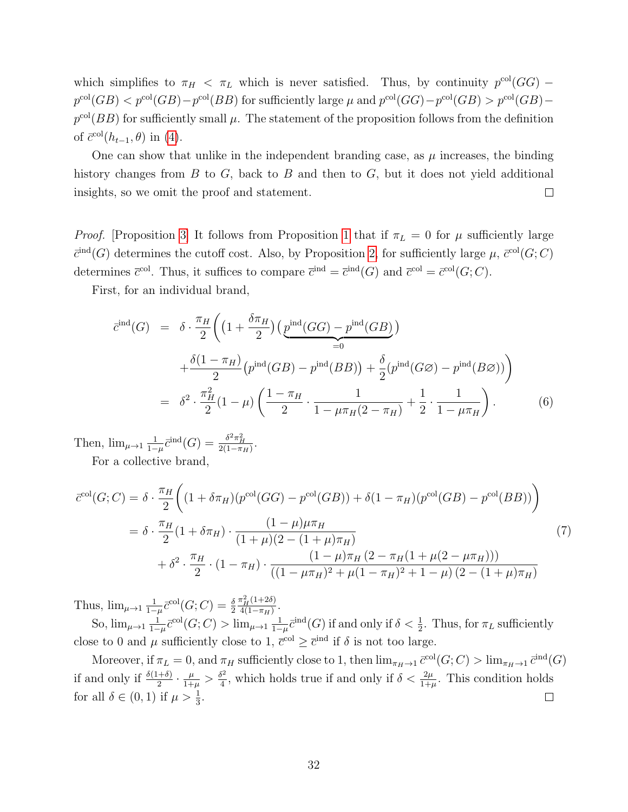which simplifies to  $\pi_H < \pi_L$  which is never satisfied. Thus, by continuity  $p^{\text{col}}(GG)$  –  $p^{\text{col}}(GB) < p^{\text{col}}(GB) - p^{\text{col}}(BB)$  for sufficiently large  $\mu$  and  $p^{\text{col}}(GG) - p^{\text{col}}(GB) > p^{\text{col}}(GB)$  $p^{col}(BB)$  for sufficiently small  $\mu$ . The statement of the proposition follows from the definition of  $\bar{c}^{\text{col}}(h_{t-1}, \theta)$  in [\(4\)](#page-16-0).

One can show that unlike in the independent branding case, as  $\mu$  increases, the binding history changes from  $B$  to  $G$ , back to  $B$  and then to  $G$ , but it does not yield additional insights, so we omit the proof and statement.  $\Box$ 

*Proof.* [Proposition [3\]](#page-18-0) It follows from Proposition [1](#page-15-0) that if  $\pi_L = 0$  for  $\mu$  sufficiently large  $\bar{c}^{\text{ind}}(G)$  determines the cutoff cost. Also, by Proposition [2,](#page-17-0) for sufficiently large  $\mu$ ,  $\bar{c}^{\text{col}}(G;C)$ determines  $\overline{c}^{\text{col}}$ . Thus, it suffices to compare  $\overline{c}^{\text{ind}} = \overline{c}^{\text{ind}}(G)$  and  $\overline{c}^{\text{col}} = \overline{c}^{\text{col}}(G; C)$ .

First, for an individual brand,

$$
\overline{c}^{\text{ind}}(G) = \delta \cdot \frac{\pi_H}{2} \left( \left( 1 + \frac{\delta \pi_H}{2} \right) \left( \underbrace{p^{\text{ind}}(GG) - p^{\text{ind}}(GB)}_{=0} \right) \right)
$$
  
+ 
$$
\frac{\delta(1 - \pi_H)}{2} \left( p^{\text{ind}}(GB) - p^{\text{ind}}(BB) \right) + \frac{\delta}{2} \left( p^{\text{ind}}(G\varnothing) - p^{\text{ind}}(B\varnothing) \right) \right)
$$
  
= 
$$
\delta^2 \cdot \frac{\pi_H^2}{2} (1 - \mu) \left( \frac{1 - \pi_H}{2} \cdot \frac{1}{1 - \mu \pi_H (2 - \pi_H)} + \frac{1}{2} \cdot \frac{1}{1 - \mu \pi_H} \right).
$$
 (6)

Then,  $\lim_{\mu \to 1} \frac{1}{1-\mu}$  $\frac{1}{1-\mu}\bar{c}^{\rm ind}(G) = \frac{\delta^2\pi_H^2}{2(1-\pi_H)}.$ 

For a collective brand,

$$
\bar{c}^{\text{col}}(G;C) = \delta \cdot \frac{\pi_H}{2} \bigg( (1 + \delta \pi_H) (p^{\text{col}}(GG) - p^{\text{col}}(GB)) + \delta (1 - \pi_H) (p^{\text{col}}(GB) - p^{\text{col}}(BB)) \bigg)
$$
  
= 
$$
\delta \cdot \frac{\pi_H}{2} (1 + \delta \pi_H) \cdot \frac{(1 - \mu)\mu \pi_H}{(1 + \mu)(2 - (1 + \mu)\pi_H)} + \delta^2 \cdot \frac{\pi_H}{2} \cdot (1 - \pi_H) \cdot \frac{(1 - \mu)\pi_H (2 - \pi_H (1 + \mu(2 - \mu \pi_H)))}{((1 - \mu \pi_H)^2 + \mu(1 - \pi_H)^2 + 1 - \mu) (2 - (1 + \mu)\pi_H)}
$$
(7)

Thus,  $\lim_{\mu \to 1} \frac{1}{1-\mu}$  $\frac{1}{1-\mu}\bar{c}^{\rm col}(G;C)=\frac{\delta}{2}$  $\frac{\pi_H^2(1+2\delta)}{H}$  $\frac{\pi_H(1+20)}{4(1-\pi_H)}$ .

So,  $\lim_{\mu \to 1} \frac{1}{1-}$  $\frac{1}{1-\mu}\bar{c}^{\text{col}}(G;C) > \lim_{\mu\to 1}\frac{1}{1-\mu}$  $\frac{1}{1-\mu}\bar{c}^{\text{ind}}(G)$  if and only if  $\delta < \frac{1}{2}$ . Thus, for  $\pi_L$  sufficiently close to 0 and  $\mu$  sufficiently close to 1,  $\bar{c}^{\text{col}} \geq \bar{c}^{\text{ind}}$  if  $\delta$  is not too large.

Moreover, if  $\pi_L = 0$ , and  $\pi_H$  sufficiently close to 1, then  $\lim_{\pi_H \to 1} \bar{c}^{\text{col}}(G; C) > \lim_{\pi_H \to 1} \bar{c}^{\text{ind}}(G)$ if and only if  $\frac{\delta(1+\delta)}{2} \cdot \frac{\mu}{1+\mu}$  $\frac{\mu}{1+\mu} > \frac{\delta^2}{4}$  $\frac{5^2}{4}$ , which holds true if and only if  $\delta < \frac{2\mu}{1+\mu}$ . This condition holds for all  $\delta \in (0,1)$  if  $\mu > \frac{1}{3}$ .  $\Box$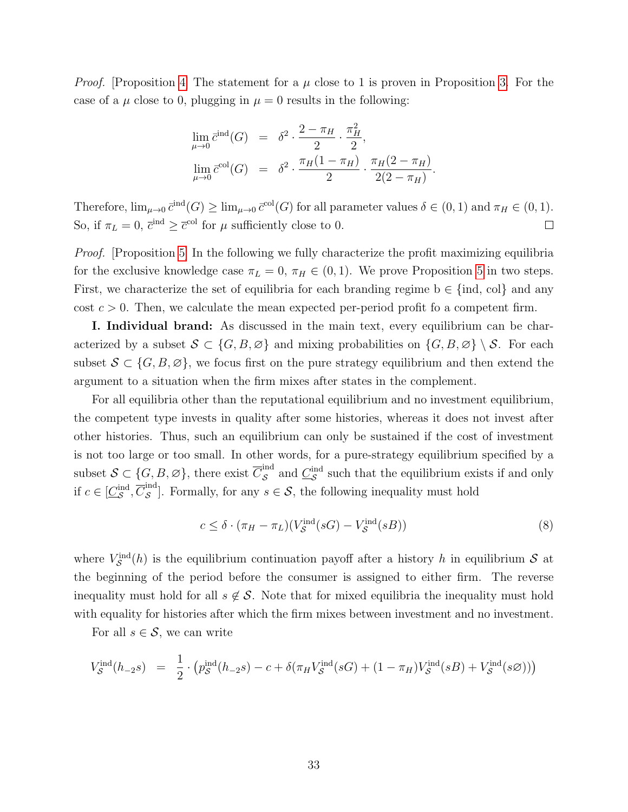*Proof.* [Proposition [4\]](#page-18-1) The statement for a  $\mu$  close to 1 is proven in Proposition [3.](#page-18-0) For the case of a  $\mu$  close to 0, plugging in  $\mu = 0$  results in the following:

$$
\lim_{\mu \to 0} \bar{c}^{\text{ind}}(G) = \delta^2 \cdot \frac{2 - \pi_H}{2} \cdot \frac{\pi_H^2}{2},
$$
  

$$
\lim_{\mu \to 0} \bar{c}^{\text{col}}(G) = \delta^2 \cdot \frac{\pi_H(1 - \pi_H)}{2} \cdot \frac{\pi_H(2 - \pi_H)}{2(2 - \pi_H)}.
$$

Therefore,  $\lim_{\mu\to 0} \bar{c}^{\text{ind}}(G) \ge \lim_{\mu\to 0} \bar{c}^{\text{col}}(G)$  for all parameter values  $\delta \in (0,1)$  and  $\pi_H \in (0,1)$ . So, if  $\pi_L = 0$ ,  $\bar{c}^{\text{ind}} \geq \bar{c}^{\text{col}}$  for  $\mu$  sufficiently close to 0.  $\Box$ 

Proof. [Proposition [5\]](#page-22-0) In the following we fully characterize the profit maximizing equilibria for the exclusive knowledge case  $\pi_L = 0$ ,  $\pi_H \in (0, 1)$ . We prove Proposition [5](#page-22-0) in two steps. First, we characterize the set of equilibria for each branding regime  $b \in \{\text{ind}, \text{col}\}\$ and any cost  $c > 0$ . Then, we calculate the mean expected per-period profit fo a competent firm.

I. Individual brand: As discussed in the main text, every equilibrium can be characterized by a subset  $S \subset \{G, B, \emptyset\}$  and mixing probabilities on  $\{G, B, \emptyset\} \setminus S$ . For each subset  $S \subset \{G, B, \emptyset\}$ , we focus first on the pure strategy equilibrium and then extend the argument to a situation when the firm mixes after states in the complement.

For all equilibria other than the reputational equilibrium and no investment equilibrium, the competent type invests in quality after some histories, whereas it does not invest after other histories. Thus, such an equilibrium can only be sustained if the cost of investment is not too large or too small. In other words, for a pure-strategy equilibrium specified by a subset  $\mathcal{S} \subset \{G, B, \varnothing\}$ , there exist  $\overline{C}_{\mathcal{S}}^{\text{ind}}$  $S<sub>S</sub>$  and  $C<sub>S</sub><sup>ind</sup>$  such that the equilibrium exists if and only if  $c \in [\underline{C}_{\mathcal{S}}^{\text{ind}}, \overline{C}_{\mathcal{S}}^{\text{ind}}]$  $\mathcal{S}^{\text{max}}$ . Formally, for any  $s \in \mathcal{S}$ , the following inequality must hold

<span id="page-33-0"></span>
$$
c \leq \delta \cdot (\pi_H - \pi_L)(V_S^{\text{ind}}(sG) - V_S^{\text{ind}}(sB)) \tag{8}
$$

where  $V_{\mathcal{S}}^{\text{ind}}(h)$  is the equilibrium continuation payoff after a history h in equilibrium S at the beginning of the period before the consumer is assigned to either firm. The reverse inequality must hold for all  $s \notin \mathcal{S}$ . Note that for mixed equilibria the inequality must hold with equality for histories after which the firm mixes between investment and no investment.

For all  $s \in \mathcal{S}$ , we can write

$$
V_S^{\text{ind}}(h_{-2} s) = \frac{1}{2} \cdot (p_S^{\text{ind}}(h_{-2} s) - c + \delta(\pi_H V_S^{\text{ind}}(sG) + (1 - \pi_H) V_S^{\text{ind}}(sB) + V_S^{\text{ind}}(s\emptyset)))
$$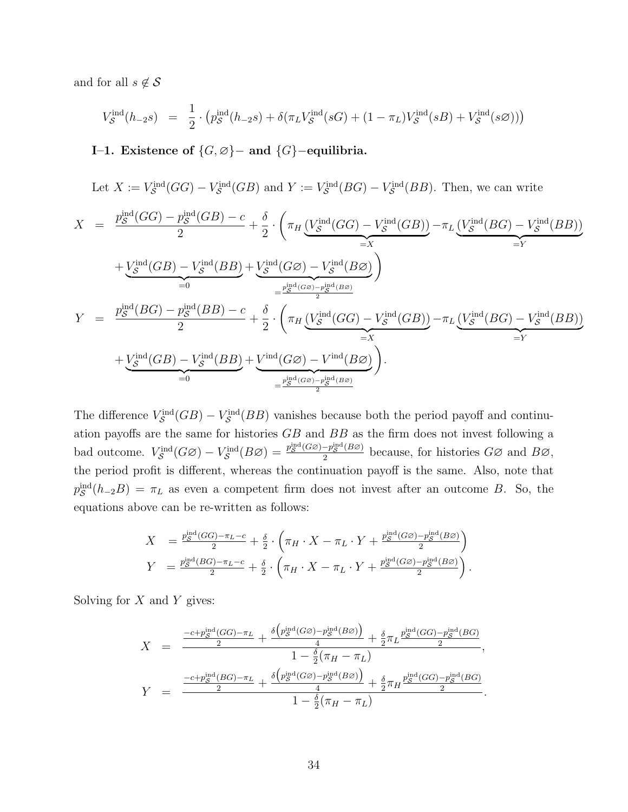and for all  $s \notin \mathcal{S}$ 

$$
V_S^{\text{ind}}(h_{-2} s) = \frac{1}{2} \cdot (p_S^{\text{ind}}(h_{-2} s) + \delta(\pi_L V_S^{\text{ind}}(sG) + (1 - \pi_L) V_S^{\text{ind}}(sB) + V_S^{\text{ind}}(s\varnothing)))
$$

I–1. Existence of  $\{G, \emptyset\}$ – and  $\{G\}$ –equilibria.

Let  $X := V_{\mathcal{S}}^{\text{ind}}(GG) - V_{\mathcal{S}}^{\text{ind}}(GB)$  and  $Y := V_{\mathcal{S}}^{\text{ind}}(BG) - V_{\mathcal{S}}^{\text{ind}}(BB)$ . Then, we can write

$$
X = \frac{p_S^{\text{ind}}(GG) - p_S^{\text{ind}}(GB) - c}{2} + \frac{\delta}{2} \cdot \left(\pi_H \underbrace{\left(V_S^{\text{ind}}(GG) - V_S^{\text{ind}}(GB)\right)}_{=X} - \pi_L \underbrace{\left(V_S^{\text{ind}}(BG) - V_S^{\text{ind}}(BB)\right)}_{=Y} \right)
$$
  
+ 
$$
\underbrace{V_S^{\text{ind}}(GB) - V_S^{\text{ind}}(BB)}_{=0} + \underbrace{V_S^{\text{ind}}(GG) - V_S^{\text{ind}}(B\varnothing)}_{=Z^{\text{ind}(GS)-p_S^{\text{ind}}(B\varnothing)}}\right)
$$
  

$$
Y = \frac{p_S^{\text{ind}}(BG) - p_S^{\text{ind}}(BB) - c}{2} + \frac{\delta}{2} \cdot \left(\pi_H \underbrace{\left(V_S^{\text{ind}}(GG) - V_S^{\text{ind}}(GB)\right)}_{=X} - \pi_L \underbrace{\left(V_S^{\text{ind}}(BG) - V_S^{\text{ind}}(BB)\right)}_{=Y} \right)
$$
  
+ 
$$
\underbrace{V_S^{\text{ind}}(GB) - V_S^{\text{ind}}(BB)}_{=0} + \underbrace{V^{\text{ind}}(GB) - V^{\text{ind}}(B\varnothing)}_{=Z^{\text{ind}(GS)-p_S^{\text{ind}}(B\varnothing)}}.
$$

The difference  $V_S^{\text{ind}}(GB) - V_S^{\text{ind}}(BB)$  vanishes because both the period payoff and continuation payoffs are the same for histories GB and BB as the firm does not invest following a bad outcome.  $V_S^{\text{ind}}(G\varnothing) - V_S^{\text{ind}}(B\varnothing) = \frac{p_S^{\text{ind}}(G\varnothing) - p_S^{\text{ind}}(B\varnothing)}{2}$  $\frac{-p_S^{\text{ind}}(B\varnothing)}{2}$  because, for histories  $G\varnothing$  and  $B\varnothing$ , the period profit is different, whereas the continuation payoff is the same. Also, note that  $p_{\mathcal{S}}^{\text{ind}}(h_{-2}B) = \pi_L$  as even a competent firm does not invest after an outcome B. So, the equations above can be re-written as follows:

$$
X = \frac{p_S^{\text{ind}}(GG) - \pi_L - c}{2} + \frac{\delta}{2} \cdot \left(\pi_H \cdot X - \pi_L \cdot Y + \frac{p_S^{\text{ind}}(G\varnothing) - p_S^{\text{ind}}(B\varnothing)}{2}\right)
$$
  
\n
$$
Y = \frac{p_S^{\text{ind}}(BG) - \pi_L - c}{2} + \frac{\delta}{2} \cdot \left(\pi_H \cdot X - \pi_L \cdot Y + \frac{p_S^{\text{ind}}(G\varnothing) - p_S^{\text{ind}}(B\varnothing)}{2}\right).
$$

Solving for  $X$  and  $Y$  gives:

$$
X = \frac{\frac{-c + p_S^{\text{ind}}(GG) - \pi_L}{2} + \frac{\delta(p_S^{\text{ind}}(G\varnothing) - p_S^{\text{ind}}(B\varnothing))}{4} + \frac{\delta}{2}\pi_L \frac{p_S^{\text{ind}}(GG) - p_S^{\text{ind}}(BG)}{2}}{1 - \frac{\delta}{2}(\pi_H - \pi_L)},
$$
  

$$
Y = \frac{\frac{-c + p_S^{\text{ind}}(BG) - \pi_L}{2} + \frac{\delta(p_S^{\text{ind}}(GG) - p_S^{\text{ind}}(B\varnothing))}{4} + \frac{\delta}{2}\pi_H \frac{p_S^{\text{ind}}(GG) - p_S^{\text{ind}}(BG)}{2}}{1 - \frac{\delta}{2}(\pi_H - \pi_L)}.
$$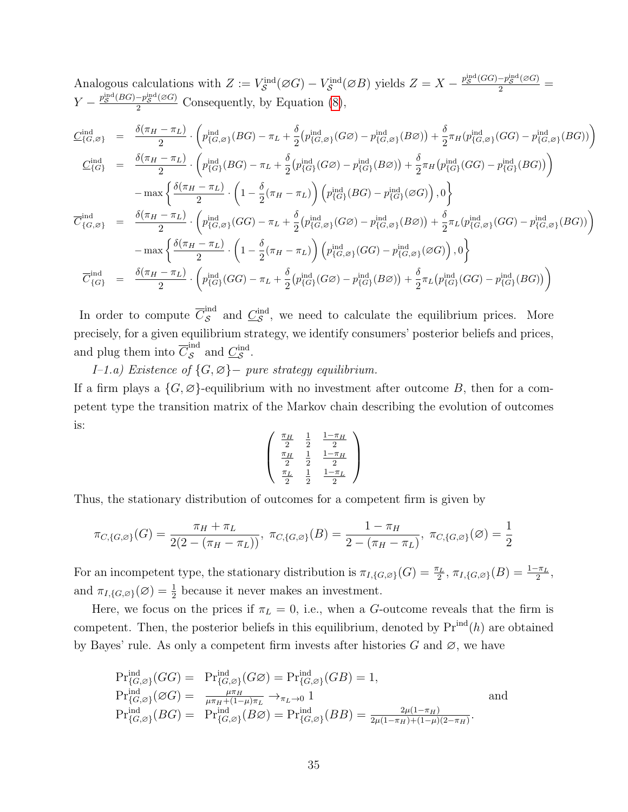Analogous calculations with  $Z := V_S^{\text{ind}}(\varnothing G) - V_S^{\text{ind}}(\varnothing B)$  yields  $Z = X - \frac{p_S^{\text{ind}}(GG) - p_S^{\text{ind}}(\varnothing G)}{2}$  $Y - \frac{p_{\mathcal{S}}^{\text{ind}}(BG) - p_{\mathcal{S}}^{\text{ind}}(\varnothing G)}{2}$  Consequently, by Equation [\(8\)](#page-33-0),

$$
\underline{C}_{\{G,\varnothing\}}^{\text{ind}} = \frac{\delta(\pi_H - \pi_L)}{2} \cdot \left( p_{\{G,\varnothing\}}^{\text{ind}}(BG) - \pi_L + \frac{\delta}{2} (p_{\{G,\varnothing\}}^{\text{ind}}(G\varnothing) - p_{\{G,\varnothing\}}^{\text{ind}}(B\varnothing)) + \frac{\delta}{2} \pi_H (p_{\{G,\varnothing\}}^{\text{ind}}(GG) - p_{\{G,\varnothing\}}^{\text{ind}}(BG)) \right)
$$
\n
$$
\underline{C}_{\{G\}}^{\text{ind}} = \frac{\delta(\pi_H - \pi_L)}{2} \cdot \left( p_{\{G\}}^{\text{ind}}(BG) - \pi_L + \frac{\delta}{2} (p_{\{G\}}^{\text{ind}}(G\varnothing) - p_{\{G\}}^{\text{ind}}(B\varnothing)) + \frac{\delta}{2} \pi_H (p_{\{G\}}^{\text{ind}}(GG) - p_{\{G\}}^{\text{ind}}(BG)) \right)
$$
\n
$$
- \max \left\{ \frac{\delta(\pi_H - \pi_L)}{2} \cdot \left( 1 - \frac{\delta}{2} (\pi_H - \pi_L) \right) \left( p_{\{G\}}^{\text{ind}}(BG) - p_{\{G\}}^{\text{ind}}(\varnothing G) \right), 0 \right\}
$$
\n
$$
\overline{C}_{\{G,\varnothing\}}^{\text{ind}} = \frac{\delta(\pi_H - \pi_L)}{2} \cdot \left( p_{\{G,\varnothing\}}^{\text{ind}}(GG) - \pi_L + \frac{\delta}{2} (p_{\{G,\varnothing\}}^{\text{ind}}(G\varnothing) - p_{\{G,\varnothing\}}^{\text{ind}}(B\varnothing)) + \frac{\delta}{2} \pi_L (p_{\{G,\varnothing\}}^{\text{ind}}(GG) - p_{\{G,\varnothing\}}^{\text{ind}}(BG) - p_{\{G,\varnothing\}}^{\text{ind}}(BG) - p_{\{G,\varnothing\}}^{\text{ind}}(GG) - p_{\{G,\varnothing\}}^{\text{ind}}(BG)) \right)
$$
\n
$$
- \max \left\{ \frac{\delta(\pi_H - \pi_L)}{2} \cdot \left( 1 - \frac{\delta}{2} (\pi_H - \pi_L) \right) \left( p_{\{G,\varnothing\}}^{\text{ind}}(GG) - p_{\{
$$

In order to compute  $\overline{C}_{\mathcal{S}}^{\text{ind}}$  $\mathcal{S}^{\text{ind}}$  and  $\mathcal{L}^{\text{ind}}_{\mathcal{S}}$ , we need to calculate the equilibrium prices. More precisely, for a given equilibrium strategy, we identify consumers' posterior beliefs and prices, and plug them into  $\overline{C}_{\mathcal{S}}^{\text{ind}}$  $\frac{\partial}{\partial s}$  and  $\frac{\partial}{\partial s}$ .

I–1.a) Existence of {G, ∅}− pure strategy equilibrium. If a firm plays a  $\{G, \emptyset\}$ -equilibrium with no investment after outcome B, then for a competent type the transition matrix of the Markov chain describing the evolution of outcomes is:

$$
\begin{pmatrix}\n\frac{\pi_H}{2} & \frac{1}{2} & \frac{1-\pi_H}{2} \\
\frac{\pi_H}{2} & \frac{1}{2} & \frac{1-\pi_H}{2} \\
\frac{\pi_L}{2} & \frac{1}{2} & \frac{1-\pi_L}{2}\n\end{pmatrix}
$$

Thus, the stationary distribution of outcomes for a competent firm is given by

$$
\pi_{C,\{G,\varnothing\}}(G) = \frac{\pi_H + \pi_L}{2(2 - (\pi_H - \pi_L))}, \ \pi_{C,\{G,\varnothing\}}(B) = \frac{1 - \pi_H}{2 - (\pi_H - \pi_L)}, \ \pi_{C,\{G,\varnothing\}}(\varnothing) = \frac{1}{2}
$$

For an incompetent type, the stationary distribution is  $\pi_{I,\{G,\varnothing\}}(G) = \frac{\pi_L}{2}, \pi_{I,\{G,\varnothing\}}(B) = \frac{1-\pi_L}{2},$ and  $\pi_{I,\{G,\varnothing\}}(\varnothing) = \frac{1}{2}$  because it never makes an investment.

Here, we focus on the prices if  $\pi_L = 0$ , i.e., when a G-outcome reveals that the firm is competent. Then, the posterior beliefs in this equilibrium, denoted by  $Pr^{ind}(h)$  are obtained by Bayes' rule. As only a competent firm invests after histories G and  $\varnothing$ , we have

$$
\Pr_{\{G,\varnothing\}}^{\text{ind}}(GG) = \Pr_{\{G,\varnothing\}}^{\text{ind}}(GG) = \Pr_{\{G,\varnothing\}}^{\text{ind}}(GB) = 1,
$$
\n
$$
\Pr_{\{G,\varnothing\}}^{\text{ind}}(\varnothing G) = \frac{\mu \pi_H}{\mu \pi_H + (1-\mu)\pi_L} \to_{\pi_L \to 0} 1
$$
\n
$$
\Pr_{\{G,\varnothing\}}^{\text{ind}}(BG) = \Pr_{\{G,\varnothing\}}^{\text{ind}}(BB) = \Pr_{\{G,\varnothing\}}^{\text{ind}}(BB) = \frac{2\mu(1-\pi_H)}{2\mu(1-\pi_H) + (1-\mu)(2-\pi_H)}.
$$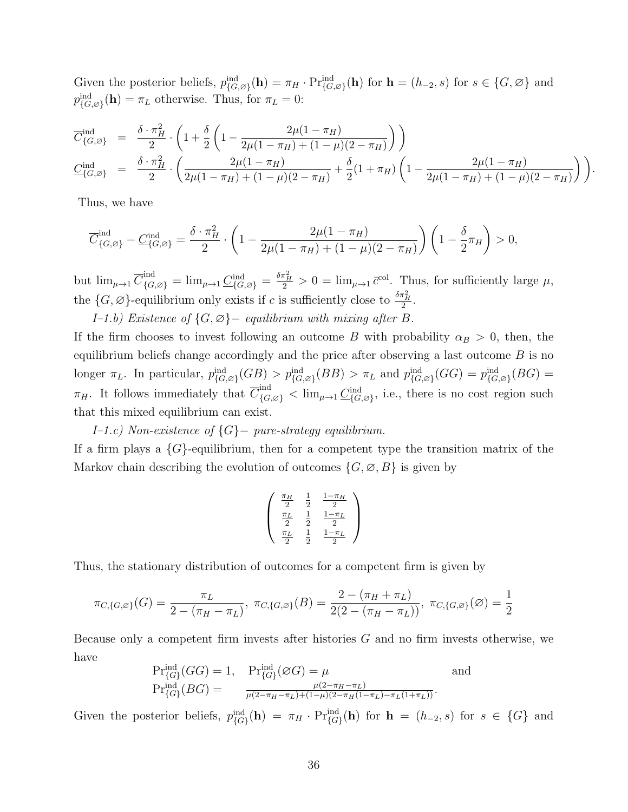Given the posterior beliefs,  $p_{G,\varnothing}^{\text{ind}}(\mathbf{h}) = \pi_H \cdot \Pr_{G,\varnothing}^{\text{ind}}(\mathbf{h})$  for  $\mathbf{h} = (h_{-2}, s)$  for  $s \in \{G, \varnothing\}$  and  $p_{\{G,\varnothing\}}^{\text{ind}}(\mathbf{h}) = \pi_L$  otherwise. Thus, for  $\pi_L = 0$ :

$$
\overline{C}_{\{G,\varnothing\}}^{\text{ind}} = \frac{\delta \cdot \pi_H^2}{2} \cdot \left( 1 + \frac{\delta}{2} \left( 1 - \frac{2\mu(1-\pi_H)}{2\mu(1-\pi_H) + (1-\mu)(2-\pi_H)} \right) \right)
$$
\n
$$
\underline{C}_{\{G,\varnothing\}}^{\text{ind}} = \frac{\delta \cdot \pi_H^2}{2} \cdot \left( \frac{2\mu(1-\pi_H)}{2\mu(1-\pi_H) + (1-\mu)(2-\pi_H)} + \frac{\delta}{2} (1+\pi_H) \left( 1 - \frac{2\mu(1-\pi_H)}{2\mu(1-\pi_H) + (1-\mu)(2-\pi_H)} \right) \right).
$$

Thus, we have

$$
\overline{C}_{\{G,\varnothing\}}^{\text{ind}} - \underline{C}_{\{G,\varnothing\}}^{\text{ind}} = \frac{\delta \cdot \pi_H^2}{2} \cdot \left(1 - \frac{2\mu(1-\pi_H)}{2\mu(1-\pi_H) + (1-\mu)(2-\pi_H)}\right) \left(1 - \frac{\delta}{2}\pi_H\right) > 0,
$$

but  $\lim_{\mu \to 1} \overline{C}_{\{G, \varnothing\}}^{\text{ind}} = \lim_{\mu \to 1} \underline{C}_{\{G, \varnothing\}}^{\text{ind}} = \frac{\delta \pi_H^2}{2} > 0 = \lim_{\mu \to 1} \overline{c}^{\text{col}}$ . Thus, for sufficiently large  $\mu$ , the  $\{G, \varnothing\}$ -equilibrium only exists if c is sufficiently close to  $\frac{\delta \pi_H^2}{2}$ .

I–1.b) Existence of  $\{G, \emptyset\}$  – equilibrium with mixing after B.

If the firm chooses to invest following an outcome B with probability  $\alpha_B > 0$ , then, the equilibrium beliefs change accordingly and the price after observing a last outcome  $B$  is no longer  $\pi_L$ . In particular,  $p_{\{G,\varnothing\}}^{\text{ind}}(GB) > p_{\{G,\varnothing\}}^{\text{ind}}(BB) > \pi_L$  and  $p_{\{G,\varnothing\}}^{\text{ind}}(GG) = p_{\{G,\varnothing\}}^{\text{ind}}(BG)$  $\pi_H$ . It follows immediately that  $\overline{C}_{\{G,\varnothing\}}^{\text{ind}} < \lim_{\mu \to 1} \underline{C}_{\{G,\varnothing\}}^{\text{ind}}$ , i.e., there is no cost region such that this mixed equilibrium can exist.

I–1.c) Non-existence of {G}− pure-strategy equilibrium. If a firm plays a  $\{G\}$ -equilibrium, then for a competent type the transition matrix of the Markov chain describing the evolution of outcomes  $\{G, \emptyset, B\}$  is given by

$$
\left(\begin{array}{cc} \frac{\pi_H}{2} & \frac{1}{2} & \frac{1-\pi_H}{2} \\ \frac{\pi_L}{2} & \frac{1}{2} & \frac{1-\pi_L}{2} \\ \frac{\pi_L}{2} & \frac{1}{2} & \frac{1-\pi_L}{2} \end{array}\right)
$$

Thus, the stationary distribution of outcomes for a competent firm is given by

$$
\pi_{C,\{G,\varnothing\}}(G) = \frac{\pi_L}{2 - (\pi_H - \pi_L)}, \ \pi_{C,\{G,\varnothing\}}(B) = \frac{2 - (\pi_H + \pi_L)}{2(2 - (\pi_H - \pi_L))}, \ \pi_{C,\{G,\varnothing\}}(\varnothing) = \frac{1}{2}
$$

Because only a competent firm invests after histories G and no firm invests otherwise, we have

$$
\Pr_{\{G\}}^{\text{ind}}(GG) = 1, \quad \Pr_{\{G\}}^{\text{ind}}(\varnothing G) = \mu \quad \text{and} \quad \Pr_{\{G\}}^{\text{ind}}(BG) = \frac{\mu(2 - \pi_H - \pi_L)}{\mu(2 - \pi_H - \pi_L) + (1 - \mu)(2 - \pi_H(1 - \pi_L) - \pi_L(1 + \pi_L))}.
$$

Given the posterior beliefs,  $p_{\{G\}}^{\text{ind}}(\mathbf{h}) = \pi_H \cdot \Pr_{\{G\}}^{\text{ind}}(\mathbf{h})$  for  $\mathbf{h} = (h_{-2}, s)$  for  $s \in \{G\}$  and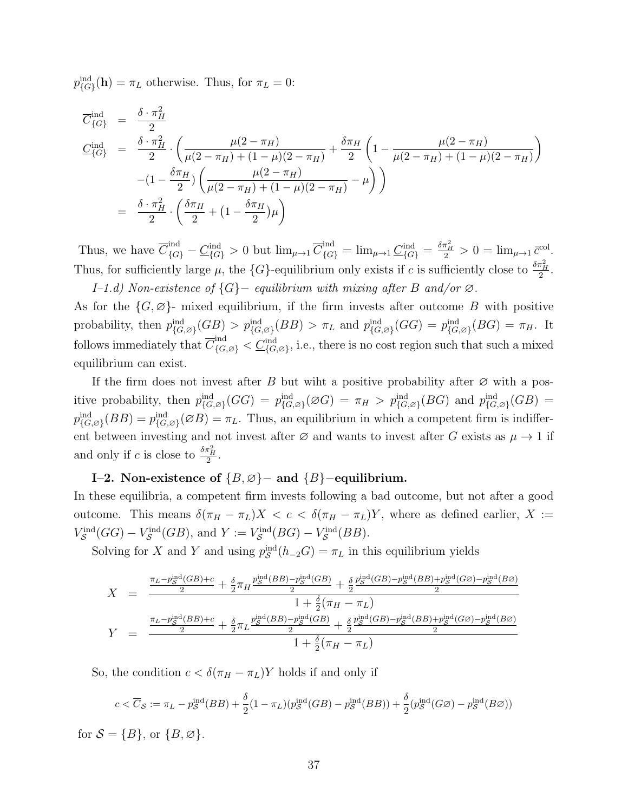$p_{\{G\}}^{\text{ind}}(\mathbf{h}) = \pi_L$  otherwise. Thus, for  $\pi_L = 0$ :

$$
\overline{C}_{\{G\}}^{\text{ind}} = \frac{\delta \cdot \pi_H^2}{2}
$$
\n
$$
\underline{C}_{\{G\}}^{\text{ind}} = \frac{\delta \cdot \pi_H^2}{2} \cdot \left( \frac{\mu(2 - \pi_H)}{\mu(2 - \pi_H) + (1 - \mu)(2 - \pi_H)} + \frac{\delta \pi_H}{2} \left( 1 - \frac{\mu(2 - \pi_H)}{\mu(2 - \pi_H) + (1 - \mu)(2 - \pi_H)} \right) - (1 - \frac{\delta \pi_H}{2}) \left( \frac{\mu(2 - \pi_H)}{\mu(2 - \pi_H) + (1 - \mu)(2 - \pi_H)} - \mu \right) \right)
$$
\n
$$
= \frac{\delta \cdot \pi_H^2}{2} \cdot \left( \frac{\delta \pi_H}{2} + \left( 1 - \frac{\delta \pi_H}{2} \right) \mu \right)
$$

Thus, we have  $\overline{C}_{\{G\}}^{\text{ind}} - \underline{C}_{\{G\}}^{\text{ind}} > 0$  but  $\lim_{\mu \to 1} \overline{C}_{\{G\}}^{\text{ind}} = \lim_{\mu \to 1} \underline{C}_{\{G\}}^{\text{ind}} = \frac{\delta \pi_H^2}{2} > 0 = \lim_{\mu \to 1} \overline{c}^{\text{col}}$ . Thus, for sufficiently large  $\mu$ , the  $\{G\}$ -equilibrium only exists if c is sufficiently close to  $\frac{\delta \pi_H^2}{2}$ . I–1.d) Non-existence of {G}− equilibrium with mixing after B and/or ∅.

As for the  $\{G, \emptyset\}$ - mixed equilibrium, if the firm invests after outcome B with positive probability, then  $p_{\{G,\emptyset\}}^{\text{ind}}(GB) > p_{\{G,\emptyset\}}^{\text{ind}}(BB) > \pi_L$  and  $p_{\{G,\emptyset\}}^{\text{ind}}(GG) = p_{\{G,\emptyset\}}^{\text{ind}}(BG) = \pi_H$ . It follows immediately that  $\overline{C}_{\{G,\varnothing\}}^{\text{ind}} < \underline{C}_{\{G,\varnothing\}}^{\text{ind}}$ , i.e., there is no cost region such that such a mixed equilibrium can exist.

If the firm does not invest after B but wiht a positive probability after  $\varnothing$  with a positive probability, then  $p_{\{G,\varnothing\}}^{\text{ind}}(GG) = p_{\{G,\varnothing\}}^{\text{ind}}( \varnothing G) = \pi_H > p_{\{G,\varnothing\}}^{\text{ind}}(BG)$  and  $p_{\{G,\varnothing\}}^{\text{ind}}(GB) =$  $p_{\{G,\varnothing\}}^{\text{ind}}(BB) = p_{\{G,\varnothing\}}^{\text{ind}}(\varnothing B) = \pi_L$ . Thus, an equilibrium in which a competent firm is indifferent between investing and not invest after  $\varnothing$  and wants to invest after G exists as  $\mu \to 1$  if and only if c is close to  $\frac{\delta \pi_H^2}{2}$ .

### I–2. Non-existence of  ${B, \emptyset}$  – and  ${B}$  – equilibrium.

In these equilibria, a competent firm invests following a bad outcome, but not after a good outcome. This means  $\delta(\pi_H - \pi_L)X < c < \delta(\pi_H - \pi_L)Y$ , where as defined earlier, X :=  $V_S^{\text{ind}}(GG) - V_S^{\text{ind}}(GB)$ , and  $Y := V_S^{\text{ind}}(BG) - V_S^{\text{ind}}(BB)$ .

Solving for X and Y and using  $p_{\mathcal{S}}^{\text{ind}}(h_{-2}G) = \pi_L$  in this equilibrium yields

$$
X = \frac{\frac{\pi_L - p_S^{\text{ind}}(GB) + c}{2} + \frac{\delta}{2}\pi_H \frac{p_S^{\text{ind}}(BB) - p_S^{\text{ind}}(GB)}{2} + \frac{\delta}{2} \frac{p_S^{\text{ind}}(GB) - p_S^{\text{ind}}(BB) + p_S^{\text{ind}}(GG) - p_S^{\text{ind}}(BB)}{2}}{1 + \frac{\delta}{2}(\pi_H - \pi_L)}
$$
  

$$
Y = \frac{\frac{\pi_L - p_S^{\text{ind}}(BB) + c}{2} + \frac{\delta}{2}\pi_L \frac{p_S^{\text{ind}}(BB) - p_S^{\text{ind}}(GB)}{2} + \frac{\delta}{2} \frac{p_S^{\text{ind}}(GB) - p_S^{\text{ind}}(BB) + p_S^{\text{ind}}(GG) - p_S^{\text{ind}}(BB)}{2}}{1 + \frac{\delta}{2}(\pi_H - \pi_L)}
$$

So, the condition  $c < \delta(\pi_H - \pi_L)Y$  holds if and only if

$$
c < \overline{C}_{\mathcal{S}} := \pi_L - p_{\mathcal{S}}^{\text{ind}}(BB) + \frac{\delta}{2}(1 - \pi_L)(p_{\mathcal{S}}^{\text{ind}}(GB) - p_{\mathcal{S}}^{\text{ind}}(BB)) + \frac{\delta}{2}(p_{\mathcal{S}}^{\text{ind}}(G\varnothing) - p_{\mathcal{S}}^{\text{ind}}(B\varnothing))
$$

for  $S = \{B\}$ , or  $\{B, \emptyset\}$ .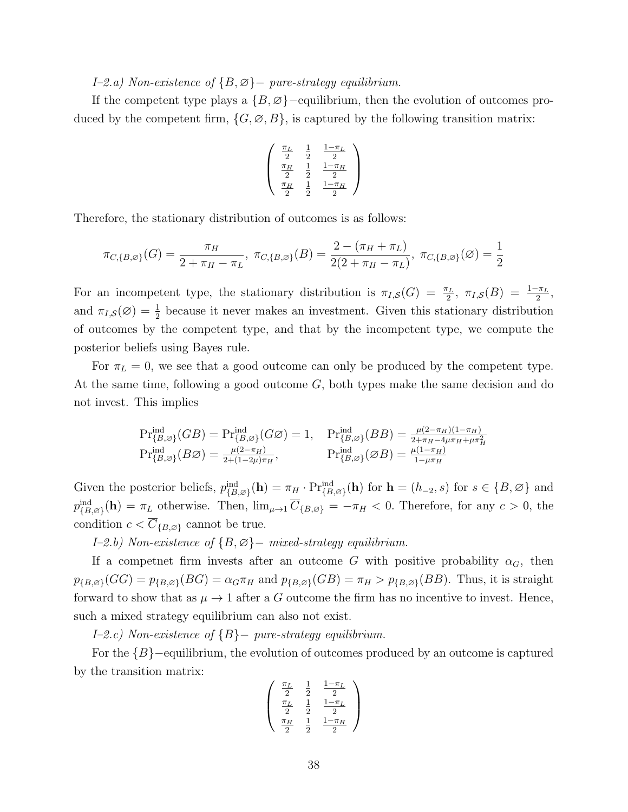I–2.a) Non-existence of {B, ∅}− pure-strategy equilibrium.

If the competent type plays a  $\{B, \emptyset\}$  –equilibrium, then the evolution of outcomes produced by the competent firm,  $\{G, \emptyset, B\}$ , is captured by the following transition matrix:

$$
\left(\begin{array}{cc} \frac{\pi_L}{2} & \frac{1}{2} & \frac{1-\pi_L}{2} \\ \frac{\pi_H}{2} & \frac{1}{2} & \frac{1-\pi_H}{2} \\ \frac{\pi_H}{2} & \frac{1}{2} & \frac{1-\pi_H}{2} \end{array}\right)
$$

Therefore, the stationary distribution of outcomes is as follows:

$$
\pi_{C,\{B,\varnothing\}}(G) = \frac{\pi_H}{2 + \pi_H - \pi_L}, \ \pi_{C,\{B,\varnothing\}}(B) = \frac{2 - (\pi_H + \pi_L)}{2(2 + \pi_H - \pi_L)}, \ \pi_{C,\{B,\varnothing\}}(\varnothing) = \frac{1}{2}
$$

For an incompetent type, the stationary distribution is  $\pi_{I,S}(G) = \frac{\pi_L}{2}, \pi_{I,S}(B) = \frac{1-\pi_L}{2},$ and  $\pi_{I,S}(\varnothing) = \frac{1}{2}$  because it never makes an investment. Given this stationary distribution of outcomes by the competent type, and that by the incompetent type, we compute the posterior beliefs using Bayes rule.

For  $\pi_L = 0$ , we see that a good outcome can only be produced by the competent type. At the same time, following a good outcome G, both types make the same decision and do not invest. This implies

$$
\Pr_{\{B,\varnothing\}}^{\text{ind}}(GB) = \Pr_{\{B,\varnothing\}}^{\text{ind}}(G\varnothing) = 1, \quad \Pr_{\{B,\varnothing\}}^{\text{ind}}(BB) = \frac{\mu(2-\pi_H)(1-\pi_H)}{2+\pi_H-4\mu\pi_H+\mu\pi_H^2}
$$
\n
$$
\Pr_{\{B,\varnothing\}}^{\text{ind}}(B\varnothing) = \frac{\mu(2-\pi_H)}{2+(1-2\mu)\pi_H}, \qquad \Pr_{\{B,\varnothing\}}^{\text{ind}}(\varnothing B) = \frac{\mu(1-\pi_H)}{1-\mu\pi_H}
$$

Given the posterior beliefs,  $p_{\{B,\varnothing\}}^{\text{ind}}(\mathbf{h}) = \pi_H \cdot \Pr_{\{B,\varnothing\}}^{\text{ind}}(\mathbf{h})$  for  $\mathbf{h} = (h_{-2}, s)$  for  $s \in \{B, \varnothing\}$  and  $p_{\{B,\varnothing\}}^{\text{ind}}(\mathbf{h}) = \pi_L$  otherwise. Then,  $\lim_{\mu \to 1} \overline{C}_{\{B,\varnothing\}} = -\pi_H < 0$ . Therefore, for any  $c > 0$ , the condition  $c < \overline{C}_{\{B,\emptyset\}}$  cannot be true.

I–2.b) Non-existence of {B, ∅}− mixed-strategy equilibrium.

If a competnet firm invests after an outcome G with positive probability  $\alpha_G$ , then  $p_{\{B,\emptyset\}}(GG) = p_{\{B,\emptyset\}}(BG) = \alpha_G \pi_H$  and  $p_{\{B,\emptyset\}}(GB) = \pi_H > p_{\{B,\emptyset\}}(BB)$ . Thus, it is straight forward to show that as  $\mu \to 1$  after a G outcome the firm has no incentive to invest. Hence, such a mixed strategy equilibrium can also not exist.

I–2.c) Non-existence of {B}− pure-strategy equilibrium.

For the  ${B}$  –equilibrium, the evolution of outcomes produced by an outcome is captured by the transition matrix:

$$
\begin{pmatrix}\n\frac{\pi_L}{2} & \frac{1}{2} & \frac{1-\pi_L}{2} \\
\frac{\pi_L}{2} & \frac{1}{2} & \frac{1-\pi_L}{2} \\
\frac{\pi_H}{2} & \frac{1}{2} & \frac{1-\pi_H}{2}\n\end{pmatrix}
$$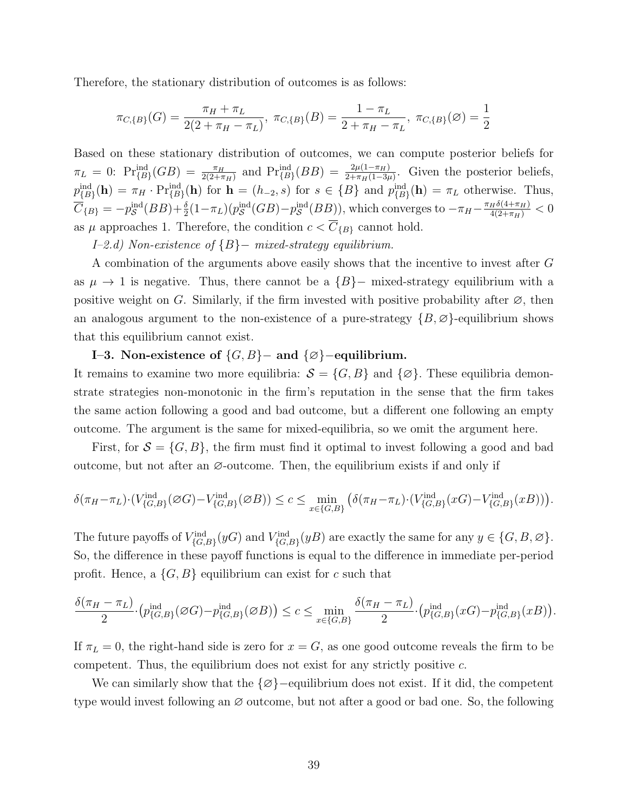Therefore, the stationary distribution of outcomes is as follows:

$$
\pi_{C,\{B\}}(G) = \frac{\pi_H + \pi_L}{2(2 + \pi_H - \pi_L)}, \ \pi_{C,\{B\}}(B) = \frac{1 - \pi_L}{2 + \pi_H - \pi_L}, \ \pi_{C,\{B\}}(\varnothing) = \frac{1}{2}
$$

Based on these stationary distribution of outcomes, we can compute posterior beliefs for  $\pi_L = 0$ :  $\Pr_{\{B\}}^{\text{ind}}(GB) = \frac{\pi_H}{2(2+\pi_H)}$  and  $\Pr_{\{B\}}^{\text{ind}}(BB) = \frac{2\mu(1-\pi_H)}{2+\pi_H(1-3\mu)}$ . Given the posterior beliefs,  $p_{\{B\}}^{\text{ind}}(\mathbf{h}) = \pi_H \cdot \Pr_{\{B\}}^{\text{ind}}(\mathbf{h})$  for  $\mathbf{h} = (h_{-2}, s)$  for  $s \in \{B\}$  and  $p_{\{B\}}^{\text{ind}}(\mathbf{h}) = \pi_L$  otherwise. Thus,  $\overline{C}_{\{B\}} = -p_{\mathcal{S}}^{\text{ind}}(BB) + \frac{\delta}{2}(1-\pi_L)(p_{\mathcal{S}}^{\text{ind}}(GB) - p_{\mathcal{S}}^{\text{ind}}(BB)),$  which converges to  $-\pi_H - \frac{\pi_H \delta(4+\pi_H)}{4(2+\pi_H)} < 0$ as  $\mu$  approaches 1. Therefore, the condition  $c < \overline{C}_{\{B\}}$  cannot hold.

I–2.d) Non-existence of {B}− mixed-strategy equilibrium.

A combination of the arguments above easily shows that the incentive to invest after G as  $\mu \to 1$  is negative. Thus, there cannot be a  $\{B\}$ − mixed-strategy equilibrium with a positive weight on G. Similarly, if the firm invested with positive probability after  $\varnothing$ , then an analogous argument to the non-existence of a pure-strategy  $\{B, \emptyset\}$ -equilibrium shows that this equilibrium cannot exist.

### I–3. Non-existence of  $\{G, B\}$ – and  $\{\emptyset\}$ –equilibrium.

It remains to examine two more equilibria:  $S = \{G, B\}$  and  $\{\emptyset\}$ . These equilibria demonstrate strategies non-monotonic in the firm's reputation in the sense that the firm takes the same action following a good and bad outcome, but a different one following an empty outcome. The argument is the same for mixed-equilibria, so we omit the argument here.

First, for  $S = \{G, B\}$ , the firm must find it optimal to invest following a good and bad outcome, but not after an  $\emptyset$ -outcome. Then, the equilibrium exists if and only if

$$
\delta(\pi_H - \pi_L) \cdot (V_{\{G,B\}}^{\text{ind}}(\varnothing G) - V_{\{G,B\}}^{\text{ind}}(\varnothing B)) \le c \le \min_{x \in \{G,B\}} \left( \delta(\pi_H - \pi_L) \cdot (V_{\{G,B\}}^{\text{ind}}(xG) - V_{\{G,B\}}^{\text{ind}}(xB)) \right).
$$

The future payoffs of  $V_{\{G,B\}}^{\text{ind}}(y)$  and  $V_{\{G,B\}}^{\text{ind}}(y)$  are exactly the same for any  $y \in \{G, B, \emptyset\}$ . So, the difference in these payoff functions is equal to the difference in immediate per-period profit. Hence, a  $\{G, B\}$  equilibrium can exist for c such that

$$
\frac{\delta(\pi_H-\pi_L)}{2}\cdot \left(p_{\{G,B\}}^{\mathrm{ind}}(\varnothing G)-p_{\{G,B\}}^{\mathrm{ind}}(\varnothing B)\right)\leq c\leq \min\limits_{x\in\{G,B\}}\frac{\delta(\pi_H-\pi_L)}{2}\cdot \left(p_{\{G,B\}}^{\mathrm{ind}}(xG)-p_{\{G,B\}}^{\mathrm{ind}}(xB)\right).
$$

If  $\pi_L = 0$ , the right-hand side is zero for  $x = G$ , as one good outcome reveals the firm to be competent. Thus, the equilibrium does not exist for any strictly positive c.

We can similarly show that the  $\{\emptyset\}$ –equilibrium does not exist. If it did, the competent type would invest following an ∅ outcome, but not after a good or bad one. So, the following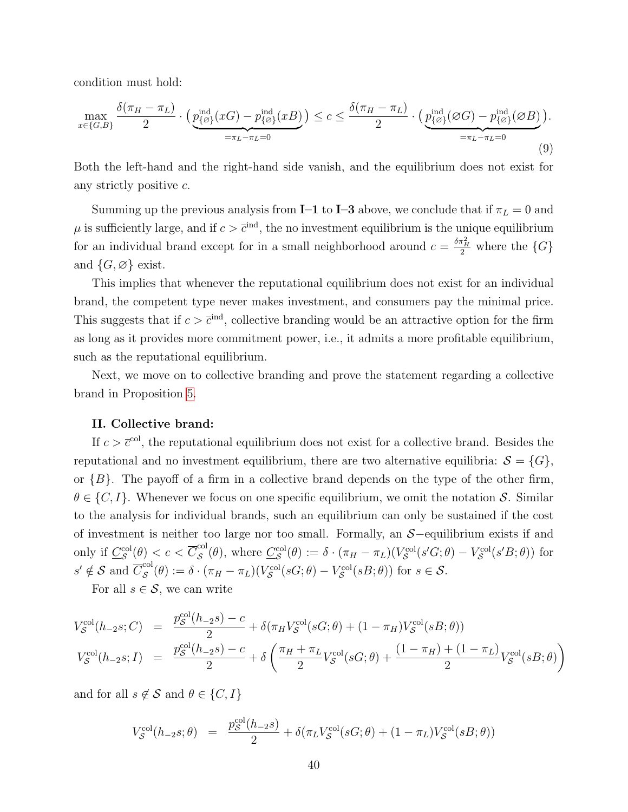condition must hold:

$$
\max_{x \in \{G,B\}} \frac{\delta(\pi_H - \pi_L)}{2} \cdot \left( \underbrace{p_{\{\emptyset\}}^{\text{ind}}(xG) - p_{\{\emptyset\}}^{\text{ind}}(xB)}_{=\pi_L - \pi_L = 0} \right) \le c \le \frac{\delta(\pi_H - \pi_L)}{2} \cdot \left( \underbrace{p_{\{\emptyset\}}^{\text{ind}}(\emptyset G) - p_{\{\emptyset\}}^{\text{ind}}(\emptyset B)}_{=\pi_L - \pi_L = 0} \right).
$$
\n(9)

Both the left-hand and the right-hand side vanish, and the equilibrium does not exist for any strictly positive c.

Summing up the previous analysis from **I–1** to **I–3** above, we conclude that if  $\pi_L = 0$  and  $\mu$  is sufficiently large, and if  $c > \bar{c}^{\text{ind}}$ , the no investment equilibrium is the unique equilibrium for an individual brand except for in a small neighborhood around  $c = \frac{\delta \pi_H^2}{2}$  where the  $\{G\}$ and  $\{G, \emptyset\}$  exist.

This implies that whenever the reputational equilibrium does not exist for an individual brand, the competent type never makes investment, and consumers pay the minimal price. This suggests that if  $c > \bar{c}^{\text{ind}}$ , collective branding would be an attractive option for the firm as long as it provides more commitment power, i.e., it admits a more profitable equilibrium, such as the reputational equilibrium.

Next, we move on to collective branding and prove the statement regarding a collective brand in Proposition [5.](#page-22-0)

#### II. Collective brand:

If  $c > \bar{c}^{\text{col}}$ , the reputational equilibrium does not exist for a collective brand. Besides the reputational and no investment equilibrium, there are two alternative equilibria:  $S = \{G\},\$ or  $\{B\}$ . The payoff of a firm in a collective brand depends on the type of the other firm,  $\theta \in \{C, I\}$ . Whenever we focus on one specific equilibrium, we omit the notation S. Similar to the analysis for individual brands, such an equilibrium can only be sustained if the cost of investment is neither too large nor too small. Formally, an S−equilibrium exists if and only if  $\underline{C}_{\mathcal{S}}^{\text{col}}(\theta) < c < \overline{C}_{\mathcal{S}}^{\text{col}}$  $S^{col}(\theta)$ , where  $\underline{C}_{\mathcal{S}}^{col}(\theta) := \delta \cdot (\pi_H - \pi_L)(V_{\mathcal{S}}^{col}(s'G;\theta) - V_{\mathcal{S}}^{col}(s'B;\theta))$  for  $s' \notin \mathcal{S}$  and  $\overline{C}_{\mathcal{S}}^{\text{col}}$  $S^{eq}(\theta) := \delta \cdot (\pi_H - \pi_L)(V_S^{col}(sG; \theta) - V_S^{col}(sB; \theta))$  for  $s \in S$ .

For all  $s \in \mathcal{S}$ , we can write

$$
V_S^{\text{col}}(h_{-2}s;C) = \frac{p_S^{\text{col}}(h_{-2}s) - c}{2} + \delta(\pi_H V_S^{\text{col}}(sG; \theta) + (1 - \pi_H) V_S^{\text{col}}(sB; \theta))
$$
  
\n
$$
V_S^{\text{col}}(h_{-2}s;I) = \frac{p_S^{\text{col}}(h_{-2}s) - c}{2} + \delta\left(\frac{\pi_H + \pi_L}{2} V_S^{\text{col}}(sG; \theta) + \frac{(1 - \pi_H) + (1 - \pi_L)}{2} V_S^{\text{col}}(sB; \theta)\right)
$$

and for all  $s \notin \mathcal{S}$  and  $\theta \in \{C, I\}$ 

$$
V_S^{\text{col}}(h_{-2}s; \theta) = \frac{p_S^{\text{col}}(h_{-2}s)}{2} + \delta(\pi_L V_S^{\text{col}}(sG; \theta) + (1 - \pi_L) V_S^{\text{col}}(sB; \theta))
$$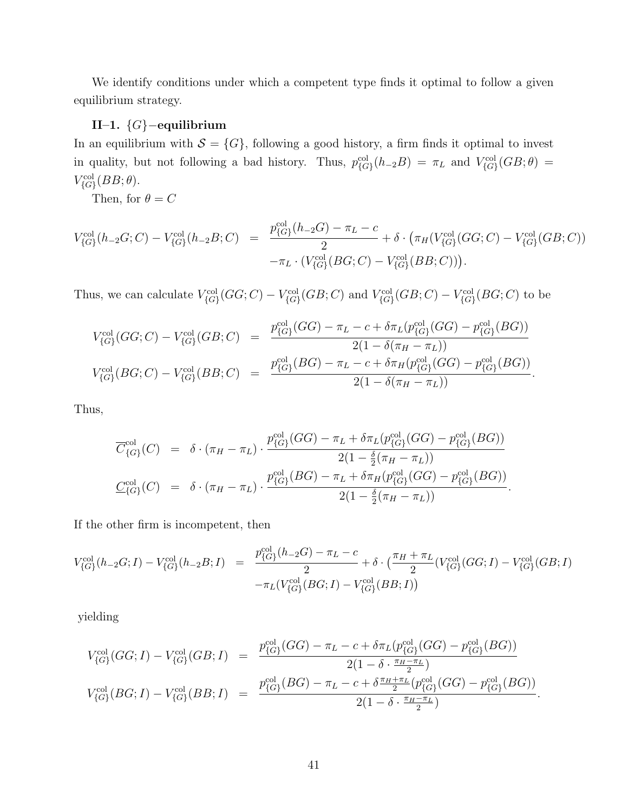We identify conditions under which a competent type finds it optimal to follow a given equilibrium strategy.

### II–1. {G}−equilibrium

In an equilibrium with  $S = \{G\}$ , following a good history, a firm finds it optimal to invest in quality, but not following a bad history. Thus,  $p_{\{G\}}^{\text{col}}(h_{-2}B) = \pi_L$  and  $V_{\{G\}}^{\text{col}}(GB;\theta) =$  $V_{\{G\}}^{\text{col}}(BB;\theta).$ 

Then, for  $\theta = C$ 

$$
V_{\{G\}}^{\text{col}}(h_{-2}G;C) - V_{\{G\}}^{\text{col}}(h_{-2}B;C) = \frac{p_{\{G\}}^{\text{col}}(h_{-2}G) - \pi_L - c}{2} + \delta \cdot (\pi_H(V_{\{G\}}^{\text{col}}(GG;C) - V_{\{G\}}^{\text{col}}(GB;C)) - \pi_L \cdot (V_{\{G\}}^{\text{col}}(BG;C) - V_{\{G\}}^{\text{col}}(BB;C))).
$$

Thus, we can calculate  $V_{\{G\}}^{\text{col}}(GG; C) - V_{\{G\}}^{\text{col}}(GB; C)$  and  $V_{\{G\}}^{\text{col}}(GB; C) - V_{\{G\}}^{\text{col}}(BG; C)$  to be

$$
V_{\{G\}}^{\text{col}}(GG; C) - V_{\{G\}}^{\text{col}}(GB; C) = \frac{p_{\{G\}}^{\text{col}}(GG) - \pi_L - c + \delta \pi_L(p_{\{G\}}^{\text{col}}(GG) - p_{\{G\}}^{\text{col}}(BG))}{2(1 - \delta(\pi_H - \pi_L))}
$$
  

$$
V_{\{G\}}^{\text{col}}(BG; C) - V_{\{G\}}^{\text{col}}(BB; C) = \frac{p_{\{G\}}^{\text{col}}(BG) - \pi_L - c + \delta \pi_H(p_{\{G\}}^{\text{col}}(GG) - p_{\{G\}}^{\text{col}}(BG))}{2(1 - \delta(\pi_H - \pi_L))}.
$$

Thus,

$$
\overline{C}_{\{G\}}^{\text{col}}(C) = \delta \cdot (\pi_H - \pi_L) \cdot \frac{p_{\{G\}}^{\text{col}}(GG) - \pi_L + \delta \pi_L(p_{\{G\}}^{\text{col}}(GG) - p_{\{G\}}^{\text{col}}(BG))}{2(1 - \frac{\delta}{2}(\pi_H - \pi_L))} \n\underline{C}_{\{G\}}^{\text{col}}(C) = \delta \cdot (\pi_H - \pi_L) \cdot \frac{p_{\{G\}}^{\text{col}}(BG) - \pi_L + \delta \pi_H(p_{\{G\}}^{\text{col}}(GG) - p_{\{G\}}^{\text{col}}(BG))}{2(1 - \frac{\delta}{2}(\pi_H - \pi_L))}.
$$

If the other firm is incompetent, then

$$
V_{\{G\}}^{\text{col}}(h_{-2}G;I) - V_{\{G\}}^{\text{col}}(h_{-2}B;I) = \frac{p_{\{G\}}^{\text{col}}(h_{-2}G) - \pi_L - c}{2} + \delta \cdot (\frac{\pi_H + \pi_L}{2} (V_{\{G\}}^{\text{col}}(GG;I) - V_{\{G\}}^{\text{col}}(GB;I) - \pi_L (V_{\{G\}}^{\text{col}}(BG;I) - V_{\{G\}}^{\text{col}}(GB;I))
$$

yielding

$$
V_{\{G\}}^{\text{col}}(GG; I) - V_{\{G\}}^{\text{col}}(GB; I) = \frac{p_{\{G\}}^{\text{col}}(GG) - \pi_L - c + \delta \pi_L(p_{\{G\}}^{\text{col}}(GG) - p_{\{G\}}^{\text{col}}(BG))}{2(1 - \delta \cdot \frac{\pi_H - \pi_L}{2})}
$$
  

$$
V_{\{G\}}^{\text{col}}(BG; I) - V_{\{G\}}^{\text{col}}(BB; I) = \frac{p_{\{G\}}^{\text{col}}(BG) - \pi_L - c + \delta \frac{\pi_H + \pi_L}{2}(p_{\{G\}}^{\text{col}}(GG) - p_{\{G\}}^{\text{col}}(BG))}{2(1 - \delta \cdot \frac{\pi_H - \pi_L}{2})}.
$$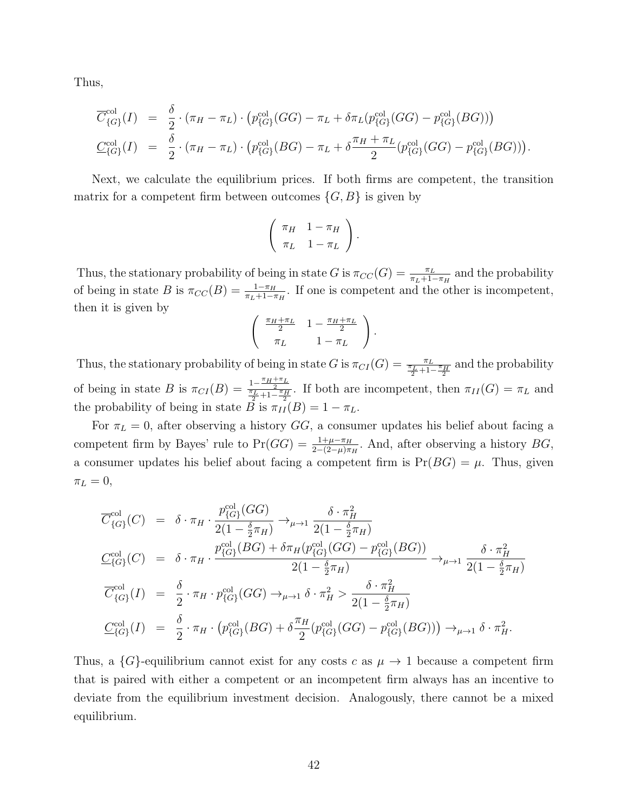Thus,

$$
\overline{C}_{\{G\}}^{\text{col}}(I) = \frac{\delta}{2} \cdot (\pi_H - \pi_L) \cdot (p_{\{G\}}^{\text{col}}(GG) - \pi_L + \delta \pi_L(p_{\{G\}}^{\text{col}}(GG) - p_{\{G\}}^{\text{col}}(BG)))
$$
\n
$$
\underline{C}_{\{G\}}^{\text{col}}(I) = \frac{\delta}{2} \cdot (\pi_H - \pi_L) \cdot (p_{\{G\}}^{\text{col}}(BG) - \pi_L + \delta \frac{\pi_H + \pi_L}{2} (p_{\{G\}}^{\text{col}}(GG) - p_{\{G\}}^{\text{col}}(BG))).
$$

Next, we calculate the equilibrium prices. If both firms are competent, the transition matrix for a competent firm between outcomes  $\{G, B\}$  is given by

$$
\left(\begin{array}{cc} \pi_H & 1-\pi_H \\ \pi_L & 1-\pi_L \end{array}\right).
$$

Thus, the stationary probability of being in state G is  $\pi_{CC}(G) = \frac{\pi_L}{\pi_L + 1 - \pi_H}$  and the probability of being in state B is  $\pi_{CC}(B) = \frac{1-\pi_H}{\pi_L+1-\pi_H}$ . If one is competent and the other is incompetent, then it is given by

$$
\begin{pmatrix}\n\frac{\pi_H + \pi_L}{2} & 1 - \frac{\pi_H + \pi_L}{2} \\
\pi_L & 1 - \pi_L\n\end{pmatrix}
$$

.

Thus, the stationary probability of being in state  $G$  is  $\pi_{CI}(G) = \frac{\pi_L}{\frac{\pi_L}{2} + 1 - \frac{\pi_H}{2}}$  and the probability of being in state B is  $\pi_{CI}(B) = \frac{1-\frac{\pi_H+\pi_L}{2}}{\frac{\pi_L}{2}+1-\frac{\pi_H}{2}}$ . If both are incompetent, then  $\pi_{II}(G) = \pi_L$  and the probability of being in state B is  $\pi_{II}(B) = 1 - \pi_L$ .

For  $\pi_L = 0$ , after observing a history GG, a consumer updates his belief about facing a competent firm by Bayes' rule to  $Pr(GG) = \frac{1+\mu-\pi_H}{2-(2-\mu)\pi_H}$ . And, after observing a history  $BG$ , a consumer updates his belief about facing a competent firm is  $Pr(BG) = \mu$ . Thus, given  $\pi_L = 0$ ,

$$
\overline{C}_{\{G\}}^{\text{col}}(C) = \delta \cdot \pi_H \cdot \frac{p_{\{G\}}^{\text{col}}(GG)}{2(1 - \frac{\delta}{2}\pi_H)} \to_{\mu \to 1} \frac{\delta \cdot \pi_H^2}{2(1 - \frac{\delta}{2}\pi_H)}
$$
\n
$$
\underline{C}_{\{G\}}^{\text{col}}(C) = \delta \cdot \pi_H \cdot \frac{p_{\{G\}}^{\text{col}}(BG) + \delta \pi_H(p_{\{G\}}^{\text{col}}(GG) - p_{\{G\}}^{\text{col}}(BG))}{2(1 - \frac{\delta}{2}\pi_H)} \to_{\mu \to 1} \frac{\delta \cdot \pi_H^2}{2(1 - \frac{\delta}{2}\pi_H)}
$$
\n
$$
\overline{C}_{\{G\}}^{\text{col}}(I) = \frac{\delta}{2} \cdot \pi_H \cdot p_{\{G\}}^{\text{col}}(GG) \to_{\mu \to 1} \delta \cdot \pi_H^2 > \frac{\delta \cdot \pi_H^2}{2(1 - \frac{\delta}{2}\pi_H)}
$$
\n
$$
\underline{C}_{\{G\}}^{\text{col}}(I) = \frac{\delta}{2} \cdot \pi_H \cdot (p_{\{G\}}^{\text{col}}(GG) + \delta \frac{\pi_H}{2}(p_{\{G\}}^{\text{col}}(GG) - p_{\{G\}}^{\text{col}}(BG)) \to_{\mu \to 1} \delta \cdot \pi_H^2.
$$

Thus, a  $\{G\}$ -equilibrium cannot exist for any costs c as  $\mu \to 1$  because a competent firm that is paired with either a competent or an incompetent firm always has an incentive to deviate from the equilibrium investment decision. Analogously, there cannot be a mixed equilibrium.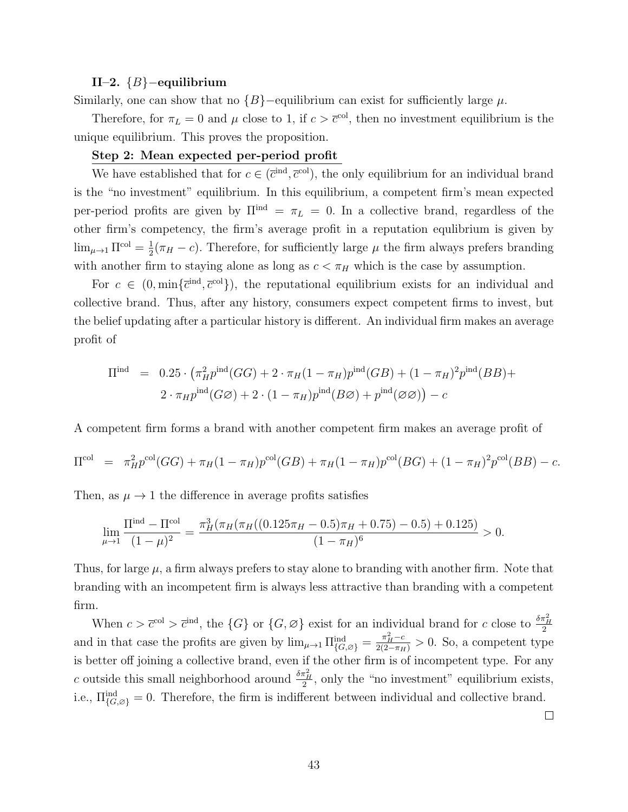#### II–2. {B}−equilibrium

Similarly, one can show that no  ${B}$  –equilibrium can exist for sufficiently large  $\mu$ .

Therefore, for  $\pi_L = 0$  and  $\mu$  close to 1, if  $c > \bar{c}^{col}$ , then no investment equilibrium is the unique equilibrium. This proves the proposition.

### Step 2: Mean expected per-period profit

We have established that for  $c \in (\overline{c}^{\text{ind}}, \overline{c}^{\text{col}})$ , the only equilibrium for an individual brand is the "no investment" equilibrium. In this equilibrium, a competent firm's mean expected per-period profits are given by  $\Pi^{\text{ind}} = \pi_L = 0$ . In a collective brand, regardless of the other firm's competency, the firm's average profit in a reputation equlibrium is given by  $\lim_{\mu\to 1} \Pi^{\rm col} = \frac{1}{2}$  $\frac{1}{2}(\pi_H - c)$ . Therefore, for sufficiently large  $\mu$  the firm always prefers branding with another firm to staying alone as long as  $c < \pi_H$  which is the case by assumption.

For  $c \in (0, \min\{\bar{c}^{\text{ind}}, \bar{c}^{\text{col}}\})$ , the reputational equilibrium exists for an individual and collective brand. Thus, after any history, consumers expect competent firms to invest, but the belief updating after a particular history is different. An individual firm makes an average profit of

$$
\Pi^{\text{ind}} = 0.25 \cdot (\pi_H^2 p^{\text{ind}}(GG) + 2 \cdot \pi_H (1 - \pi_H) p^{\text{ind}}(GB) + (1 - \pi_H)^2 p^{\text{ind}}(BB) + 2 \cdot \pi_H p^{\text{ind}}(GG) + 2 \cdot (1 - \pi_H) p^{\text{ind}}(B\varnothing) + p^{\text{ind}}(\varnothing \varnothing) - c
$$

A competent firm forms a brand with another competent firm makes an average profit of

$$
\Pi^{\text{col}} = \pi_H^2 p^{\text{col}}(GG) + \pi_H (1 - \pi_H) p^{\text{col}}(GB) + \pi_H (1 - \pi_H) p^{\text{col}}(BG) + (1 - \pi_H)^2 p^{\text{col}}(BB) - c.
$$

Then, as  $\mu \rightarrow 1$  the difference in average profits satisfies

$$
\lim_{\mu \to 1} \frac{\Pi^{\text{ind}} - \Pi^{\text{col}}}{(1 - \mu)^2} = \frac{\pi_H^3 (\pi_H (\pi_H ((0.125\pi_H - 0.5)\pi_H + 0.75) - 0.5) + 0.125)}{(1 - \pi_H)^6} > 0.
$$

Thus, for large  $\mu$ , a firm always prefers to stay alone to branding with another firm. Note that branding with an incompetent firm is always less attractive than branding with a competent firm.

When  $c > \bar{c}^{\text{col}} > \bar{c}^{\text{ind}}$ , the  $\{G\}$  or  $\{G, \varnothing\}$  exist for an individual brand for c close to  $\frac{\delta \pi_H^2}{2}$ and in that case the profits are given by  $\lim_{\mu \to 1} \prod_{\{G, \varnothing\}}^{\text{ind}} = \frac{\pi_H^2 - c}{2(2 - \pi_H)} > 0$ . So, a competent type is better off joining a collective brand, even if the other firm is of incompetent type. For any c outside this small neighborhood around  $\frac{\delta \pi_H^2}{2}$ , only the "no investment" equilibrium exists, i.e.,  $\Pi_{\{G,\emptyset\}}^{\text{ind}} = 0$ . Therefore, the firm is indifferent between individual and collective brand.

 $\Box$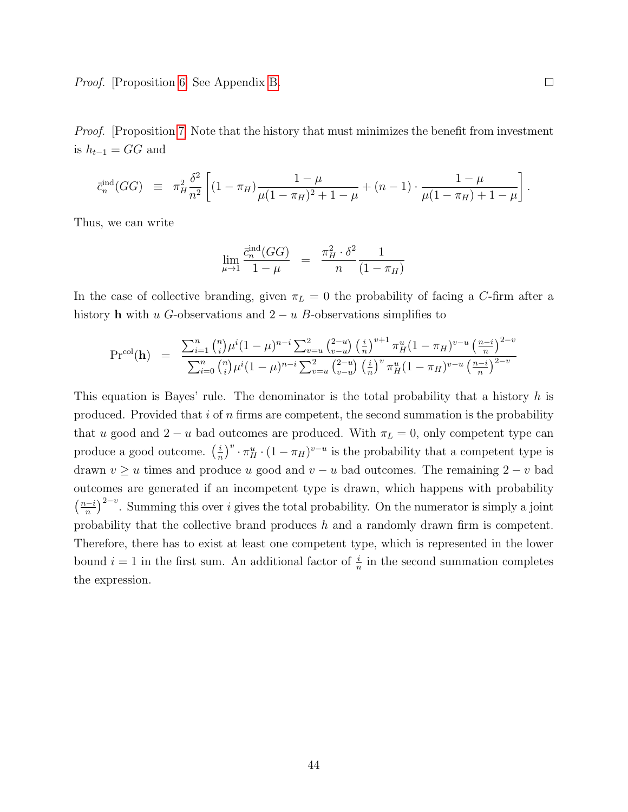Proof. [Proposition [6\]](#page-23-2) See Appendix [B.](#page-46-0)

*Proof.* [Proposition [7\]](#page-25-1) Note that the history that must minimizes the benefit from investment is  $h_{t-1} = GG$  and

$$
\bar{c}_n^{\text{ind}}(GG) \equiv \pi_H^2 \frac{\delta^2}{n^2} \left[ (1 - \pi_H) \frac{1 - \mu}{\mu (1 - \pi_H)^2 + 1 - \mu} + (n - 1) \cdot \frac{1 - \mu}{\mu (1 - \pi_H) + 1 - \mu} \right].
$$

Thus, we can write

$$
\lim_{\mu \to 1} \frac{\bar{c}_n^{\text{ind}}(GG)}{1 - \mu} = \frac{\pi_H^2 \cdot \delta^2}{n} \frac{1}{(1 - \pi_H)}
$$

In the case of collective branding, given  $\pi_L = 0$  the probability of facing a C-firm after a history h with u G-observations and  $2 - u$  B-observations simplifies to

$$
\Pr^{\text{col}}(\mathbf{h}) = \frac{\sum_{i=1}^{n} {n \choose i} \mu^{i} (1-\mu)^{n-i} \sum_{v=u}^{2} {2-u \choose v-u} \left(\frac{i}{n}\right)^{v+1} \pi_{H}^{u} (1-\pi_{H})^{v-u} \left(\frac{n-i}{n}\right)^{2-v}}{\sum_{i=0}^{n} {n \choose i} \mu^{i} (1-\mu)^{n-i} \sum_{v=u}^{2} {2-u \choose v-u} \left(\frac{i}{n}\right)^{v} \pi_{H}^{u} (1-\pi_{H})^{v-u} \left(\frac{n-i}{n}\right)^{2-v}}
$$

This equation is Bayes' rule. The denominator is the total probability that a history  $h$  is produced. Provided that  $i$  of  $n$  firms are competent, the second summation is the probability that u good and  $2 - u$  bad outcomes are produced. With  $\pi_L = 0$ , only competent type can produce a good outcome.  $\left(\frac{i}{n}\right)$  $\frac{i}{n}$ )<sup>v</sup> $\cdot \pi_H^u \cdot (1 - \pi_H)^{v-u}$  is the probability that a competent type is drawn  $v \geq u$  times and produce u good and  $v - u$  bad outcomes. The remaining  $2 - v$  bad outcomes are generated if an incompetent type is drawn, which happens with probability  $\left(\frac{n-i}{n}\right)$  $\frac{(-i)}{n}$ <sup>2-v</sup>. Summing this over i gives the total probability. On the numerator is simply a joint probability that the collective brand produces h and a randomly drawn firm is competent. Therefore, there has to exist at least one competent type, which is represented in the lower bound  $i = 1$  in the first sum. An additional factor of  $\frac{i}{n}$  in the second summation completes the expression.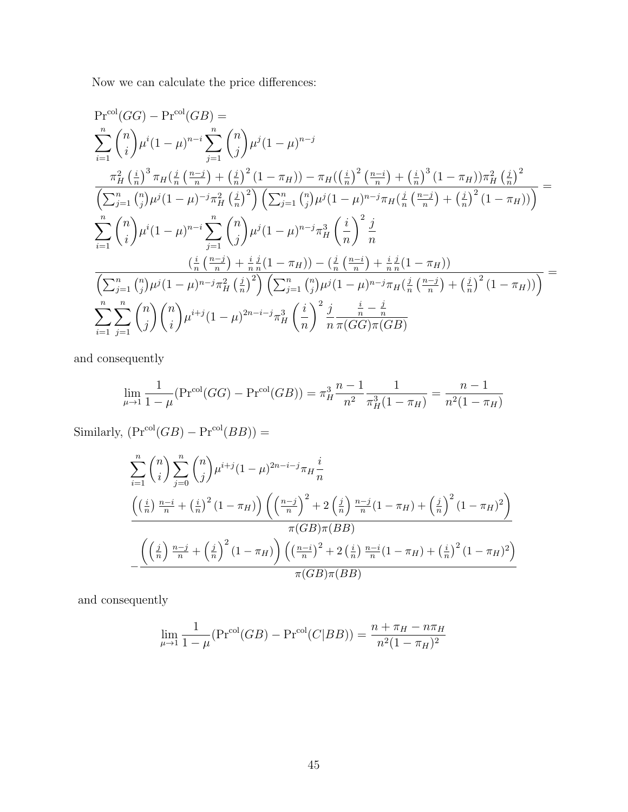Now we can calculate the price differences:

$$
\Pr^{\text{col}}(GG) - \Pr^{\text{col}}(GB) =
$$
\n
$$
\sum_{i=1}^{n} {n \choose i} \mu^{i} (1 - \mu)^{n-i} \sum_{j=1}^{n} {n \choose j} \mu^{j} (1 - \mu)^{n-j}
$$
\n
$$
\frac{\pi_{H}^{2} (\frac{i}{n})^{3} \pi_{H} (\frac{j}{n} (\frac{n-j}{n}) + (\frac{j}{n})^{2} (1 - \pi_{H})) - \pi_{H} ((\frac{i}{n})^{2} (\frac{n-i}{n}) + (\frac{i}{n})^{3} (1 - \pi_{H})) \pi_{H}^{2} (\frac{j}{n})^{2}}{\left(\sum_{j=1}^{n} {n \choose j} \mu^{j} (1 - \mu)^{-j} \pi_{H}^{2} (\frac{j}{n})^{2}\right) \left(\sum_{j=1}^{n} {n \choose j} \mu^{j} (1 - \mu)^{n-j} \pi_{H} (\frac{j}{n} (\frac{n-j}{n}) + (\frac{j}{n})^{2} (1 - \pi_{H}))\right)} =
$$
\n
$$
\sum_{i=1}^{n} {n \choose i} \mu^{i} (1 - \mu)^{n-i} \sum_{j=1}^{n} {n \choose j} \mu^{j} (1 - \mu)^{n-j} \pi_{H}^{3} (\frac{i}{n})^{2} \frac{j}{n}
$$
\n
$$
\frac{(\frac{i}{n} (\frac{n-j}{n}) + \frac{i}{n} \mu^{j} (1 - \pi_{H})) - (\frac{j}{n} (\frac{n-i}{n}) + \frac{i}{n} \mu^{j} (1 - \pi_{H}))}{\left(\sum_{j=1}^{n} {n \choose j} \mu^{j} (1 - \mu)^{n-j} \pi_{H}^{2} (\frac{j}{n})^{2}\right) \left(\sum_{j=1}^{n} {n \choose j} \mu^{j} (1 - \mu)^{n-j} \pi_{H} (\frac{j}{n} (\frac{n-j}{n}) + (\frac{j}{n})^{2} (1 - \pi_{H}))\right)}
$$
\n
$$
\sum_{i=1}^{n} \sum_{j=1}^{n} {n \choose j} {n \choose i} \mu^{i+j} (1 - \mu)^{2n-i-j} \pi_{H}^{3} (\frac{i}{n})^{2} \frac{j}{n} \frac{\frac{i}{n} - \frac{j}{n}}{\pi(GG)\pi(GB)}
$$

and consequently

$$
\lim_{\mu \to 1} \frac{1}{1 - \mu} (\Pr^{\text{col}}(GG) - \Pr^{\text{col}}(GB)) = \pi_H^3 \frac{n - 1}{n^2} \frac{1}{\pi_H^3 (1 - \pi_H)} = \frac{n - 1}{n^2 (1 - \pi_H)}
$$

Similarly,  $(\mathrm{Pr}^{\mathrm{col}}(GB) - \mathrm{Pr}^{\mathrm{col}}(BB)) =$ 

$$
\sum_{i=1}^{n} {n \choose i} \sum_{j=0}^{n} {n \choose j} \mu^{i+j} (1-\mu)^{2n-i-j} \pi_H \frac{i}{n}
$$
  

$$
\frac{\left( \left(\frac{i}{n}\right) \frac{n-i}{n} + \left(\frac{i}{n}\right)^2 (1-\pi_H) \right) \left( \left(\frac{n-j}{n}\right)^2 + 2\left(\frac{j}{n}\right) \frac{n-j}{n} (1-\pi_H) + \left(\frac{j}{n}\right)^2 (1-\pi_H)^2 \right)}{\pi (GB) \pi (BB)}
$$
  

$$
-\frac{\left( \left(\frac{j}{n}\right) \frac{n-j}{n} + \left(\frac{j}{n}\right)^2 (1-\pi_H) \right) \left( \left(\frac{n-i}{n}\right)^2 + 2\left(\frac{i}{n}\right) \frac{n-i}{n} (1-\pi_H) + \left(\frac{i}{n}\right)^2 (1-\pi_H)^2 \right)}{\pi (GB) \pi (BB)}
$$

and consequently

$$
\lim_{\mu \to 1} \frac{1}{1 - \mu} (\Pr^{\text{col}}(GB) - \Pr^{\text{col}}(C|BB)) = \frac{n + \pi_H - n\pi_H}{n^2 (1 - \pi_H)^2}
$$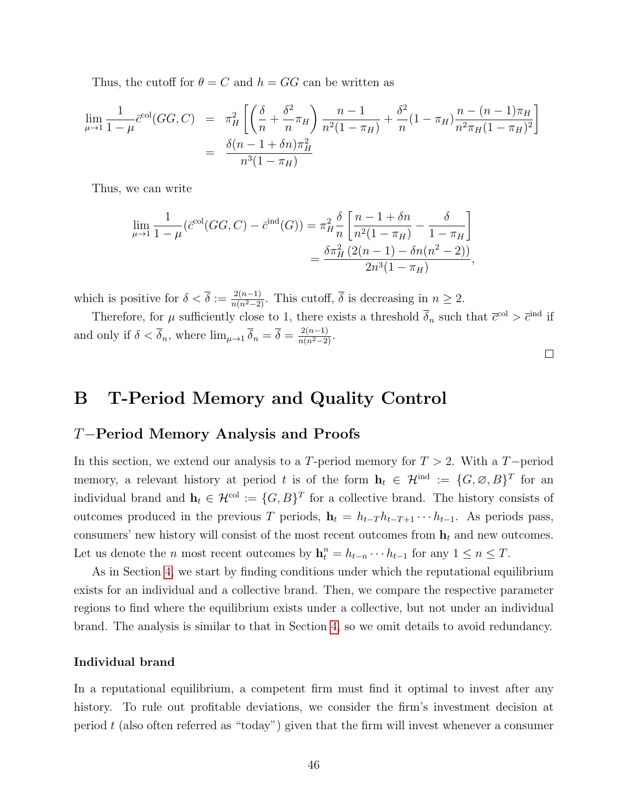Thus, the cutoff for  $\theta = C$  and  $h = GG$  can be written as

$$
\lim_{\mu \to 1} \frac{1}{1 - \mu} \bar{c}^{\text{col}}(GG, C) = \pi_H^2 \left[ \left( \frac{\delta}{n} + \frac{\delta^2}{n} \pi_H \right) \frac{n - 1}{n^2 (1 - \pi_H)} + \frac{\delta^2}{n} (1 - \pi_H) \frac{n - (n - 1)\pi_H}{n^2 \pi_H (1 - \pi_H)^2} \right]
$$
\n
$$
= \frac{\delta(n - 1 + \delta n) \pi_H^2}{n^3 (1 - \pi_H)}
$$

Thus, we can write

$$
\lim_{\mu \to 1} \frac{1}{1 - \mu} (\bar{c}^{col}(GG, C) - \bar{c}^{ind}(G)) = \pi_H^2 \frac{\delta}{n} \left[ \frac{n - 1 + \delta n}{n^2 (1 - \pi_H)} - \frac{\delta}{1 - \pi_H} \right]
$$

$$
= \frac{\delta \pi_H^2 (2(n - 1) - \delta n (n^2 - 2))}{2n^3 (1 - \pi_H)},
$$

which is positive for  $\delta < \overline{\delta} := \frac{2(n-1)}{n(n^2-2)}$ . This cutoff,  $\overline{\delta}$  is decreasing in  $n \geq 2$ .

Therefore, for  $\mu$  sufficiently close to 1, there exists a threshold  $\overline{\delta}_n$  such that  $\overline{c}^{\text{col}} > \overline{c}^{\text{ind}}$  if and only if  $\delta < \overline{\delta}_n$ , where  $\lim_{\mu \to 1} \overline{\delta}_n = \overline{\delta} = \frac{2(n-1)}{n(n^2-2)}$ .

 $\Box$ 

# <span id="page-46-0"></span>B T-Period Memory and Quality Control

## T−Period Memory Analysis and Proofs

In this section, we extend our analysis to a T-period memory for  $T > 2$ . With a T-period memory, a relevant history at period t is of the form  $\mathbf{h}_t \in \mathcal{H}^{\text{ind}} := \{G, \emptyset, B\}^T$  for an individual brand and  $\mathbf{h}_t \in \mathcal{H}^{\text{col}} := \{G, B\}^T$  for a collective brand. The history consists of outcomes produced in the previous T periods,  $\mathbf{h}_t = h_{t-T} h_{t-T+1} \cdots h_{t-1}$ . As periods pass, consumers' new history will consist of the most recent outcomes from  $\mathbf{h}_t$  and new outcomes. Let us denote the *n* most recent outcomes by  $\mathbf{h}_t^n = h_{t-n} \cdots h_{t-1}$  for any  $1 \le n \le T$ .

As in Section [4,](#page-12-0) we start by finding conditions under which the reputational equilibrium exists for an individual and a collective brand. Then, we compare the respective parameter regions to find where the equilibrium exists under a collective, but not under an individual brand. The analysis is similar to that in Section [4,](#page-12-0) so we omit details to avoid redundancy.

### Individual brand

In a reputational equilibrium, a competent firm must find it optimal to invest after any history. To rule out profitable deviations, we consider the firm's investment decision at period  $t$  (also often referred as "today") given that the firm will invest whenever a consumer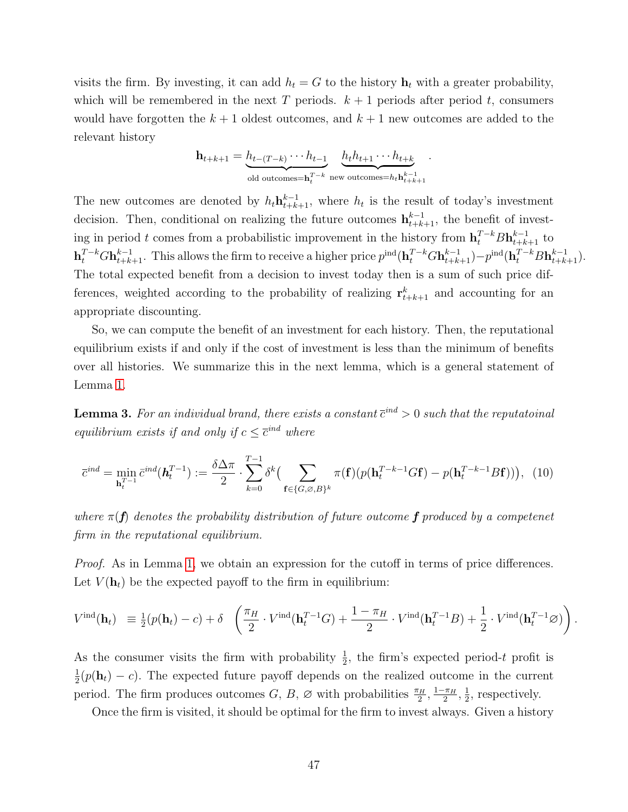visits the firm. By investing, it can add  $h_t = G$  to the history  $\mathbf{h}_t$  with a greater probability, which will be remembered in the next T periods.  $k + 1$  periods after period t, consumers would have forgotten the  $k+1$  oldest outcomes, and  $k+1$  new outcomes are added to the relevant history

$$
\mathbf{h}_{t+k+1} = \underbrace{h_{t-(T-k)} \cdots h_{t-1}}_{\text{old outcomes}=\mathbf{h}_t^{T-k}} \underbrace{h_t h_{t+1} \cdots h_{t+k}}_{\text{new outcomes}=\mathbf{h}_t \mathbf{h}_{t+k+1}^{k-1}}
$$

.

The new outcomes are denoted by  $h_t \mathbf{h}_{t+k+1}^{k-1}$ , where  $h_t$  is the result of today's investment decision. Then, conditional on realizing the future outcomes  $\mathbf{h}_{t+k+1}^{k-1}$ , the benefit of investing in period t comes from a probabilistic improvement in the history from  $\mathbf{h}_t^{T-k} B \mathbf{h}_{t+k+1}^{k-1}$  to  $\mathbf{h}_t^{T-k} G \mathbf{h}_{t+k+1}^{k-1}$ . This allows the firm to receive a higher price  $p^{\text{ind}}(\mathbf{h}_t^{T-k} G \mathbf{h}_{t+k+1}^{k-1}) - p^{\text{ind}}(\mathbf{h}_t^{T-k} B \mathbf{h}_{t+k+1}^{k-1})$ . The total expected benefit from a decision to invest today then is a sum of such price differences, weighted according to the probability of realizing  $\mathbf{r}_{t+k+1}^k$  and accounting for an appropriate discounting.

So, we can compute the benefit of an investment for each history. Then, the reputational equilibrium exists if and only if the cost of investment is less than the minimum of benefits over all histories. We summarize this in the next lemma, which is a general statement of Lemma [1.](#page-13-0)

<span id="page-47-1"></span>**Lemma 3.** For an individual brand, there exists a constant  $\overline{c}^{ind} > 0$  such that the reputatoinal equilibrium exists if and only if  $c \leq \overline{c}^{ind}$  where

<span id="page-47-0"></span>
$$
\overline{c}^{ind} = \min_{\mathbf{h}_t^{T-1}} \overline{c}^{ind}(\mathbf{h}_t^{T-1}) := \frac{\delta \Delta \pi}{2} \cdot \sum_{k=0}^{T-1} \delta^k \Big( \sum_{\mathbf{f} \in \{G, \varnothing, B\}^k} \pi(\mathbf{f}) \big( p(\mathbf{h}_t^{T-k-1} G \mathbf{f}) - p(\mathbf{h}_t^{T-k-1} B \mathbf{f}) \big) \Big), \tag{10}
$$

where  $\pi(f)$  denotes the probability distribution of future outcome f produced by a competenet firm in the reputational equilibrium.

Proof. As in Lemma [1,](#page-13-0) we obtain an expression for the cutoff in terms of price differences. Let  $V(\mathbf{h}_t)$  be the expected payoff to the firm in equilibrium:

$$
V^{\text{ind}}(\mathbf{h}_t) \equiv \frac{1}{2}(p(\mathbf{h}_t) - c) + \delta \left( \frac{\pi_H}{2} \cdot V^{\text{ind}}(\mathbf{h}_t^{T-1}G) + \frac{1 - \pi_H}{2} \cdot V^{\text{ind}}(\mathbf{h}_t^{T-1}B) + \frac{1}{2} \cdot V^{\text{ind}}(\mathbf{h}_t^{T-1}\varnothing) \right).
$$

As the consumer visits the firm with probability  $\frac{1}{2}$ , the firm's expected period-t profit is 1  $\frac{1}{2}(p(\mathbf{h}_t) - c)$ . The expected future payoff depends on the realized outcome in the current period. The firm produces outcomes  $G, B, \varnothing$  with probabilities  $\frac{\pi_H}{2}, \frac{1-\pi_H}{2}$  $\frac{\pi_H}{2}, \frac{1}{2}$  $\frac{1}{2}$ , respectively.

Once the firm is visited, it should be optimal for the firm to invest always. Given a history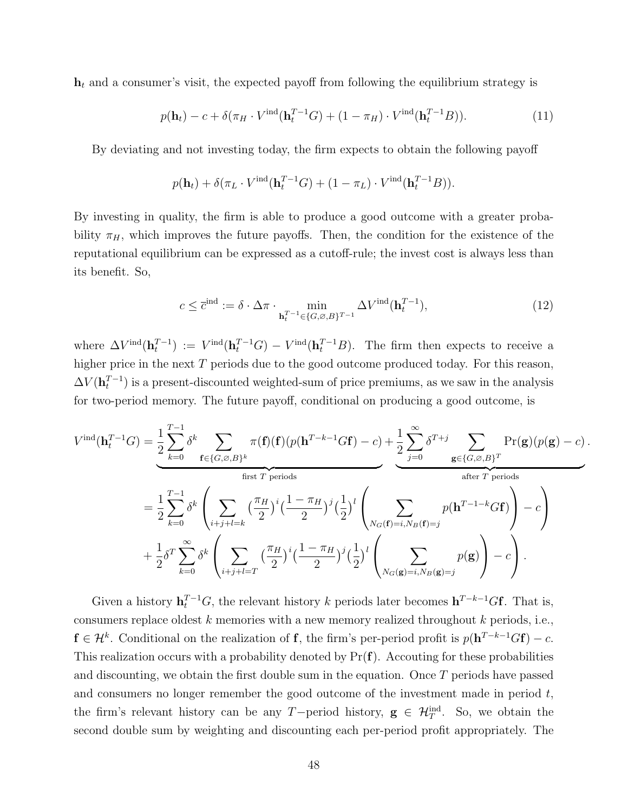$h_t$  and a consumer's visit, the expected payoff from following the equilibrium strategy is

$$
p(\mathbf{h}_t) - c + \delta(\pi_H \cdot V^{\text{ind}}(\mathbf{h}_t^{T-1}G) + (1 - \pi_H) \cdot V^{\text{ind}}(\mathbf{h}_t^{T-1}B)).
$$
\n(11)

By deviating and not investing today, the firm expects to obtain the following payoff

$$
p(\mathbf{h}_t) + \delta(\pi_L \cdot V^{\text{ind}}(\mathbf{h}_t^{T-1}G) + (1 - \pi_L) \cdot V^{\text{ind}}(\mathbf{h}_t^{T-1}B)).
$$

By investing in quality, the firm is able to produce a good outcome with a greater probability  $\pi_H$ , which improves the future payoffs. Then, the condition for the existence of the reputational equilibrium can be expressed as a cutoff-rule; the invest cost is always less than its benefit. So,

<span id="page-48-0"></span>
$$
c \leq \overline{c}^{\text{ind}} := \delta \cdot \Delta \pi \cdot \min_{\mathbf{h}_t^{T-1} \in \{G, \emptyset, B\}^{T-1}} \Delta V^{\text{ind}}(\mathbf{h}_t^{T-1}), \tag{12}
$$

where  $\Delta V^{\text{ind}}(\mathbf{h}_t^{T-1}) := V^{\text{ind}}(\mathbf{h}_t^{T-1}G) - V^{\text{ind}}(\mathbf{h}_t^{T-1}B)$ . The firm then expects to receive a higher price in the next  $T$  periods due to the good outcome produced today. For this reason,  $\Delta V(\mathbf{h}_t^{T-1})$  is a present-discounted weighted-sum of price premiums, as we saw in the analysis for two-period memory. The future payoff, conditional on producing a good outcome, is

$$
V^{\text{ind}}(\mathbf{h}_{t}^{T-1}G) = \frac{1}{2} \sum_{k=0}^{T-1} \delta^{k} \sum_{\mathbf{f} \in \{G, \varnothing, B\}^{k}} \pi(\mathbf{f})(\mathbf{f})(p(\mathbf{h}^{T-k-1}G\mathbf{f}) - c) + \frac{1}{2} \sum_{j=0}^{\infty} \delta^{T+j} \sum_{\mathbf{g} \in \{G, \varnothing, B\}^{T}} \Pr(\mathbf{g})(p(\mathbf{g}) - c).
$$
  
\nfirst *T* periods  
\n
$$
= \frac{1}{2} \sum_{k=0}^{T-1} \delta^{k} \left( \sum_{i+j+l=k} \left( \frac{\pi_{H}}{2} \right)^{i} \left( \frac{1 - \pi_{H}}{2} \right)^{j} \left( \frac{1}{2} \right)^{l} \left( \sum_{N_{G}(\mathbf{f})=i, N_{B}(\mathbf{f})=j} p(\mathbf{h}^{T-1-k}G\mathbf{f}) \right) - c \right)
$$
  
\n
$$
+ \frac{1}{2} \delta^{T} \sum_{k=0}^{\infty} \delta^{k} \left( \sum_{i+j+l=T} \left( \frac{\pi_{H}}{2} \right)^{i} \left( \frac{1 - \pi_{H}}{2} \right)^{j} \left( \frac{1}{2} \right)^{l} \left( \sum_{N_{G}(\mathbf{g})=i, N_{B}(\mathbf{g})=j} p(\mathbf{g}) \right) - c \right).
$$

Given a history  $\mathbf{h}_t^{T-1}G$ , the relevant history k periods later becomes  $\mathbf{h}^{T-k-1}G\mathbf{f}$ . That is, consumers replace oldest  $k$  memories with a new memory realized throughout  $k$  periods, i.e.,  $f \in \mathcal{H}^k$ . Conditional on the realization of f, the firm's per-period profit is  $p(\mathbf{h}^{T-k-1}G\mathbf{f}) - c$ . This realization occurs with a probability denoted by  $Pr(f)$ . Accouting for these probabilities and discounting, we obtain the first double sum in the equation. Once T periods have passed and consumers no longer remember the good outcome of the investment made in period  $t$ , the firm's relevant history can be any T-period history,  $g \in \mathcal{H}_T^{\text{ind}}$ . So, we obtain the second double sum by weighting and discounting each per-period profit appropriately. The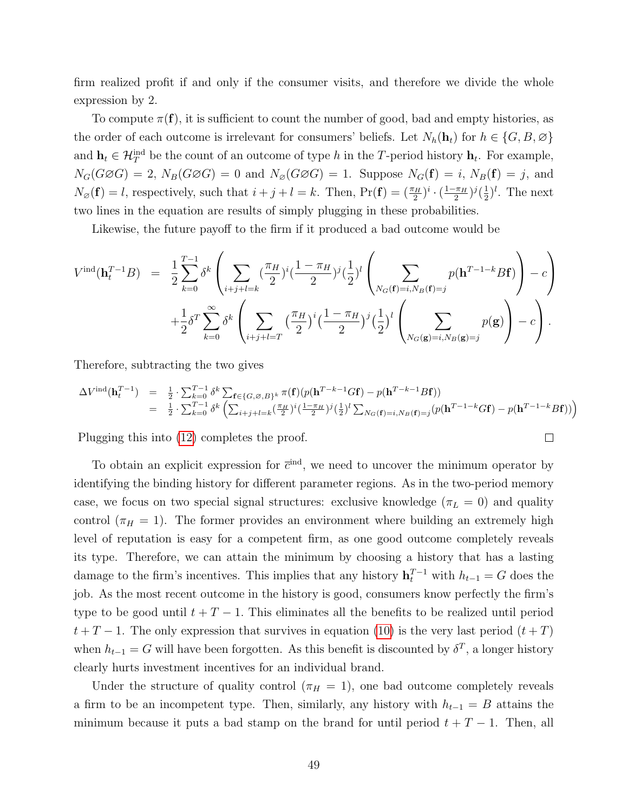firm realized profit if and only if the consumer visits, and therefore we divide the whole expression by 2.

To compute  $\pi(\mathbf{f})$ , it is sufficient to count the number of good, bad and empty histories, as the order of each outcome is irrelevant for consumers' beliefs. Let  $N_h(\mathbf{h}_t)$  for  $h \in \{G, B, \emptyset\}$ and  $\mathbf{h}_t \in \mathcal{H}_T^{\text{ind}}$  be the count of an outcome of type h in the T-period history  $\mathbf{h}_t$ . For example,  $N_G(G \oslash G) = 2$ ,  $N_B(G \oslash G) = 0$  and  $N_{\oslash}(G \oslash G) = 1$ . Suppose  $N_G(f) = i$ ,  $N_B(f) = j$ , and  $N_{\varnothing}(\mathbf{f}) = l$ , respectively, such that  $i + j + l = k$ . Then,  $\Pr(\mathbf{f}) = \left(\frac{\pi_H}{2}\right)^i \cdot \left(\frac{1 - \pi_H}{2}\right)^i$  $(\frac{\pi_H}{2})^j(\frac{1}{2})$  $(\frac{1}{2})^l$ . The next two lines in the equation are results of simply plugging in these probabilities.

Likewise, the future payoff to the firm if it produced a bad outcome would be

$$
V^{\text{ind}}(\mathbf{h}_{t}^{T-1}B) = \frac{1}{2} \sum_{k=0}^{T-1} \delta^{k} \left( \sum_{i+j+l=k} (\frac{\pi_{H}}{2})^{i} (\frac{1-\pi_{H}}{2})^{j} (\frac{1}{2})^{l} \left( \sum_{N_{G}(\mathbf{f})=i, N_{B}(\mathbf{f})=j} p(\mathbf{h}^{T-1-k} B \mathbf{f}) \right) - c \right) + \frac{1}{2} \delta^{T} \sum_{k=0}^{\infty} \delta^{k} \left( \sum_{i+j+l=T} (\frac{\pi_{H}}{2})^{i} (\frac{1-\pi_{H}}{2})^{j} (\frac{1}{2})^{l} \left( \sum_{N_{G}(\mathbf{g})=i, N_{B}(\mathbf{g})=j} p(\mathbf{g}) \right) - c \right).
$$

Therefore, subtracting the two gives

<span id="page-49-0"></span>
$$
\Delta V^{\text{ind}}(\mathbf{h}_{t}^{T-1}) = \frac{1}{2} \cdot \sum_{k=0}^{T-1} \delta^{k} \sum_{\mathbf{f} \in \{G, \varnothing, B\}^{k}} \pi(\mathbf{f}) (p(\mathbf{h}^{T-k-1} G \mathbf{f}) - p(\mathbf{h}^{T-k-1} B \mathbf{f}))
$$
  
\n
$$
= \frac{1}{2} \cdot \sum_{k=0}^{T-1} \delta^{k} \left( \sum_{i+j+l=k}^{\infty} \frac{\pi_{H}}{2} \right)^{i} \left( \frac{1-\pi_{H}}{2} \right)^{j} \left( \frac{1}{2} \right)^{l} \sum_{N_{G}(\mathbf{f})=i, N_{B}(\mathbf{f})=j} (p(\mathbf{h}^{T-1-k} G \mathbf{f}) - p(\mathbf{h}^{T-1-k} B \mathbf{f})) \right)
$$

 $\Box$ 

Plugging this into [\(12\)](#page-48-0) completes the proof.

To obtain an explicit expression for  $\bar{c}^{\text{ind}}$ , we need to uncover the minimum operator by identifying the binding history for different parameter regions. As in the two-period memory case, we focus on two special signal structures: exclusive knowledge ( $\pi_L = 0$ ) and quality control ( $\pi_H = 1$ ). The former provides an environment where building an extremely high level of reputation is easy for a competent firm, as one good outcome completely reveals its type. Therefore, we can attain the minimum by choosing a history that has a lasting damage to the firm's incentives. This implies that any history  $\mathbf{h}_t^{T-1}$  with  $h_{t-1} = G$  does the job. As the most recent outcome in the history is good, consumers know perfectly the firm's type to be good until  $t + T - 1$ . This eliminates all the benefits to be realized until period  $t + T - 1$ . The only expression that survives in equation [\(10\)](#page-47-0) is the very last period  $(t + T)$ when  $h_{t-1} = G$  will have been forgotten. As this benefit is discounted by  $\delta^T$ , a longer history clearly hurts investment incentives for an individual brand.

Under the structure of quality control ( $\pi_H = 1$ ), one bad outcome completely reveals a firm to be an incompetent type. Then, similarly, any history with  $h_{t-1} = B$  attains the minimum because it puts a bad stamp on the brand for until period  $t + T - 1$ . Then, all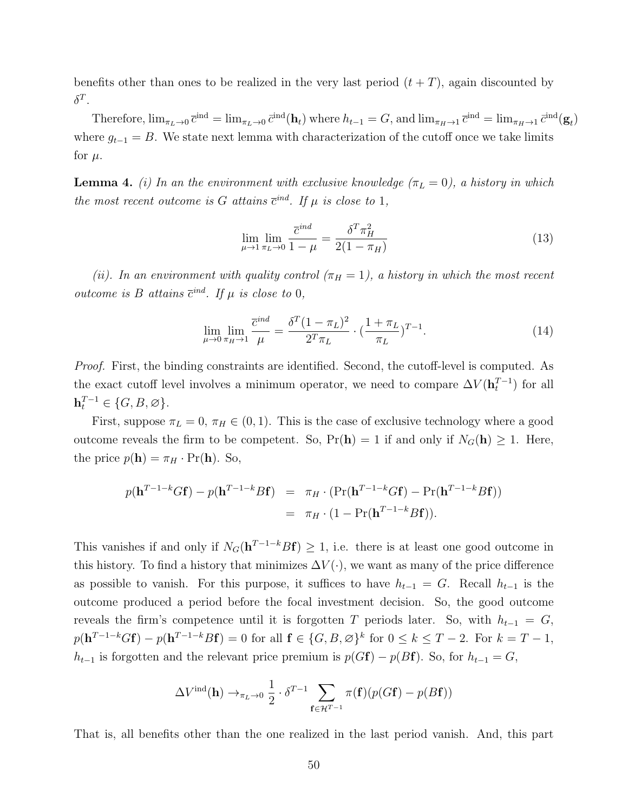benefits other than ones to be realized in the very last period  $(t + T)$ , again discounted by  $\delta^T$ .

Therefore,  $\lim_{\pi_L \to 0} \bar{c}^{\text{ind}} = \lim_{\pi_L \to 0} \bar{c}^{\text{ind}}(\mathbf{h}_t)$  where  $h_{t-1} = G$ , and  $\lim_{\pi_H \to 1} \bar{c}^{\text{ind}} = \lim_{\pi_H \to 1} \bar{c}^{\text{ind}}(\mathbf{g}_t)$ where  $g_{t-1} = B$ . We state next lemma with characterization of the cutoff once we take limits for  $\mu$ .

**Lemma 4.** (i) In an the environment with exclusive knowledge  $(\pi_L = 0)$ , a history in which the most recent outcome is G attains  $\bar{c}^{ind}$ . If  $\mu$  is close to 1,

$$
\lim_{\mu \to 1} \lim_{\pi_L \to 0} \frac{\bar{c}^{ind}}{1 - \mu} = \frac{\delta^T \pi_H^2}{2(1 - \pi_H)}
$$
\n(13)

(ii). In an environment with quality control  $(\pi_H = 1)$ , a history in which the most recent outcome is B attains  $\bar{c}^{ind}$ . If  $\mu$  is close to 0,

<span id="page-50-0"></span>
$$
\lim_{\mu \to 0} \lim_{\pi_H \to 1} \frac{\overline{c}^{ind}}{\mu} = \frac{\delta^T (1 - \pi_L)^2}{2^T \pi_L} \cdot \left(\frac{1 + \pi_L}{\pi_L}\right)^{T - 1}.
$$
\n(14)

Proof. First, the binding constraints are identified. Second, the cutoff-level is computed. As the exact cutoff level involves a minimum operator, we need to compare  $\Delta V(\mathbf{h}_t^{T-1})$  for all  $\mathbf{h}_t^{T-1} \in \{G, B, \varnothing\}.$ 

First, suppose  $\pi_L = 0$ ,  $\pi_H \in (0, 1)$ . This is the case of exclusive technology where a good outcome reveals the firm to be competent. So,  $Pr(h) = 1$  if and only if  $N_G(h) \ge 1$ . Here, the price  $p(\mathbf{h}) = \pi_H \cdot \Pr(\mathbf{h})$ . So,

$$
p(\mathbf{h}^{T-1-k}G\mathbf{f}) - p(\mathbf{h}^{T-1-k}B\mathbf{f}) = \pi_H \cdot (\Pr(\mathbf{h}^{T-1-k}G\mathbf{f}) - \Pr(\mathbf{h}^{T-1-k}B\mathbf{f}))
$$
  
=  $\pi_H \cdot (1 - \Pr(\mathbf{h}^{T-1-k}B\mathbf{f})).$ 

This vanishes if and only if  $N_G(h^{T-1-k}Bf) \geq 1$ , i.e. there is at least one good outcome in this history. To find a history that minimizes  $\Delta V(\cdot)$ , we want as many of the price difference as possible to vanish. For this purpose, it suffices to have  $h_{t-1} = G$ . Recall  $h_{t-1}$  is the outcome produced a period before the focal investment decision. So, the good outcome reveals the firm's competence until it is forgotten T periods later. So, with  $h_{t-1} = G$ ,  $p(\mathbf{h}^{T-1-k}G\mathbf{f}) - p(\mathbf{h}^{T-1-k}B\mathbf{f}) = 0$  for all  $\mathbf{f} \in \{G, B, \varnothing\}^k$  for  $0 \leq k \leq T-2$ . For  $k = T-1$ ,  $h_{t-1}$  is forgotten and the relevant price premium is  $p(Gf) - p(Bf)$ . So, for  $h_{t-1} = G$ ,

$$
\Delta V^{\text{ind}}(\mathbf{h}) \rightarrow_{\pi_L \to 0} \frac{1}{2} \cdot \delta^{T-1} \sum_{\mathbf{f} \in \mathcal{H}^{T-1}} \pi(\mathbf{f})(p(G\mathbf{f}) - p(B\mathbf{f}))
$$

That is, all benefits other than the one realized in the last period vanish. And, this part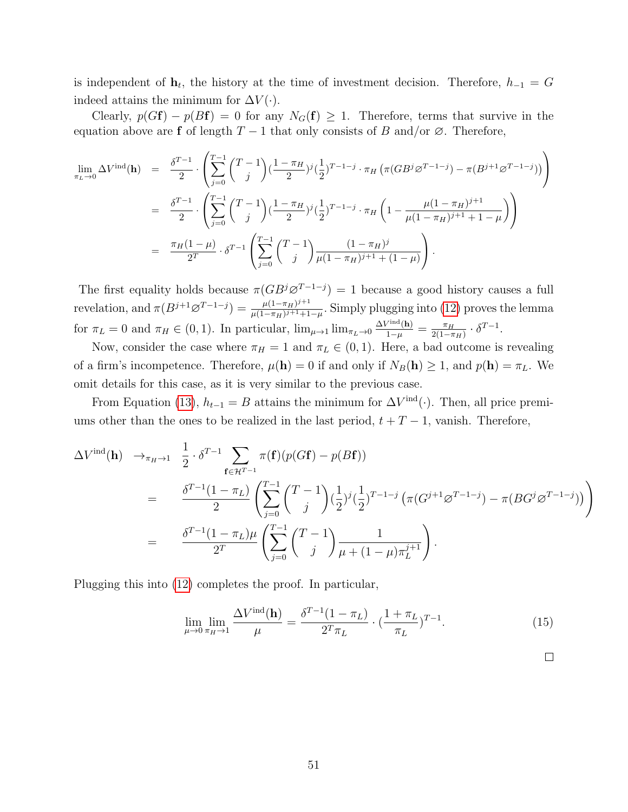is independent of  $\mathbf{h}_t$ , the history at the time of investment decision. Therefore,  $h_{-1} = G$ indeed attains the minimum for  $\Delta V(\cdot)$ .

Clearly,  $p(Gf) - p(Bf) = 0$  for any  $N_G(f) \geq 1$ . Therefore, terms that survive in the equation above are f of length  $T-1$  that only consists of B and/or  $\emptyset$ . Therefore,

$$
\lim_{\pi_L \to 0} \Delta V^{\text{ind}}(\mathbf{h}) = \frac{\delta^{T-1}}{2} \cdot \left( \sum_{j=0}^{T-1} {T-1 \choose j} (\frac{1-\pi_H}{2})^j (\frac{1}{2})^{T-1-j} \cdot \pi_H \left( \pi (GB^j \varnothing^{T-1-j}) - \pi (B^{j+1} \varnothing^{T-1-j}) \right) \right)
$$
\n
$$
= \frac{\delta^{T-1}}{2} \cdot \left( \sum_{j=0}^{T-1} {T-1 \choose j} (\frac{1-\pi_H}{2})^j (\frac{1}{2})^{T-1-j} \cdot \pi_H \left( 1 - \frac{\mu (1-\pi_H)^{j+1}}{\mu (1-\pi_H)^{j+1}+1-\mu} \right) \right)
$$
\n
$$
= \frac{\pi_H (1-\mu)}{2^T} \cdot \delta^{T-1} \left( \sum_{j=0}^{T-1} {T-1 \choose j} \frac{(1-\pi_H)^j}{\mu (1-\pi_H)^{j+1}+(1-\mu)} \right).
$$

The first equality holds because  $\pi(GB^j\varnothing^{T-1-j})=1$  because a good history causes a full revelation, and  $\pi(B^{j+1}\varnothing^{T-1-j}) = \frac{\mu(1-\pi_H)^{j+1}}{\mu(1-\pi_H)^{j+1}+1}$  $\frac{\mu(1-\pi_H)^{j+1}}{\mu(1-\pi_H)^{j+1}+1-\mu}$ . Simply plugging into [\(12\)](#page-48-0) proves the lemma for  $\pi_L = 0$  and  $\pi_H \in (0, 1)$ . In particular,  $\lim_{\mu \to 1} \lim_{\pi_L \to 0} \frac{\Delta V^{\text{ind}}(\mathbf{h})}{1-\mu} = \frac{\pi_H}{2(1-\pi)}$  $\frac{\pi_H}{2(1-\pi_H)} \cdot \delta^{T-1}.$ 

Now, consider the case where  $\pi_H = 1$  and  $\pi_L \in (0, 1)$ . Here, a bad outcome is revealing of a firm's incompetence. Therefore,  $\mu(\mathbf{h}) = 0$  if and only if  $N_B(\mathbf{h}) \geq 1$ , and  $p(\mathbf{h}) = \pi_L$ . We omit details for this case, as it is very similar to the previous case.

From Equation [\(13\)](#page-49-0),  $h_{t-1} = B$  attains the minimum for  $\Delta V^{\text{ind}}(\cdot)$ . Then, all price premiums other than the ones to be realized in the last period,  $t + T - 1$ , vanish. Therefore,

$$
\Delta V^{\text{ind}}(\mathbf{h}) \rightarrow_{\pi_H \to 1} \frac{1}{2} \cdot \delta^{T-1} \sum_{\mathbf{f} \in \mathcal{H}^{T-1}} \pi(\mathbf{f})(p(G\mathbf{f}) - p(B\mathbf{f}))
$$
\n
$$
= \frac{\delta^{T-1}(1 - \pi_L)}{2} \left( \sum_{j=0}^{T-1} {T-1 \choose j} (\frac{1}{2})^j (\frac{1}{2})^{T-1-j} \left( \pi(G^{j+1} \varnothing^{T-1-j}) - \pi(BG^j \varnothing^{T-1-j}) \right) \right)
$$
\n
$$
= \frac{\delta^{T-1}(1 - \pi_L)\mu}{2^T} \left( \sum_{j=0}^{T-1} {T-1 \choose j} \frac{1}{\mu + (1-\mu)\pi_L^{j+1}} \right).
$$

Plugging this into [\(12\)](#page-48-0) completes the proof. In particular,

<span id="page-51-0"></span>
$$
\lim_{\mu \to 0} \lim_{\pi_H \to 1} \frac{\Delta V^{\text{ind}}(\mathbf{h})}{\mu} = \frac{\delta^{T-1} (1 - \pi_L)}{2^T \pi_L} \cdot \left(\frac{1 + \pi_L}{\pi_L}\right)^{T-1}.
$$
\n(15)

 $\Box$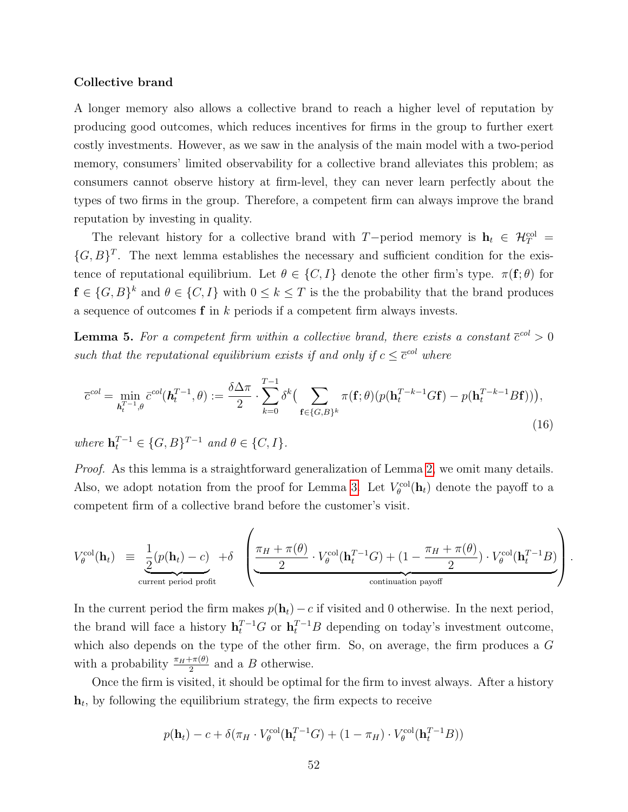#### Collective brand

A longer memory also allows a collective brand to reach a higher level of reputation by producing good outcomes, which reduces incentives for firms in the group to further exert costly investments. However, as we saw in the analysis of the main model with a two-period memory, consumers' limited observability for a collective brand alleviates this problem; as consumers cannot observe history at firm-level, they can never learn perfectly about the types of two firms in the group. Therefore, a competent firm can always improve the brand reputation by investing in quality.

The relevant history for a collective brand with T−period memory is  $h_t \in \mathcal{H}_T^{\text{col}} =$  $\{G, B\}^T$ . The next lemma establishes the necessary and sufficient condition for the existence of reputational equilibrium. Let  $\theta \in \{C, I\}$  denote the other firm's type.  $\pi(f; \theta)$  for  $f \in \{G, B\}^k$  and  $\theta \in \{C, I\}$  with  $0 \leq k \leq T$  is the the probability that the brand produces a sequence of outcomes  $f$  in  $k$  periods if a competent firm always invests.

<span id="page-52-0"></span>**Lemma 5.** For a competent firm within a collective brand, there exists a constant  $\bar{c}^{col} > 0$ such that the reputational equilibrium exists if and only if  $c \leq \overline{c}^{col}$  where

$$
\overline{c}^{col} = \min_{\mathbf{h}_t^{T-1}, \theta} \overline{c}^{col}(\mathbf{h}_t^{T-1}, \theta) := \frac{\delta \Delta \pi}{2} \cdot \sum_{k=0}^{T-1} \delta^k \Big( \sum_{\mathbf{f} \in \{G, B\}^k} \pi(\mathbf{f}; \theta) (p(\mathbf{h}_t^{T-k-1} G \mathbf{f}) - p(\mathbf{h}_t^{T-k-1} B \mathbf{f})) \Big),
$$
\n(16)

where  $\mathbf{h}_t^{T-1} \in \{G, B\}^{T-1}$  and  $\theta \in \{C, I\}.$ 

Proof. As this lemma is a straightforward generalization of Lemma [2,](#page-15-1) we omit many details. Also, we adopt notation from the proof for Lemma [3.](#page-47-1) Let  $V_{\theta}^{\text{col}}(\mathbf{h}_t)$  denote the payoff to a competent firm of a collective brand before the customer's visit.

$$
V_{\theta}^{\text{col}}(\mathbf{h}_t) \equiv \underbrace{\frac{1}{2}(p(\mathbf{h}_t) - c)}_{\text{current period profit}} + \delta \left( \underbrace{\frac{\pi_H + \pi(\theta)}{2} \cdot V_{\theta}^{\text{col}}(\mathbf{h}_t^{T-1}G) + (1 - \frac{\pi_H + \pi(\theta)}{2}) \cdot V_{\theta}^{\text{col}}(\mathbf{h}_t^{T-1}B)}_{\text{continuation payoff}} \right).
$$

In the current period the firm makes  $p(\mathbf{h}_t) - c$  if visited and 0 otherwise. In the next period, the brand will face a history  $\mathbf{h}_t^{T-1}G$  or  $\mathbf{h}_t^{T-1}B$  depending on today's investment outcome, which also depends on the type of the other firm. So, on average, the firm produces a G with a probability  $\frac{\pi_H + \pi(\theta)}{2}$  and a B otherwise.

Once the firm is visited, it should be optimal for the firm to invest always. After a history  $\mathbf{h}_t$ , by following the equilibrium strategy, the firm expects to receive

$$
p(\mathbf{h}_t) - c + \delta(\pi_H \cdot V_\theta^{\text{col}}(\mathbf{h}_t^{T-1}G) + (1 - \pi_H) \cdot V_\theta^{\text{col}}(\mathbf{h}_t^{T-1}B))
$$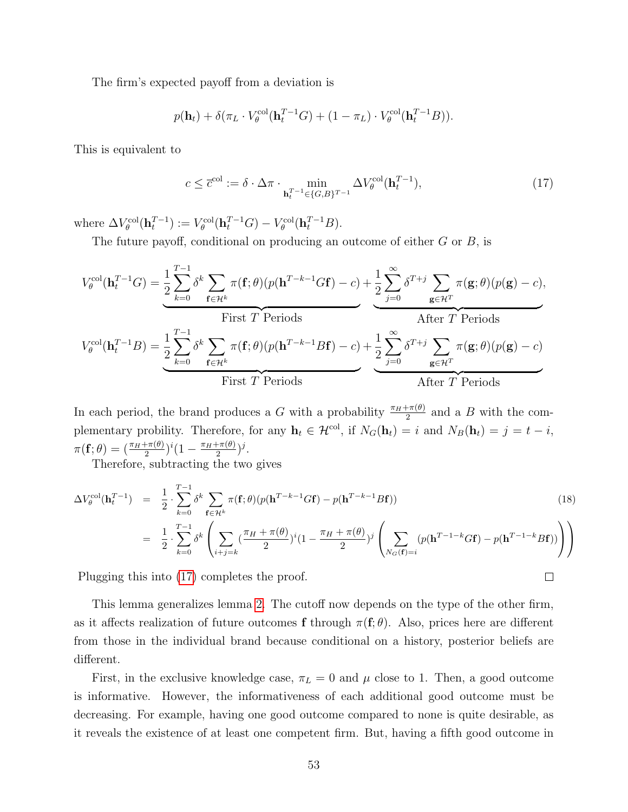The firm's expected payoff from a deviation is

$$
p(\mathbf{h}_t) + \delta(\pi_L \cdot V_{\theta}^{\text{col}}(\mathbf{h}_t^{T-1}G) + (1 - \pi_L) \cdot V_{\theta}^{\text{col}}(\mathbf{h}_t^{T-1}B)).
$$

This is equivalent to

<span id="page-53-0"></span>
$$
c \le \overline{c}^{\text{col}} := \delta \cdot \Delta \pi \cdot \min_{\mathbf{h}_t^{T-1} \in \{G, B\}^{T-1}} \Delta V_{\theta}^{\text{col}}(\mathbf{h}_t^{T-1}),\tag{17}
$$

where  $\Delta V_{\theta}^{\text{col}}(\mathbf{h}_t^{T-1}) := V_{\theta}^{\text{col}}(\mathbf{h}_t^{T-1}G) - V_{\theta}^{\text{col}}(\mathbf{h}_t^{T-1}B).$ 

The future payoff, conditional on producing an outcome of either  $G$  or  $B$ , is

$$
V_{\theta}^{\text{col}}(\mathbf{h}_{t}^{T-1}G) = \frac{1}{2} \sum_{k=0}^{T-1} \delta^{k} \sum_{\mathbf{f} \in \mathcal{H}^{k}} \pi(\mathbf{f}; \theta)(p(\mathbf{h}^{T-k-1}G\mathbf{f}) - c) + \frac{1}{2} \sum_{j=0}^{\infty} \delta^{T+j} \sum_{\mathbf{g} \in \mathcal{H}^{T}} \pi(\mathbf{g}; \theta)(p(\mathbf{g}) - c),
$$
  
\nFirst *T* Periods  
\n
$$
V_{\theta}^{\text{col}}(\mathbf{h}_{t}^{T-1}B) = \frac{1}{2} \sum_{k=0}^{T-1} \delta^{k} \sum_{\mathbf{f} \in \mathcal{H}^{k}} \pi(\mathbf{f}; \theta)(p(\mathbf{h}^{T-k-1}B\mathbf{f}) - c) + \frac{1}{2} \sum_{j=0}^{\infty} \delta^{T+j} \sum_{\mathbf{g} \in \mathcal{H}^{T}} \pi(\mathbf{g}; \theta)(p(\mathbf{g}) - c)
$$
  
\nFirst *T* Periods  
\nAfter *T* Periods

In each period, the brand produces a G with a probability  $\frac{\pi_H + \pi(\theta)}{2}$  and a B with the complementary probility. Therefore, for any  $\mathbf{h}_t \in \mathcal{H}^{\text{col}}$ , if  $N_G(\mathbf{h}_t) = i$  and  $N_B(\mathbf{h}_t) = j = t - i$ ,  $\pi({\bf f};\theta)=(\frac{\pi_H+\pi(\theta)}{2})^i(1-\frac{\pi_H+\pi(\theta)}{2})$  $rac{(\theta)}{2}$ )<sup>j</sup>.

Therefore, subtracting the two gives

$$
\Delta V_{\theta}^{\text{col}}(\mathbf{h}_{t}^{T-1}) = \frac{1}{2} \cdot \sum_{k=0}^{T-1} \delta^{k} \sum_{\mathbf{f} \in \mathcal{H}^{k}} \pi(\mathbf{f}; \theta) (p(\mathbf{h}^{T-k-1} G \mathbf{f}) - p(\mathbf{h}^{T-k-1} B \mathbf{f})) \tag{18}
$$
\n
$$
= \frac{1}{2} \cdot \sum_{k=0}^{T-1} \delta^{k} \left( \sum_{i+j=k} (\frac{\pi_{H} + \pi(\theta)}{2})^{i} (1 - \frac{\pi_{H} + \pi(\theta)}{2})^{j} \left( \sum_{N_{G}(\mathbf{f})=i} (p(\mathbf{h}^{T-1-k} G \mathbf{f}) - p(\mathbf{h}^{T-1-k} B \mathbf{f})) \right) \right)
$$

 $\Box$ 

Plugging this into [\(17\)](#page-53-0) completes the proof.

This lemma generalizes lemma [2.](#page-15-1) The cutoff now depends on the type of the other firm, as it affects realization of future outcomes f through  $\pi(f; \theta)$ . Also, prices here are different from those in the individual brand because conditional on a history, posterior beliefs are different.

First, in the exclusive knowledge case,  $\pi_L = 0$  and  $\mu$  close to 1. Then, a good outcome is informative. However, the informativeness of each additional good outcome must be decreasing. For example, having one good outcome compared to none is quite desirable, as it reveals the existence of at least one competent firm. But, having a fifth good outcome in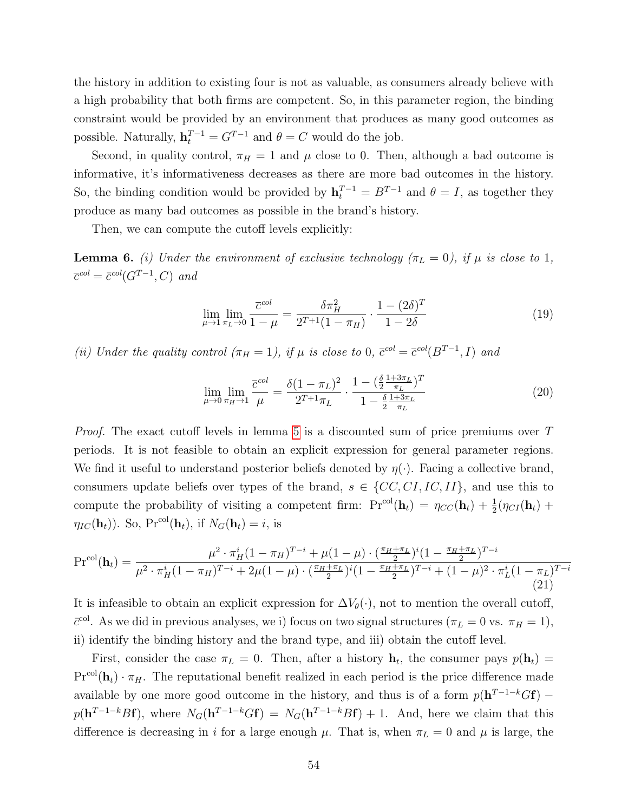the history in addition to existing four is not as valuable, as consumers already believe with a high probability that both firms are competent. So, in this parameter region, the binding constraint would be provided by an environment that produces as many good outcomes as possible. Naturally,  $\mathbf{h}_t^{T-1} = G^{T-1}$  and  $\theta = C$  would do the job.

Second, in quality control,  $\pi_H = 1$  and  $\mu$  close to 0. Then, although a bad outcome is informative, it's informativeness decreases as there are more bad outcomes in the history. So, the binding condition would be provided by  $\mathbf{h}_t^{T-1} = B^{T-1}$  and  $\theta = I$ , as together they produce as many bad outcomes as possible in the brand's history.

Then, we can compute the cutoff levels explicitly:

**Lemma 6.** (i) Under the environment of exclusive technology ( $\pi_L = 0$ ), if  $\mu$  is close to 1,  $\overline{c}^{col} = \overline{c}^{col}(G^{T-1}, C)$  and

<span id="page-54-1"></span>
$$
\lim_{\mu \to 1} \lim_{\pi_L \to 0} \frac{\overline{c}^{col}}{1 - \mu} = \frac{\delta \pi_H^2}{2^{T+1} (1 - \pi_H)} \cdot \frac{1 - (2\delta)^T}{1 - 2\delta} \tag{19}
$$

(ii) Under the quality control  $(\pi_H = 1)$ , if  $\mu$  is close to 0,  $\bar{c}^{col} = \bar{c}^{col}(B^{T-1}, I)$  and

<span id="page-54-2"></span>
$$
\lim_{\mu \to 0} \lim_{\pi_H \to 1} \frac{\overline{c}^{col}}{\mu} = \frac{\delta (1 - \pi_L)^2}{2^{T+1} \pi_L} \cdot \frac{1 - (\frac{\delta}{2} \frac{1 + 3\pi_L}{\pi_L})^T}{1 - \frac{\delta}{2} \frac{1 + 3\pi_L}{\pi_L}}
$$
(20)

Proof. The exact cutoff levels in lemma [5](#page-52-0) is a discounted sum of price premiums over T periods. It is not feasible to obtain an explicit expression for general parameter regions. We find it useful to understand posterior beliefs denoted by  $\eta(\cdot)$ . Facing a collective brand, consumers update beliefs over types of the brand,  $s \in \{CC, CI, IC, II\}$ , and use this to compute the probability of visiting a competent firm:  $Pr^{col}(\mathbf{h}_t) = \eta_{CC}(\mathbf{h}_t) + \frac{1}{2}(\eta_{CI}(\mathbf{h}_t) +$  $\eta_{IC}(\mathbf{h}_t)$ ). So, Pr<sup>col</sup>( $\mathbf{h}_t$ ), if  $N_G(\mathbf{h}_t) = i$ , is

<span id="page-54-0"></span>
$$
\Pr^{\text{col}}(\mathbf{h}_{t}) = \frac{\mu^{2} \cdot \pi_{H}^{i} (1 - \pi_{H})^{T-i} + \mu (1 - \mu) \cdot (\frac{\pi_{H} + \pi_{L}}{2})^{i} (1 - \frac{\pi_{H} + \pi_{L}}{2})^{T-i}}{\mu^{2} \cdot \pi_{H}^{i} (1 - \pi_{H})^{T-i} + 2\mu (1 - \mu) \cdot (\frac{\pi_{H} + \pi_{L}}{2})^{i} (1 - \frac{\pi_{H} + \pi_{L}}{2})^{T-i} + (1 - \mu)^{2} \cdot \pi_{L}^{i} (1 - \pi_{L})^{T-i}}
$$
\n(21)

It is infeasible to obtain an explicit expression for  $\Delta V_{\theta}(\cdot)$ , not to mention the overall cutoff,  $\bar{c}^{\text{col}}$ . As we did in previous analyses, we i) focus on two signal structures  $(\pi_L = 0 \text{ vs. } \pi_H = 1),$ ii) identify the binding history and the brand type, and iii) obtain the cutoff level.

First, consider the case  $\pi_L = 0$ . Then, after a history  $\mathbf{h}_t$ , the consumer pays  $p(\mathbf{h}_t) =$  $Pr^{col}(\mathbf{h}_t) \cdot \pi_H$ . The reputational benefit realized in each period is the price difference made available by one more good outcome in the history, and thus is of a form  $p(\mathbf{h}^{T-1-k}G\mathbf{f})$  –  $p(\mathbf{h}^{T-1-k}B\mathbf{f})$ , where  $N_G(\mathbf{h}^{T-1-k}G\mathbf{f})=N_G(\mathbf{h}^{T-1-k}B\mathbf{f})+1$ . And, here we claim that this difference is decreasing in i for a large enough  $\mu$ . That is, when  $\pi_L = 0$  and  $\mu$  is large, the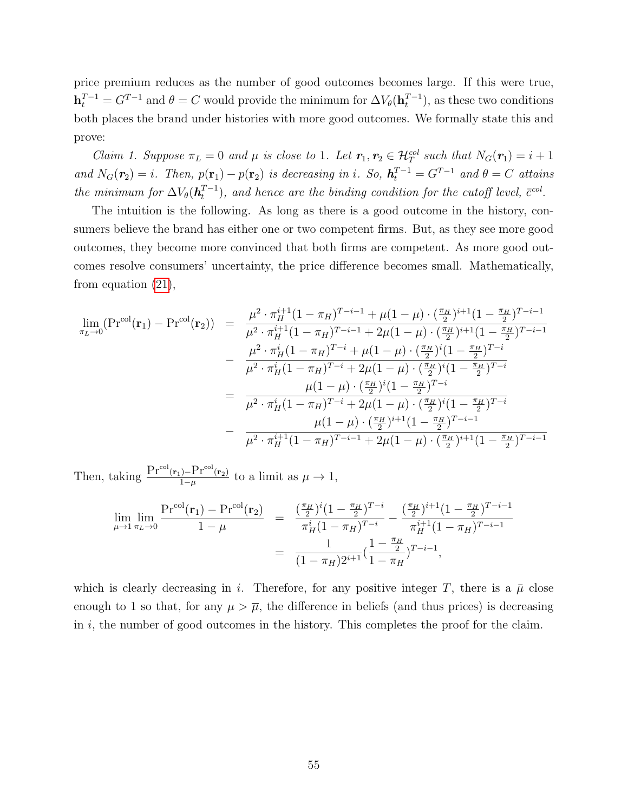price premium reduces as the number of good outcomes becomes large. If this were true,  $\mathbf{h}_t^{T-1} = G^{T-1}$  and  $\theta = C$  would provide the minimum for  $\Delta V_{\theta}(\mathbf{h}_t^{T-1})$  $\binom{T-1}{t}$ , as these two conditions both places the brand under histories with more good outcomes. We formally state this and prove:

Claim 1. Suppose  $\pi_L = 0$  and  $\mu$  is close to 1. Let  $r_1, r_2 \in \mathcal{H}_T^{col}$  such that  $N_G(r_1) = i + 1$ and  $N_G(\mathbf{r}_2) = i$ . Then,  $p(\mathbf{r}_1) - p(\mathbf{r}_2)$  is decreasing in i. So,  $\mathbf{h}_t^{T-1} = G^{T-1}$  and  $\theta = C$  attains the minimum for  $\Delta V_{\theta}(\boldsymbol{h}^{T-1}_{t})$  $_{t}^{T-1}$ ), and hence are the binding condition for the cutoff level,  $\bar{c}^{\text{col}}$ .

The intuition is the following. As long as there is a good outcome in the history, consumers believe the brand has either one or two competent firms. But, as they see more good outcomes, they become more convinced that both firms are competent. As more good outcomes resolve consumers' uncertainty, the price difference becomes small. Mathematically, from equation [\(21\)](#page-54-0),

$$
\lim_{\pi_L \to 0} (\Pr^{\text{col}}(\mathbf{r}_1) - \Pr^{\text{col}}(\mathbf{r}_2)) = \frac{\mu^2 \cdot \pi_H^{i+1} (1 - \pi_H)^{T-i-1} + \mu (1 - \mu) \cdot (\frac{\pi_H}{2})^{i+1} (1 - \frac{\pi_H}{2})^{T-i-1}}{\mu^2 \cdot \pi_H^{i+1} (1 - \pi_H)^{T-i} + \mu (1 - \mu) \cdot (\frac{\pi_H}{2})^{i+1} (1 - \frac{\pi_H}{2})^{T-i-1}}
$$
\n
$$
- \frac{\mu^2 \cdot \pi_H^{i} (1 - \pi_H)^{T-i} + \mu (1 - \mu) \cdot (\frac{\pi_H}{2})^{i} (1 - \frac{\pi_H}{2})^{T-i}}{\mu^2 \cdot \pi_H^{i} (1 - \pi_H)^{T-i} + 2\mu (1 - \mu) \cdot (\frac{\pi_H}{2})^{i} (1 - \frac{\pi_H}{2})^{T-i}}
$$
\n
$$
= \frac{\mu (1 - \mu) \cdot (\frac{\pi_H}{2})^{i} (1 - \frac{\pi_H}{2})^{T-i}}{\mu^2 \cdot \pi_H^{i} (1 - \pi_H)^{T-i} + 2\mu (1 - \mu) \cdot (\frac{\pi_H}{2})^{i} (1 - \frac{\pi_H}{2})^{T-i}}
$$
\n
$$
- \frac{\mu (1 - \mu) \cdot (\frac{\pi_H}{2})^{i+1} (1 - \frac{\pi_H}{2})^{T-i-1}}{\mu^2 \cdot \pi_H^{i+1} (1 - \pi_H)^{T-i-1} + 2\mu (1 - \mu) \cdot (\frac{\pi_H}{2})^{i+1} (1 - \frac{\pi_H}{2})^{T-i-1}}
$$

Then, taking  $\frac{\Pr^{col}(\mathbf{r}_1) - \Pr^{col}(\mathbf{r}_2)}{1-\mu}$  to a limit as  $\mu \to 1$ ,

$$
\lim_{\mu \to 1} \lim_{\pi_L \to 0} \frac{\Pr^{\text{col}}(\mathbf{r}_1) - \Pr^{\text{col}}(\mathbf{r}_2)}{1 - \mu} = \frac{\left(\frac{\pi_H}{2}\right)^i (1 - \frac{\pi_H}{2})^{T-i}}{\pi_H^i (1 - \pi_H)^{T-i}} - \frac{\left(\frac{\pi_H}{2}\right)^{i+1} (1 - \frac{\pi_H}{2})^{T-i-1}}{\pi_H^{i+1} (1 - \pi_H)^{T-i-1}}
$$
\n
$$
= \frac{1}{(1 - \pi_H)^{2i+1}} \left(\frac{1 - \frac{\pi_H}{2}}{1 - \pi_H}\right)^{T-i-1},
$$

which is clearly decreasing in i. Therefore, for any positive integer T, there is a  $\bar{\mu}$  close enough to 1 so that, for any  $\mu > \overline{\mu}$ , the difference in beliefs (and thus prices) is decreasing in  $i$ , the number of good outcomes in the history. This completes the proof for the claim.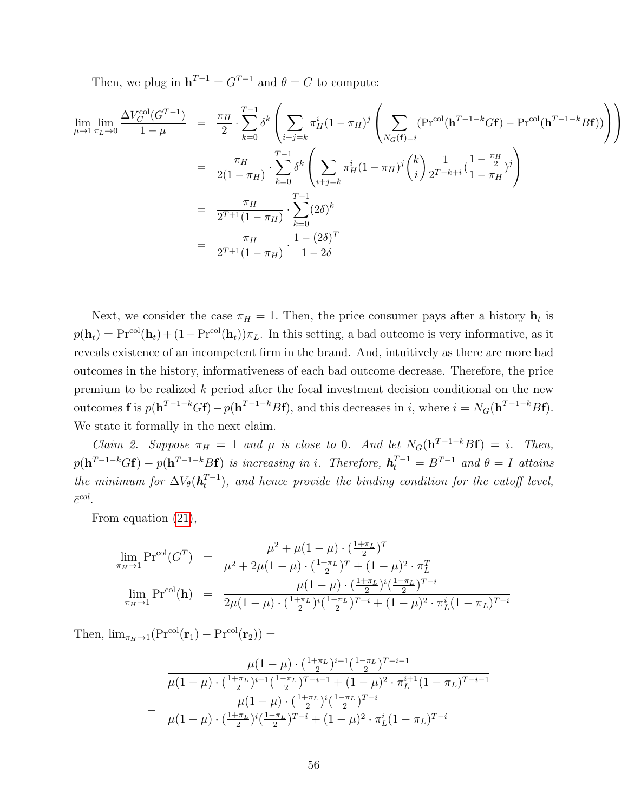Then, we plug in  $h^{T-1} = G^{T-1}$  and  $\theta = C$  to compute:

$$
\lim_{\mu \to 1} \lim_{\pi_L \to 0} \frac{\Delta V_C^{\text{col}}(G^{T-1})}{1 - \mu} = \frac{\pi_H}{2} \cdot \sum_{k=0}^{T-1} \delta^k \left( \sum_{i+j=k} \pi_H^i (1 - \pi_H)^j \left( \sum_{N_G(\mathbf{f})=i} (\text{Pr}^{\text{col}}(\mathbf{h}^{T-1-k} G \mathbf{f}) - \text{Pr}^{\text{col}}(\mathbf{h}^{T-1-k} B \mathbf{f})) \right) \right)
$$
\n
$$
= \frac{\pi_H}{2(1 - \pi_H)} \cdot \sum_{k=0}^{T-1} \delta^k \left( \sum_{i+j=k} \pi_H^i (1 - \pi_H)^j {k \choose i} \frac{1}{2^{T-k+i}} \left( \frac{1 - \frac{\pi_H}{2}}{1 - \pi_H} \right)^j \right)
$$
\n
$$
= \frac{\pi_H}{2^{T+1} (1 - \pi_H)} \cdot \sum_{k=0}^{T-1} (2 \delta)^k
$$
\n
$$
= \frac{\pi_H}{2^{T+1} (1 - \pi_H)} \cdot \frac{1 - (2\delta)^T}{1 - 2\delta}
$$

Next, we consider the case  $\pi_H = 1$ . Then, the price consumer pays after a history  $\mathbf{h}_t$  is  $p(\mathbf{h}_t) = \text{Pr}^{\text{col}}(\mathbf{h}_t) + (1 - \text{Pr}^{\text{col}}(\mathbf{h}_t))\pi_L$ . In this setting, a bad outcome is very informative, as it reveals existence of an incompetent firm in the brand. And, intuitively as there are more bad outcomes in the history, informativeness of each bad outcome decrease. Therefore, the price premium to be realized k period after the focal investment decision conditional on the new outcomes **f** is  $p(\mathbf{h}^{T-1-k}G\mathbf{f}) - p(\mathbf{h}^{T-1-k}B\mathbf{f})$ , and this decreases in i, where  $i = N_G(\mathbf{h}^{T-1-k}B\mathbf{f})$ . We state it formally in the next claim.

Claim 2. Suppose  $\pi_H = 1$  and  $\mu$  is close to 0. And let  $N_G(h^{T-1-k}Bf) = i$ . Then,  $p(\mathbf{h}^{T-1-k}G\mathbf{f}) - p(\mathbf{h}^{T-1-k}B\mathbf{f})$  is increasing in i. Therefore,  $\mathbf{h}^{T-1}_t = B^{T-1}$  and  $\theta = I$  attains the minimum for  $\Delta V_{\theta}(\mathbf{h}_t^{T-1})$  $\binom{T-1}{t}$ , and hence provide the binding condition for the cutoff level,  $\bar{c}^{col}$ .

From equation [\(21\)](#page-54-0),

$$
\lim_{\pi_H \to 1} \Pr^{\text{col}}(G^T) = \frac{\mu^2 + \mu(1 - \mu) \cdot (\frac{1 + \pi_L}{2})^T}{\mu^2 + 2\mu(1 - \mu) \cdot (\frac{1 + \pi_L}{2})^T + (1 - \mu)^2 \cdot \pi_L^T}
$$
\n
$$
\lim_{\pi_H \to 1} \Pr^{\text{col}}(\mathbf{h}) = \frac{\mu(1 - \mu) \cdot (\frac{1 + \pi_L}{2})^i (\frac{1 - \pi_L}{2})^{T - i}}{2\mu(1 - \mu) \cdot (\frac{1 + \pi_L}{2})^i (\frac{1 - \pi_L}{2})^{T - i} + (1 - \mu)^2 \cdot \pi_L^i (1 - \pi_L)^{T - i}}
$$

Then,  $\lim_{\pi_H\to 1}(\Pr^{\text{col}}(\mathbf{r}_1) - \Pr^{\text{col}}(\mathbf{r}_2)) =$ 

$$
\frac{\mu(1-\mu) \cdot (\frac{1+\pi_L}{2})^{i+1} (\frac{1-\pi_L}{2})^{T-i-1}}{\mu(1-\mu) \cdot (\frac{1+\pi_L}{2})^{i+1} (\frac{1-\pi_L}{2})^{T-i-1} + (1-\mu)^2 \cdot \pi_L^{i+1} (1-\pi_L)^{T-i-1}}
$$

$$
-\frac{\mu(1-\mu) \cdot (\frac{1+\pi_L}{2})^i (\frac{1-\pi_L}{2})^{T-i}}{\mu(1-\mu) \cdot (\frac{1+\pi_L}{2})^i (\frac{1-\pi_L}{2})^{T-i} + (1-\mu)^2 \cdot \pi_L^i (1-\pi_L)^{T-i}}
$$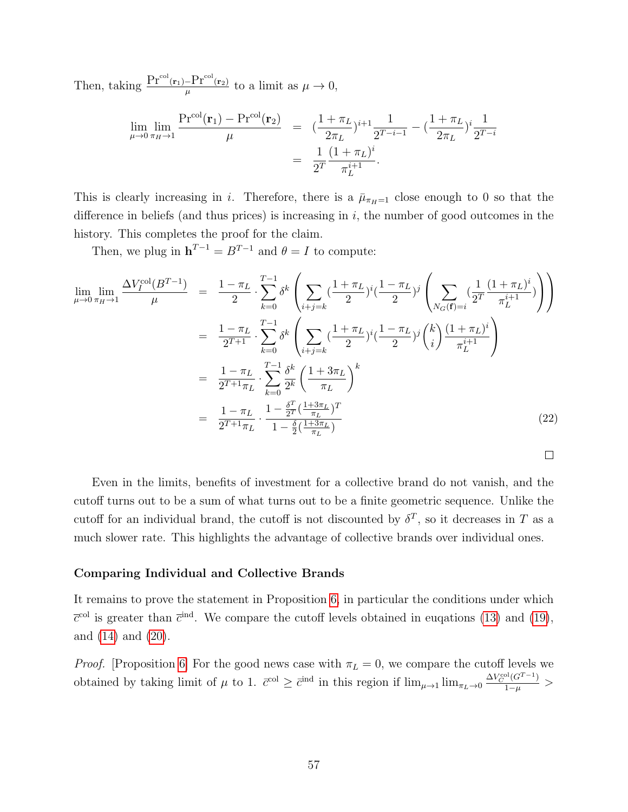Then, taking  $\frac{\Pr^{col}(\mathbf{r}_1) - \Pr^{col}(\mathbf{r}_2)}{\mu}$  to a limit as  $\mu \to 0$ ,

$$
\lim_{\mu \to 0} \lim_{\pi_H \to 1} \frac{\Pr^{\text{col}}(\mathbf{r}_1) - \Pr^{\text{col}}(\mathbf{r}_2)}{\mu} = \left( \frac{1 + \pi_L}{2\pi_L} \right)^{i+1} \frac{1}{2^{T-i-1}} - \left( \frac{1 + \pi_L}{2\pi_L} \right)^i \frac{1}{2^{T-i}}
$$
\n
$$
= \frac{1}{2^T} \frac{(1 + \pi_L)^i}{\pi_L^{i+1}}.
$$

This is clearly increasing in i. Therefore, there is a  $\bar{\mu}_{\pi_H=1}$  close enough to 0 so that the difference in beliefs (and thus prices) is increasing in  $i$ , the number of good outcomes in the history. This completes the proof for the claim.

Then, we plug in  $\mathbf{h}^{T-1} = B^{T-1}$  and  $\theta = I$  to compute:

<span id="page-57-0"></span>
$$
\lim_{\mu \to 0} \lim_{\pi_H \to 1} \frac{\Delta V_I^{\text{col}}(B^{T-1})}{\mu} = \frac{1 - \pi_L}{2} \cdot \sum_{k=0}^{T-1} \delta^k \left( \sum_{i+j=k} \left( \frac{1 + \pi_L}{2} \right)^i \left( \frac{1 - \pi_L}{2} \right)^j \left( \sum_{N_G(\mathbf{f})=i} \left( \frac{1}{2^T} \frac{(1 + \pi_L)^i}{\pi_L^{i+1}} \right) \right) \right)
$$
\n
$$
= \frac{1 - \pi_L}{2^{T+1}} \cdot \sum_{k=0}^{T-1} \delta^k \left( \sum_{i+j=k} \left( \frac{1 + \pi_L}{2} \right)^i \left( \frac{1 - \pi_L}{2} \right)^j \left( \frac{k}{i} \right) \frac{(1 + \pi_L)^i}{\pi_L^{i+1}} \right)
$$
\n
$$
= \frac{1 - \pi_L}{2^{T+1} \pi_L} \cdot \sum_{k=0}^{T-1} \frac{\delta^k}{2^k} \left( \frac{1 + 3\pi_L}{\pi_L} \right)^k
$$
\n
$$
= \frac{1 - \pi_L}{2^{T+1} \pi_L} \cdot \frac{1 - \frac{\delta^T}{2^T} \left( \frac{1 + 3\pi_L}{\pi_L} \right)^T}{1 - \frac{\delta}{2} \left( \frac{1 + 3\pi_L}{\pi_L} \right)}
$$
\n(22)

 $\Box$ 

Even in the limits, benefits of investment for a collective brand do not vanish, and the cutoff turns out to be a sum of what turns out to be a finite geometric sequence. Unlike the cutoff for an individual brand, the cutoff is not discounted by  $\delta^T$ , so it decreases in T as a much slower rate. This highlights the advantage of collective brands over individual ones.

#### Comparing Individual and Collective Brands

It remains to prove the statement in Proposition [6,](#page-23-2) in particular the conditions under which  $\overline{c}^{\text{col}}$  is greater than  $\overline{c}^{\text{ind}}$ . We compare the cutoff levels obtained in eugations [\(13\)](#page-49-0) and [\(19\)](#page-54-1), and [\(14\)](#page-50-0) and [\(20\)](#page-54-2).

*Proof.* [Proposition [6\]](#page-23-2) For the good news case with  $\pi_L = 0$ , we compare the cutoff levels we obtained by taking limit of  $\mu$  to 1.  $\bar{c}^{\text{col}} \geq \bar{c}^{\text{ind}}$  in this region if  $\lim_{\mu \to 1} \lim_{\pi_L \to 0} \frac{\Delta V_C^{\text{col}}(G^{T-1})}{1-\mu}$  $\frac{(\mathsf{G})}{1-\mu}$  >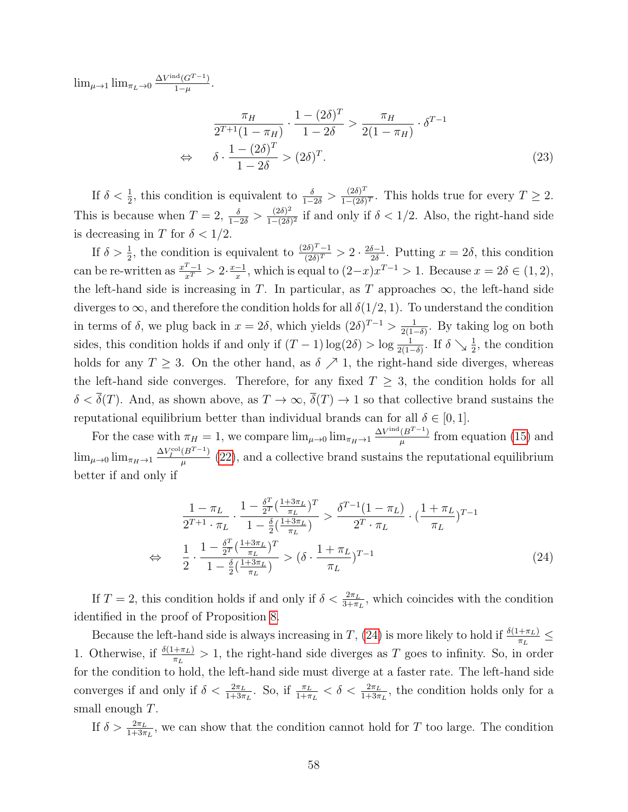$\lim_{\mu \to 1} \lim_{\pi_L \to 0} \frac{\Delta V^{\text{ind}}(G^{T-1})}{1-\mu}$  $\frac{\Gamma(G^{1-1})}{1-\mu}$ .

$$
\frac{\pi_H}{2^{T+1}(1-\pi_H)} \cdot \frac{1-(2\delta)^T}{1-2\delta} > \frac{\pi_H}{2(1-\pi_H)} \cdot \delta^{T-1}
$$
  
\n
$$
\Leftrightarrow \quad \delta \cdot \frac{1-(2\delta)^T}{1-2\delta} > (2\delta)^T.
$$
\n(23)

If  $\delta < \frac{1}{2}$ , this condition is equivalent to  $\frac{\delta}{1-2\delta} > \frac{(2\delta)^T}{1-(2\delta)}$  $\frac{(2\delta)^2}{1-(2\delta)^T}$ . This holds true for every  $T \geq 2$ . This is because when  $T = 2$ ,  $\frac{\delta}{1-2\delta} > \frac{(2\delta)^2}{1-(2\delta)}$  $\frac{(20)^2}{1-(2\delta)^2}$  if and only if  $\delta < 1/2$ . Also, the right-hand side is decreasing in T for  $\delta < 1/2$ .

If  $\delta > \frac{1}{2}$ , the condition is equivalent to  $\frac{(2\delta)^T - 1}{(2\delta)^T}$  $\frac{2\delta)^2-1}{(2\delta)^T}>2\cdot\frac{2\delta-1}{2\delta}$  $\frac{\partial^{-1}}{\partial \delta}$ . Putting  $x = 2\delta$ , this condition can be re-written as  $\frac{x^T-1}{x^T} > 2 \cdot \frac{x-1}{x}$  $\frac{-1}{x}$ , which is equal to  $(2-x)x^{T-1} > 1$ . Because  $x = 2\delta \in (1, 2)$ , the left-hand side is increasing in T. In particular, as T approaches  $\infty$ , the left-hand side diverges to  $\infty$ , and therefore the condition holds for all  $\delta(1/2, 1)$ . To understand the condition in terms of  $\delta$ , we plug back in  $x = 2\delta$ , which yields  $(2\delta)^{T-1} > \frac{1}{2(1-\delta)}$  $\frac{1}{2(1-\delta)}$ . By taking log on both sides, this condition holds if and only if  $(T-1)\log(2\delta) > \log \frac{1}{2(1-\delta)}$ . If  $\delta \searrow \frac{1}{2}$ , the condition holds for any  $T \geq 3$ . On the other hand, as  $\delta \nearrow 1$ , the right-hand side diverges, whereas the left-hand side converges. Therefore, for any fixed  $T \geq 3$ , the condition holds for all  $\delta < \overline{\delta}(T)$ . And, as shown above, as  $T \to \infty$ ,  $\overline{\delta}(T) \to 1$  so that collective brand sustains the reputational equilibrium better than individual brands can for all  $\delta \in [0,1]$ .

For the case with  $\pi_H = 1$ , we compare  $\lim_{\mu \to 0} \lim_{\pi_H \to 1} \frac{\Delta V^{\text{ind}}(B^{T-1})}{\mu}$  $\frac{(B^{T-1})}{\mu}$  from equation [\(15\)](#page-51-0) and  $\lim_{\mu \to 0} \lim_{\pi_H \to 1} \frac{\Delta V_I^{\text{col}}(B^{T-1})}{\mu}$  $\frac{(\overline{B}^{2})^{2}}{\mu}$  [\(22\)](#page-57-0), and a collective brand sustains the reputational equilibrium better if and only if

<span id="page-58-0"></span>
$$
\frac{1 - \pi_L}{2^{T+1} \cdot \pi_L} \cdot \frac{1 - \frac{\delta^T}{2^T} (\frac{1+3\pi_L}{\pi_L})^T}{1 - \frac{\delta}{2} (\frac{1+3\pi_L}{\pi_L})} > \frac{\delta^{T-1} (1 - \pi_L)}{2^T \cdot \pi_L} \cdot (\frac{1 + \pi_L}{\pi_L})^{T-1}
$$
\n
$$
\Leftrightarrow \frac{1}{2} \cdot \frac{1 - \frac{\delta^T}{2^T} (\frac{1+3\pi_L}{\pi_L})^T}{1 - \frac{\delta}{2} (\frac{1+3\pi_L}{\pi_L})} > (\delta \cdot \frac{1 + \pi_L}{\pi_L})^{T-1}
$$
\n(24)

If  $T = 2$ , this condition holds if and only if  $\delta < \frac{2\pi_L}{3+\pi_L}$ , which coincides with the condition identified in the proof of Proposition [8.](#page-59-0)

Because the left-hand side is always increasing in T, [\(24\)](#page-58-0) is more likely to hold if  $\frac{\delta(1+\pi_L)}{\pi_L} \leq$ 1. Otherwise, if  $\frac{\delta(1+\pi_L)}{\pi_L} > 1$ , the right-hand side diverges as T goes to infinity. So, in order for the condition to hold, the left-hand side must diverge at a faster rate. The left-hand side converges if and only if  $\delta < \frac{2\pi_L}{1+3\pi_L}$ . So, if  $\frac{\pi_L}{1+\pi_L} < \delta < \frac{2\pi_L}{1+3\pi_L}$ , the condition holds only for a small enough T.

If  $\delta > \frac{2\pi}{1+3\pi L}$ , we can show that the condition cannot hold for T too large. The condition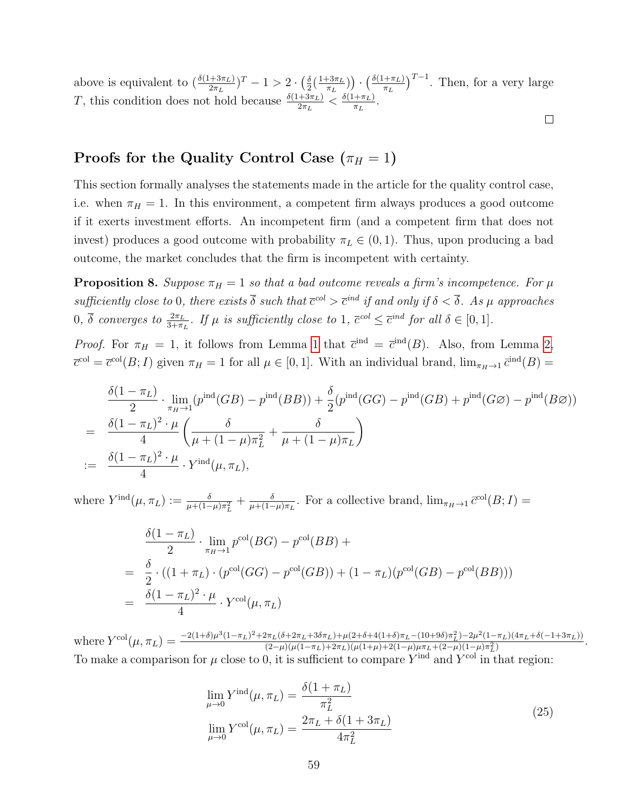above is equivalent to  $\left(\frac{\delta(1+3\pi_L)}{2\pi_L}\right)^T - 1 > 2 \cdot \left(\frac{\delta}{2}\right)$  $\frac{\delta}{2}(\frac{1+3\pi_L}{\pi_L}$  $\left(\frac{\delta(1+\pi_L)}{\pi_L}\right)^{T-1}$ . Then, for a very large T, this condition does not hold because  $\frac{\delta(1+3\pi_L)}{2\pi_L} < \frac{\delta(1+\pi_L)}{\pi_L}$  $\frac{+\pi_L)}{\pi_L}$ .

#### $\Box$

## Proofs for the Quality Control Case  $(\pi_H = 1)$

This section formally analyses the statements made in the article for the quality control case, i.e. when  $\pi_H = 1$ . In this environment, a competent firm always produces a good outcome if it exerts investment efforts. An incompetent firm (and a competent firm that does not invest) produces a good outcome with probability  $\pi_L \in (0,1)$ . Thus, upon producing a bad outcome, the market concludes that the firm is incompetent with certainty.

<span id="page-59-0"></span>**Proposition 8.** Suppose  $\pi_H = 1$  so that a bad outcome reveals a firm's incompetence. For  $\mu$ sufficiently close to 0, there exists  $\overline{\delta}$  such that  $\overline{c}^{col} > \overline{c}^{ind}$  if and only if  $\delta < \overline{\delta}$ . As  $\mu$  approaches  $0, \overline{\delta}$  converges to  $\frac{2\pi}{3+\pi}$ . If  $\mu$  is sufficiently close to 1,  $\overline{c}^{col} \leq \overline{c}^{ind}$  for all  $\delta \in [0,1]$ .

*Proof.* For  $\pi_H = 1$  $\pi_H = 1$ , it follows from Lemma 1 that  $\bar{c}^{\text{ind}} = \bar{c}^{\text{ind}}(B)$ . Also, from Lemma [2,](#page-17-0)  $\overline{c}^{\text{col}} = \overline{c}^{\text{col}}(B; I)$  given  $\pi_H = 1$  for all  $\mu \in [0, 1]$ . With an individual brand,  $\lim_{\pi_H \to 1} \overline{c}^{\text{ind}}(B) =$ 

$$
\frac{\delta(1-\pi_L)}{2} \cdot \lim_{\pi_H \to 1} (p^{\text{ind}}(GB) - p^{\text{ind}}(BB)) + \frac{\delta}{2}(p^{\text{ind}}(GG) - p^{\text{ind}}(GB) + p^{\text{ind}}(GG) - p^{\text{ind}}(B\varnothing))
$$
\n
$$
= \frac{\delta(1-\pi_L)^2 \cdot \mu}{4} \left( \frac{\delta}{\mu + (1-\mu)\pi_L^2} + \frac{\delta}{\mu + (1-\mu)\pi_L} \right)
$$
\n
$$
:= \frac{\delta(1-\pi_L)^2 \cdot \mu}{4} \cdot Y^{\text{ind}}(\mu, \pi_L),
$$

where  $Y^{\text{ind}}(\mu, \pi_L) := \frac{\delta}{\mu + (1 - \mu)\pi_L^2} + \frac{\delta}{\mu + (1 - \mu)}$  $\frac{\delta}{\mu+(1-\mu)\pi_L}$ . For a collective brand,  $\lim_{\pi_H\to 1} \bar{c}^{\text{col}}(B;I) =$ 

$$
\frac{\delta(1-\pi_L)}{2} \cdot \lim_{\pi_H \to 1} p^{\text{col}}(BG) - p^{\text{col}}(BB) +
$$
\n
$$
= \frac{\delta}{2} \cdot ((1+\pi_L) \cdot (p^{\text{col}}(GG) - p^{\text{col}}(GB)) + (1-\pi_L)(p^{\text{col}}(GB) - p^{\text{col}}(BB)))
$$
\n
$$
= \frac{\delta(1-\pi_L)^2 \cdot \mu}{4} \cdot Y^{\text{col}}(\mu, \pi_L)
$$

 $\text{where } Y^{\text{col}}(\mu, \pi_L) = \frac{-2(1+\delta)\mu^3(1-\pi_L)^2 + 2\pi_L(\delta + 2\pi_L + 3\delta\pi_L) + \mu(2+\delta+4(1+\delta)\pi_L - (10+9\delta)\pi_L^2) - 2\mu^2(1-\pi_L)(4\pi_L + \delta(-1+3\pi_L))}{(2-\mu)(\mu(1-\pi_L) + 2\pi_L)(\mu(1+\mu) + 2(1-\mu)\mu\pi_L + (2-\mu)(1-\mu)\pi^2)}$  $\frac{\pi_L(0+2\pi_L+30\pi_L)+\mu(2+\theta+4(1+\theta)\pi_L-(10+9\theta)\pi_L^-)-2\mu^2(1-\pi_L)(4\pi_L+\theta(-1+3\pi_L))}{(2-\mu)(\mu(1-\pi_L)+2\pi_L)(\mu(1+\mu)+2(1-\mu)\mu\pi_L+(2-\mu)(1-\mu)\pi_L^2)}.$ To make a comparison for  $\mu$  close to 0, it is sufficient to compare  $Y^{\text{ind}}$  and  $Y^{\text{col}}$  in that region:

$$
\lim_{\mu \to 0} Y^{\text{ind}}(\mu, \pi_L) = \frac{\delta(1 + \pi_L)}{\pi_L^2}
$$
\n
$$
\lim_{\mu \to 0} Y^{\text{col}}(\mu, \pi_L) = \frac{2\pi_L + \delta(1 + 3\pi_L)}{4\pi_L^2}
$$
\n(25)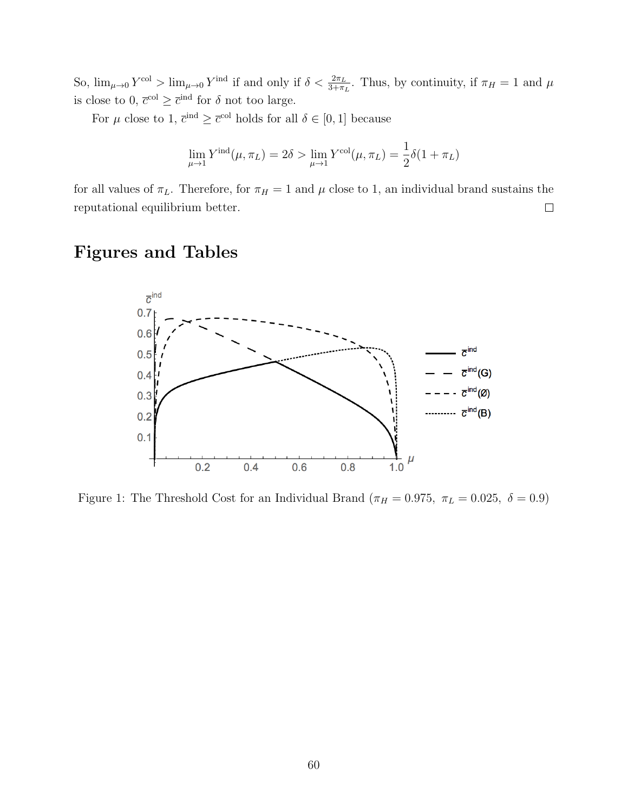So,  $\lim_{\mu\to 0} Y^{\text{col}} > \lim_{\mu\to 0} Y^{\text{ind}}$  if and only if  $\delta < \frac{2\pi_L}{3+\pi_L}$ . Thus, by continuity, if  $\pi_H = 1$  and  $\mu$ is close to 0,  $\bar{c}^{\text{col}} \geq \bar{c}^{\text{ind}}$  for  $\delta$  not too large.

For  $\mu$  close to 1,  $\bar{c}^{\text{ind}} \geq \bar{c}^{\text{col}}$  holds for all  $\delta \in [0,1]$  because

$$
\lim_{\mu \to 1} Y^{\text{ind}}(\mu, \pi_L) = 2\delta > \lim_{\mu \to 1} Y^{\text{col}}(\mu, \pi_L) = \frac{1}{2}\delta(1 + \pi_L)
$$

for all values of  $\pi_L$ . Therefore, for  $\pi_H = 1$  and  $\mu$  close to 1, an individual brand sustains the reputational equilibrium better.  $\Box$ 

# Figures and Tables



<span id="page-60-0"></span>Figure 1: The Threshold Cost for an Individual Brand ( $\pi_H = 0.975$ ,  $\pi_L = 0.025$ ,  $\delta = 0.9$ )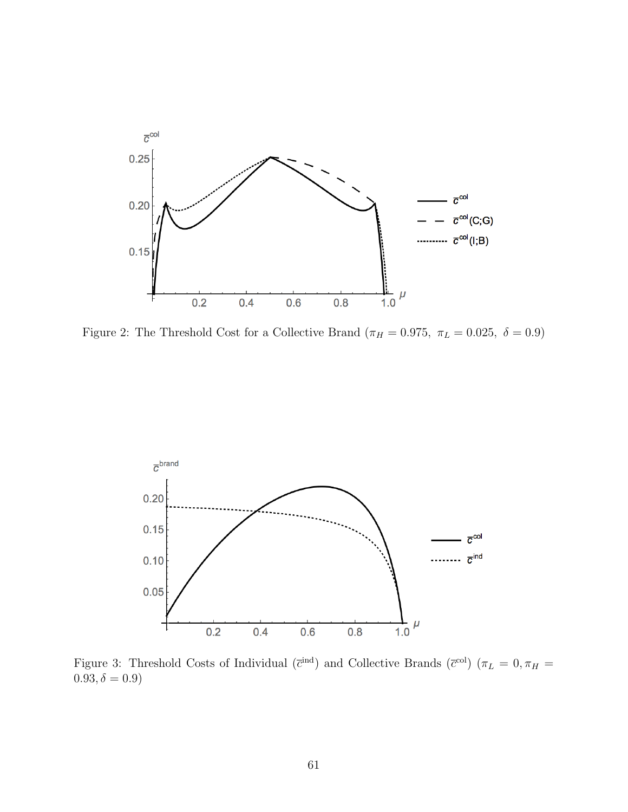

<span id="page-61-0"></span>Figure 2: The Threshold Cost for a Collective Brand ( $\pi_H = 0.975$ ,  $\pi_L = 0.025$ ,  $\delta = 0.9$ )



<span id="page-61-1"></span>Figure 3: Threshold Costs of Individual ( $\bar{c}^{\text{ind}}$ ) and Collective Brands ( $\bar{c}^{\text{col}}$ ) ( $\pi_L = 0, \pi_H =$  $0.93, \delta = 0.9)$